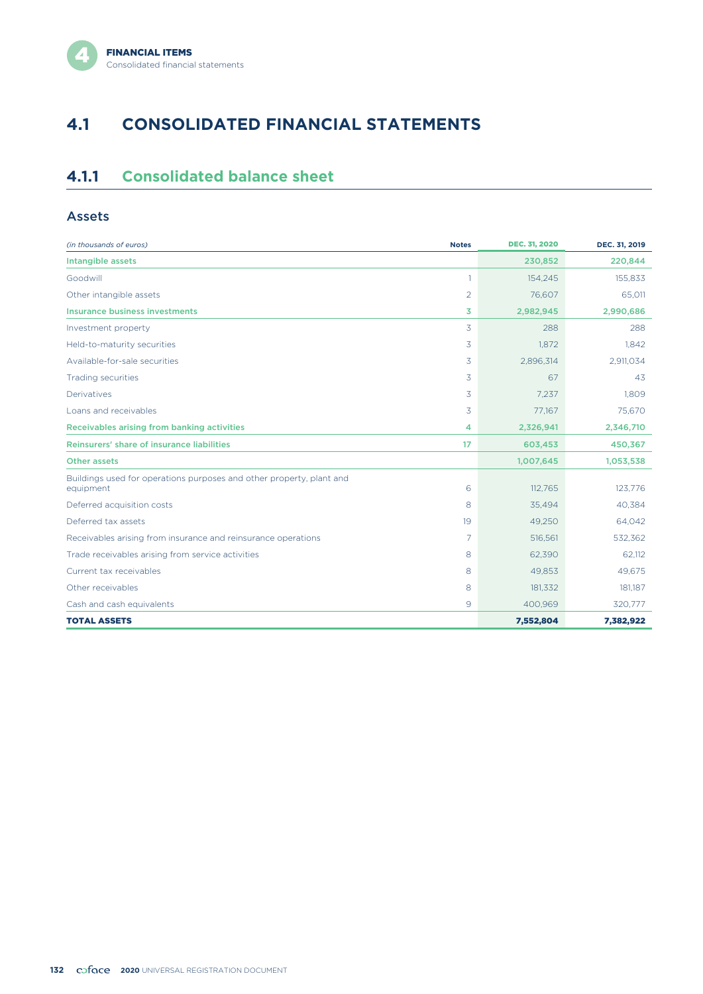# **4.1 CONSOLIDATED FINANCIAL STATEMENTS**

# **4.1.1 Consolidated balance sheet**

#### Assets

| (in thousands of euros)                                                           | <b>Notes</b>   | <b>DEC. 31, 2020</b> | DEC. 31, 2019 |
|-----------------------------------------------------------------------------------|----------------|----------------------|---------------|
| Intangible assets                                                                 |                | 230,852              | 220,844       |
| Goodwill                                                                          | 1              | 154,245              | 155,833       |
| Other intangible assets                                                           | $\overline{2}$ | 76,607               | 65,011        |
| Insurance business investments                                                    | 3              | 2,982,945            | 2,990,686     |
| Investment property                                                               | 3              | 288                  | 288           |
| Held-to-maturity securities                                                       | 3              | 1.872                | 1,842         |
| Available-for-sale securities                                                     | 3              | 2,896,314            | 2,911,034     |
| <b>Trading securities</b>                                                         | 3              | 67                   | 43            |
| Derivatives                                                                       | 3              | 7,237                | 1,809         |
| Loans and receivables                                                             | 3              | 77,167               | 75,670        |
| Receivables arising from banking activities                                       | 4              | 2,326,941            | 2,346,710     |
| Reinsurers' share of insurance liabilities                                        | 17             | 603,453              | 450,367       |
| Other assets                                                                      |                | 1,007,645            | 1,053,538     |
| Buildings used for operations purposes and other property, plant and<br>equipment | 6              | 112,765              | 123,776       |
| Deferred acquisition costs                                                        | 8              | 35,494               | 40,384        |
| Deferred tax assets                                                               | 19             | 49,250               | 64,042        |
| Receivables arising from insurance and reinsurance operations                     | 7              | 516,561              | 532,362       |
| Trade receivables arising from service activities                                 | 8              | 62,390               | 62.112        |
| Current tax receivables                                                           | 8              | 49.853               | 49.675        |
| Other receivables                                                                 | 8              | 181,332              | 181,187       |
| Cash and cash equivalents                                                         | 9              | 400,969              | 320,777       |
| <b>TOTAL ASSETS</b>                                                               |                | 7,552,804            | 7,382,922     |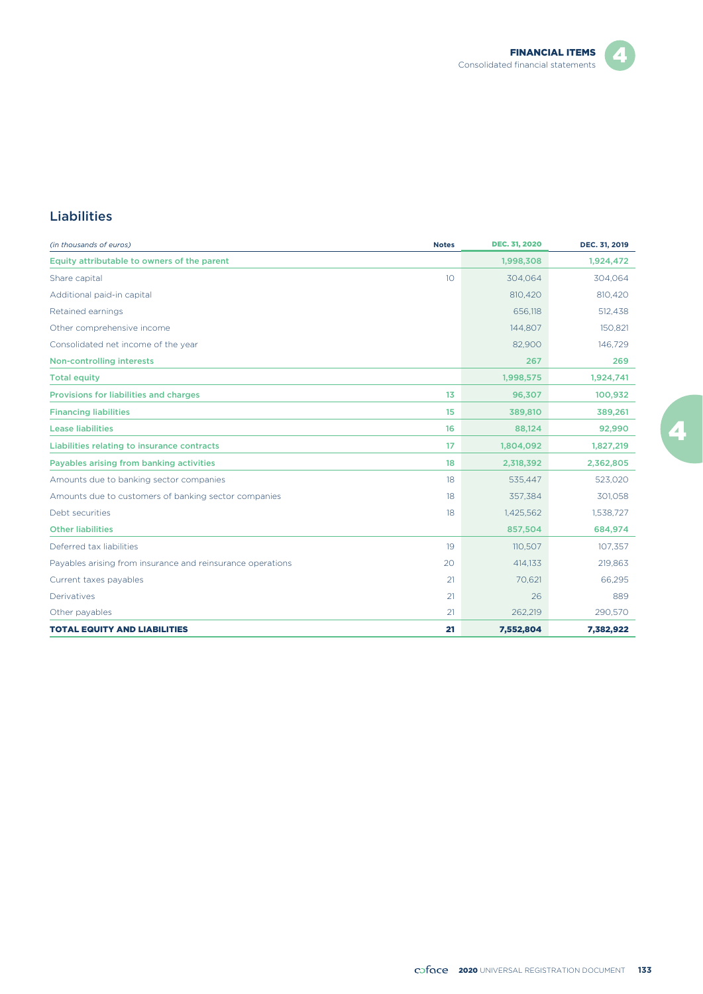

## Z.

#### Liabilities

| (in thousands of euros)                                    | <b>Notes</b> | <b>DEC. 31, 2020</b> | DEC. 31, 2019 |
|------------------------------------------------------------|--------------|----------------------|---------------|
| Equity attributable to owners of the parent                |              | 1,998,308            | 1,924,472     |
| Share capital                                              | 10           | 304,064              | 304,064       |
| Additional paid-in capital                                 |              | 810,420              | 810,420       |
| Retained earnings                                          |              | 656.118              | 512,438       |
| Other comprehensive income                                 |              | 144,807              | 150,821       |
| Consolidated net income of the year                        |              | 82,900               | 146,729       |
| <b>Non-controlling interests</b>                           |              | 267                  | 269           |
| <b>Total equity</b>                                        |              | 1,998,575            | 1,924,741     |
| Provisions for liabilities and charges                     | 13           | 96,307               | 100,932       |
| <b>Financing liabilities</b>                               | 15           | 389,810              | 389,261       |
| <b>Lease liabilities</b>                                   | 16           | 88,124               | 92,990        |
| Liabilities relating to insurance contracts                | 17           | 1,804,092            | 1,827,219     |
| Payables arising from banking activities                   | 18           | 2,318,392            | 2,362,805     |
| Amounts due to banking sector companies                    | 18           | 535.447              | 523,020       |
| Amounts due to customers of banking sector companies       | 18           | 357,384              | 301,058       |
| Debt securities                                            | 18           | 1,425,562            | 1,538,727     |
| <b>Other liabilities</b>                                   |              | 857,504              | 684,974       |
| Deferred tax liabilities                                   | 19           | 110,507              | 107,357       |
| Payables arising from insurance and reinsurance operations | 20           | 414,133              | 219,863       |
| Current taxes payables                                     | 21           | 70,621               | 66,295        |
| Derivatives                                                | 21           | 26                   | 889           |
| Other payables                                             | 21           | 262.219              | 290,570       |
| <b>TOTAL EQUITY AND LIABILITIES</b>                        | 21           | 7,552,804            | 7,382,922     |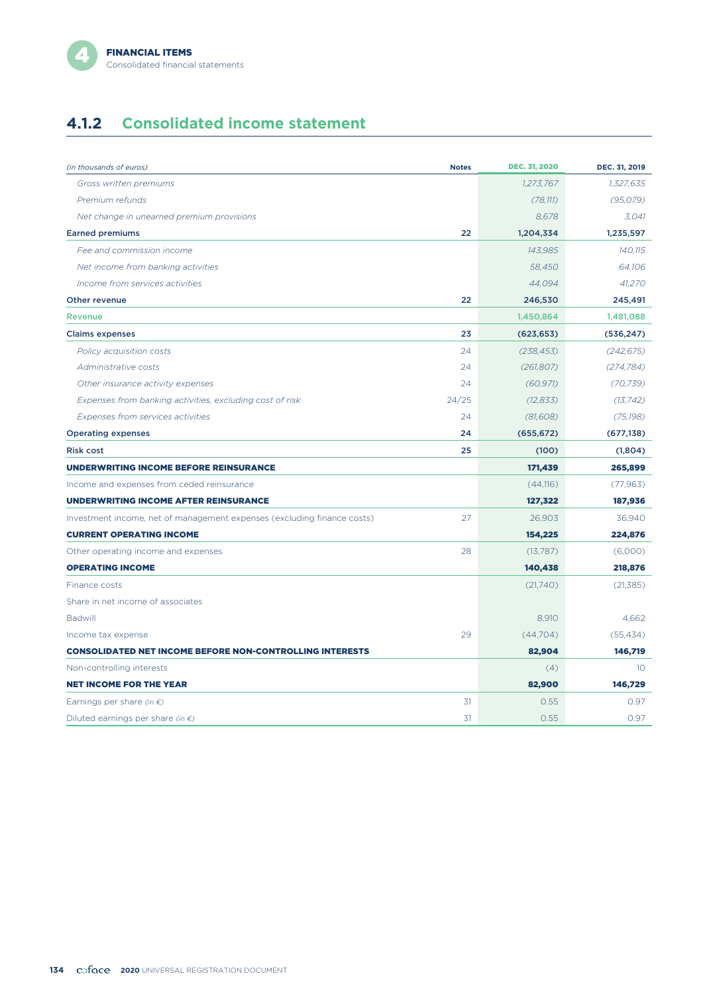# **4.1.2 Consolidated income statement**

| (in thousands of euros)                                                 | <b>Notes</b> | <b>DEC. 31, 2020</b> | DEC. 31, 2019   |
|-------------------------------------------------------------------------|--------------|----------------------|-----------------|
| Gross written premiums                                                  |              | 1,273,767            | 1,327,635       |
| Premium refunds                                                         |              | (78, 111)            | (95, 079)       |
| Net change in unearned premium provisions                               |              | 8,678                | 3,041           |
| <b>Earned premiums</b>                                                  | 22           | 1,204,334            | 1,235,597       |
| Fee and commission income                                               |              | 143,985              | 140,115         |
|                                                                         |              | 58.450               | 64.106          |
| Net income from banking activities                                      |              |                      |                 |
| Income from services activities                                         | 22           | 44,094               | 41,270          |
| Other revenue                                                           |              | 246,530              | 245,491         |
| <b>Revenue</b>                                                          |              | 1,450,864            | 1,481,088       |
| <b>Claims expenses</b>                                                  | 23           | (623, 653)           | (536, 247)      |
| Policy acquisition costs                                                | 24           | (238, 453)           | (242, 675)      |
| Administrative costs                                                    | 24           | (261, 807)           | (274, 784)      |
| Other insurance activity expenses                                       | 24           | (60, 971)            | (70, 739)       |
| Expenses from banking activities, excluding cost of risk                | 24/25        | (12, 833)            | (13, 742)       |
| Expenses from services activities                                       | 24           | (81, 608)            | (75, 198)       |
| <b>Operating expenses</b>                                               | 24           | (655, 672)           | (677, 138)      |
| <b>Risk cost</b>                                                        | 25           | (100)                | (1,804)         |
| <b>UNDERWRITING INCOME BEFORE REINSURANCE</b>                           |              | 171,439              | 265,899         |
| Income and expenses from ceded reinsurance                              |              | (44,116)             | (77, 963)       |
| <b>UNDERWRITING INCOME AFTER REINSURANCE</b>                            |              | 127,322              | 187,936         |
| Investment income, net of management expenses (excluding finance costs) | 27           | 26,903               | 36,940          |
| <b>CURRENT OPERATING INCOME</b>                                         |              | 154,225              | 224,876         |
| Other operating income and expenses                                     | 28           | (13,787)             | (6,000)         |
| <b>OPERATING INCOME</b>                                                 |              | 140,438              | 218,876         |
| Finance costs                                                           |              | (21,740)             | (21, 385)       |
| Share in net income of associates                                       |              |                      |                 |
| <b>Badwill</b>                                                          |              | 8,910                | 4,662           |
| Income tax expense                                                      | 29           | (44,704)             | (55, 434)       |
| <b>CONSOLIDATED NET INCOME BEFORE NON-CONTROLLING INTERESTS</b>         |              | 82,904               | 146,719         |
| Non-controlling interests                                               |              | (4)                  | 10 <sup>°</sup> |
| <b>NET INCOME FOR THE YEAR</b>                                          |              | 82,900               | 146,729         |
| Earnings per share (in $\epsilon$ )                                     | 31           | 0.55                 | 0.97            |
| Diluted earnings per share (in $\epsilon$ )                             | 31           | 0.55                 | 0.97            |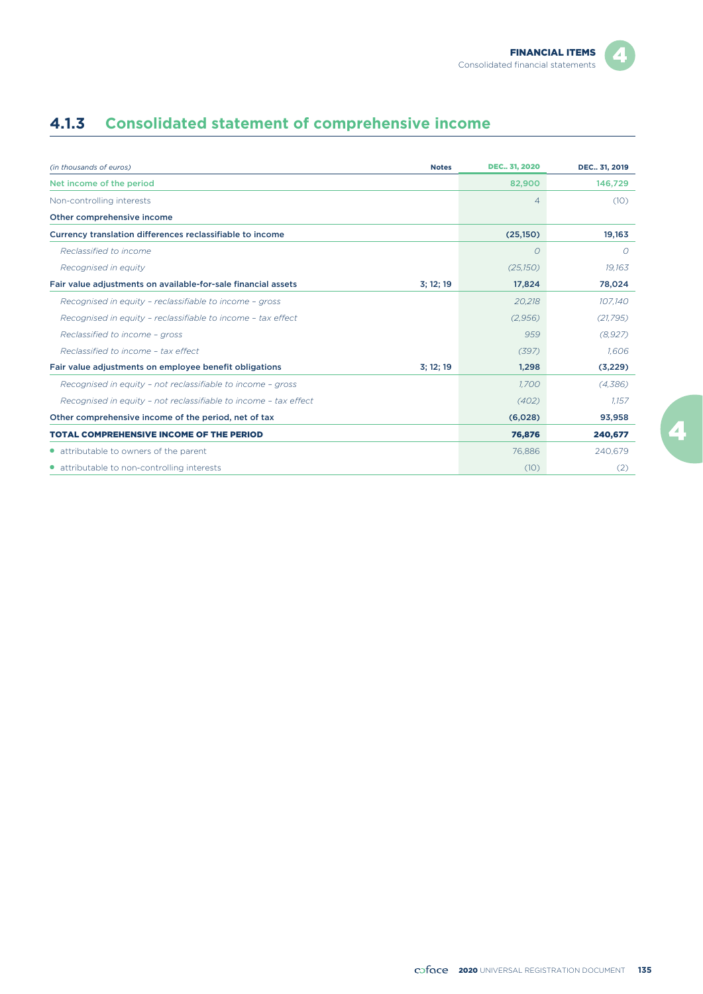# **4.1.3 Consolidated statement of comprehensive income**

| (in thousands of euros)<br><b>Notes</b>                                    | <b>DEC.</b> , 31, 2020 | DEC., 31, 2019 |
|----------------------------------------------------------------------------|------------------------|----------------|
| Net income of the period                                                   | 82,900                 | 146,729        |
| Non-controlling interests                                                  | $\overline{4}$         | (10)           |
| Other comprehensive income                                                 |                        |                |
| Currency translation differences reclassifiable to income                  | (25,150)               | 19,163         |
| Reclassified to income                                                     | $\overline{O}$         | $\Omega$       |
| Recognised in equity                                                       | (25,150)               | 19.163         |
| Fair value adjustments on available-for-sale financial assets<br>3; 12; 19 | 17,824                 | 78,024         |
| Recognised in equity - reclassifiable to income - gross                    | 20,218                 | 107,140        |
| Recognised in equity - reclassifiable to income - tax effect               | (2,956)                | (21, 795)      |
| Reclassified to income - gross                                             | 959                    | (8,927)        |
| Reclassified to income - tax effect                                        | (397)                  | 1.606          |
| Fair value adjustments on employee benefit obligations<br>3:12:19          | 1,298                  | (3,229)        |
| Recognised in equity - not reclassifiable to income - gross                | 1.700                  | (4,386)        |
| Recognised in equity - not reclassifiable to income - tax effect           | (402)                  | 1.157          |
| Other comprehensive income of the period, net of tax                       | (6,028)                | 93,958         |
| <b>TOTAL COMPREHENSIVE INCOME OF THE PERIOD</b>                            | 76,876                 | 240,677        |
| • attributable to owners of the parent                                     | 76.886                 | 240,679        |
| • attributable to non-controlling interests                                | (10)                   | (2)            |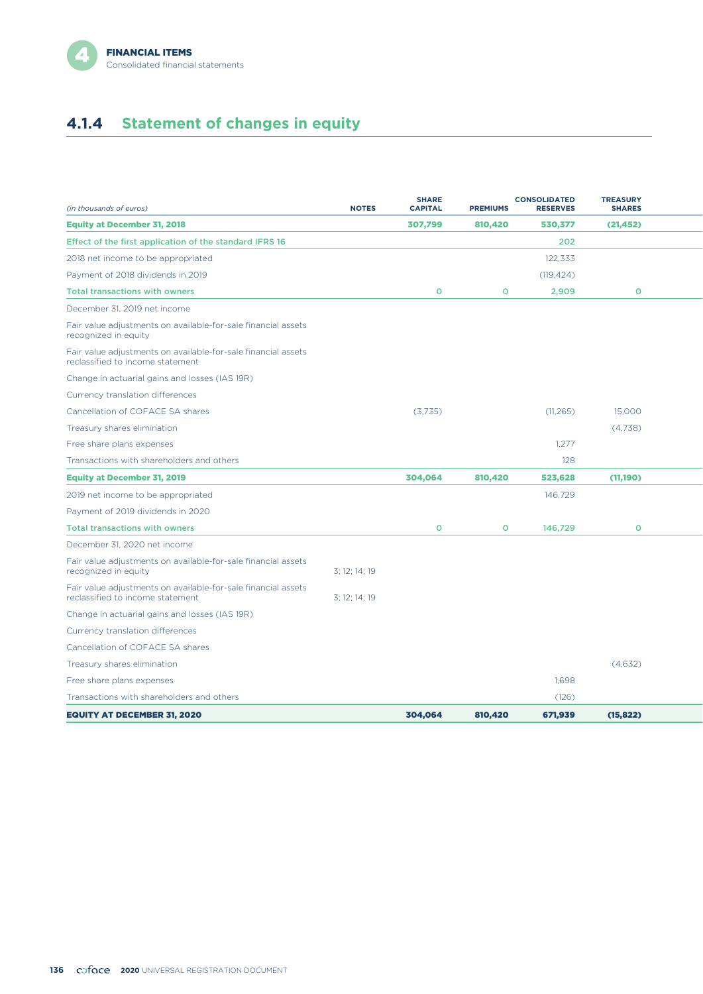

# **4.1.4 Statement of changes in equity**

| (in thousands of euros)                                                                           | <b>NOTES</b>  | <b>SHARE</b><br><b>CAPITAL</b> | <b>PREMIUMS</b> | <b>CONSOLIDATED</b><br><b>RESERVES</b> | <b>TREASURY</b><br><b>SHARES</b> |  |
|---------------------------------------------------------------------------------------------------|---------------|--------------------------------|-----------------|----------------------------------------|----------------------------------|--|
| <b>Equity at December 31, 2018</b>                                                                |               | 307,799                        | 810,420         | 530,377                                | (21, 452)                        |  |
| Effect of the first application of the standard IFRS 16                                           |               |                                |                 | 202                                    |                                  |  |
| 2018 net income to be appropriated                                                                |               |                                |                 | 122,333                                |                                  |  |
| Payment of 2018 dividends in 2019                                                                 |               |                                |                 | (119, 424)                             |                                  |  |
| <b>Total transactions with owners</b>                                                             |               | $\circ$                        | $\mathbf{O}$    | 2,909                                  | $\circ$                          |  |
| December 31, 2019 net income                                                                      |               |                                |                 |                                        |                                  |  |
| Fair value adjustments on available-for-sale financial assets<br>recognized in equity             |               |                                |                 |                                        |                                  |  |
| Fair value adjustments on available-for-sale financial assets<br>reclassified to income statement |               |                                |                 |                                        |                                  |  |
| Change in actuarial gains and losses (IAS 19R)                                                    |               |                                |                 |                                        |                                  |  |
| Currency translation differences                                                                  |               |                                |                 |                                        |                                  |  |
| Cancellation of COFACE SA shares                                                                  |               | (3,735)                        |                 | (11, 265)                              | 15,000                           |  |
| Treasury shares elimination                                                                       |               |                                |                 |                                        | (4,738)                          |  |
| Free share plans expenses                                                                         |               |                                |                 | 1.277                                  |                                  |  |
| Transactions with shareholders and others                                                         |               |                                |                 | 128                                    |                                  |  |
| <b>Equity at December 31, 2019</b>                                                                |               | 304,064                        | 810,420         | 523,628                                | (11,190)                         |  |
| 2019 net income to be appropriated                                                                |               |                                |                 | 146,729                                |                                  |  |
| Payment of 2019 dividends in 2020                                                                 |               |                                |                 |                                        |                                  |  |
| <b>Total transactions with owners</b>                                                             |               | $\circ$                        | $\mathbf{O}$    | 146,729                                | $\Omega$                         |  |
| December 31, 2020 net income                                                                      |               |                                |                 |                                        |                                  |  |
| Fair value adjustments on available-for-sale financial assets<br>recognized in equity             | 3: 12: 14: 19 |                                |                 |                                        |                                  |  |
| Fair value adjustments on available-for-sale financial assets<br>reclassified to income statement | 3; 12; 14; 19 |                                |                 |                                        |                                  |  |
| Change in actuarial gains and losses (IAS 19R)                                                    |               |                                |                 |                                        |                                  |  |
| Currency translation differences                                                                  |               |                                |                 |                                        |                                  |  |
| Cancellation of COFACE SA shares                                                                  |               |                                |                 |                                        |                                  |  |
| Treasury shares elimination                                                                       |               |                                |                 |                                        | (4,632)                          |  |
| Free share plans expenses                                                                         |               |                                |                 | 1.698                                  |                                  |  |
| Transactions with shareholders and others                                                         |               |                                |                 | (126)                                  |                                  |  |
| <b>EQUITY AT DECEMBER 31, 2020</b>                                                                |               | 304.064                        | 810,420         | 671.939                                | (15, 822)                        |  |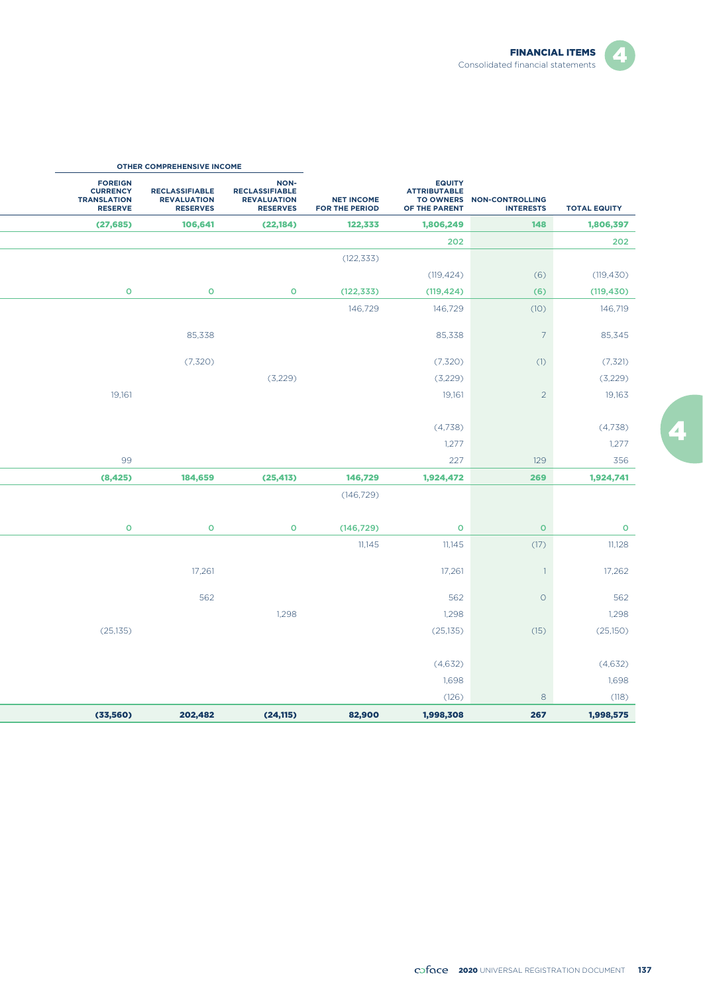

Z.

|                                                                           | OTHER COMPREHENSIVE INCOME                                     |                                                                        |                                     |                                                                           |                                            |                     |
|---------------------------------------------------------------------------|----------------------------------------------------------------|------------------------------------------------------------------------|-------------------------------------|---------------------------------------------------------------------------|--------------------------------------------|---------------------|
| <b>FOREIGN</b><br><b>CURRENCY</b><br><b>TRANSLATION</b><br><b>RESERVE</b> | <b>RECLASSIFIABLE</b><br><b>REVALUATION</b><br><b>RESERVES</b> | NON-<br><b>RECLASSIFIABLE</b><br><b>REVALUATION</b><br><b>RESERVES</b> | <b>NET INCOME</b><br>FOR THE PERIOD | <b>EQUITY</b><br><b>ATTRIBUTABLE</b><br><b>TO OWNERS</b><br>OF THE PARENT | <b>NON-CONTROLLING</b><br><b>INTERESTS</b> | <b>TOTAL EQUITY</b> |
| (27, 685)                                                                 | 106,641                                                        | (22, 184)                                                              | 122,333                             | 1,806,249                                                                 | 148                                        | 1,806,397           |
|                                                                           |                                                                |                                                                        |                                     | 202                                                                       |                                            | 202                 |
|                                                                           |                                                                |                                                                        | (122, 333)                          |                                                                           |                                            |                     |
|                                                                           |                                                                |                                                                        |                                     | (119, 424)                                                                | (6)                                        | (119, 430)          |
| $\circ$                                                                   | $\mathbf O$                                                    | $\mathbf O$                                                            | (122, 333)                          | (119, 424)                                                                | (6)                                        | (119, 430)          |
|                                                                           |                                                                |                                                                        | 146,729                             | 146,729                                                                   | (10)                                       | 146,719             |
|                                                                           | 85,338                                                         |                                                                        |                                     | 85,338                                                                    | $\overline{7}$                             | 85,345              |
|                                                                           | (7,320)                                                        |                                                                        |                                     | (7,320)                                                                   | (1)                                        | (7, 321)            |
|                                                                           |                                                                | (3,229)                                                                |                                     | (3,229)                                                                   |                                            | (3,229)             |
| 19,161                                                                    |                                                                |                                                                        |                                     | 19,161                                                                    | $\overline{2}$                             | 19,163              |
|                                                                           |                                                                |                                                                        |                                     | (4,738)                                                                   |                                            | (4,738)             |
|                                                                           |                                                                |                                                                        |                                     | 1,277                                                                     |                                            | 1,277               |
| 99                                                                        |                                                                |                                                                        |                                     | 227                                                                       | 129                                        | 356                 |
| (8, 425)                                                                  | 184,659                                                        | (25, 413)                                                              | 146,729                             | 1,924,472                                                                 | 269                                        | 1,924,741           |
|                                                                           |                                                                |                                                                        | (146, 729)                          |                                                                           |                                            |                     |
| $\mathsf{o}$                                                              | $\mathbf O$                                                    | $\mathbf O$                                                            | (146, 729)                          | $\circ$                                                                   | $\circ$                                    | $\circ$             |
|                                                                           |                                                                |                                                                        | 11,145                              | 11,145                                                                    | (17)                                       | 11,128              |
|                                                                           | 17,261                                                         |                                                                        |                                     | 17,261                                                                    | $\overline{1}$                             | 17,262              |
|                                                                           | 562                                                            |                                                                        |                                     | 562                                                                       | $\circ$                                    | 562                 |
|                                                                           |                                                                | 1,298                                                                  |                                     | 1,298                                                                     |                                            | 1,298               |
| (25, 135)                                                                 |                                                                |                                                                        |                                     | (25, 135)                                                                 | (15)                                       | (25,150)            |
|                                                                           |                                                                |                                                                        |                                     | (4,632)                                                                   |                                            | (4,632)             |
|                                                                           |                                                                |                                                                        |                                     | 1,698                                                                     |                                            | 1,698               |
|                                                                           |                                                                |                                                                        |                                     | (126)                                                                     | 8                                          | (118)               |
| (33, 560)                                                                 | 202,482                                                        | (24, 115)                                                              | 82,900                              | 1,998,308                                                                 | 267                                        | 1,998,575           |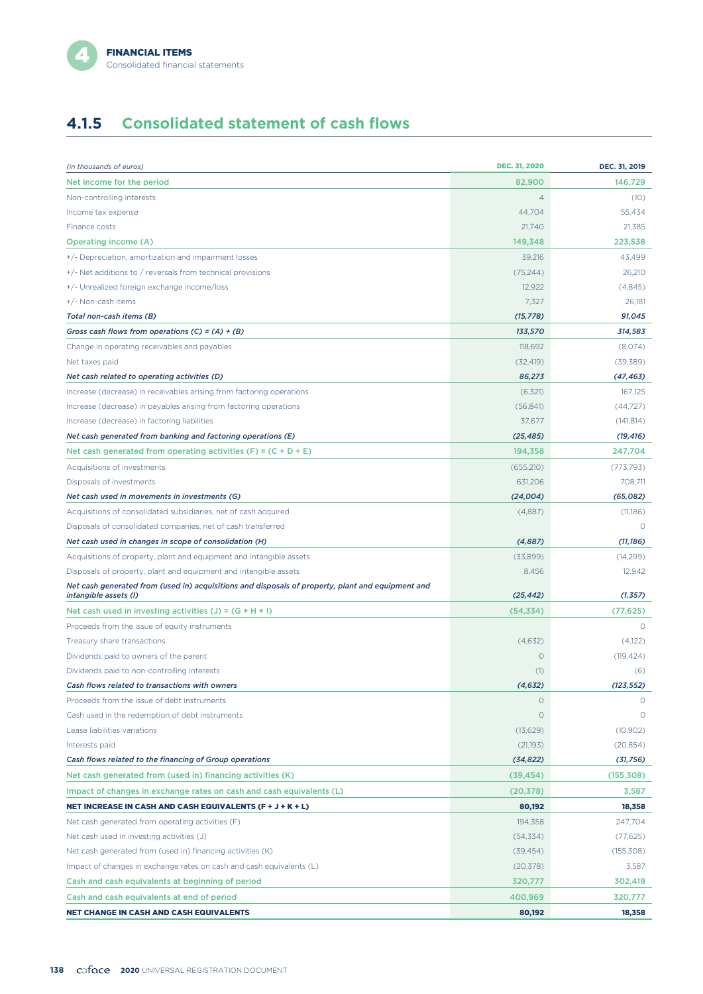# **4.1.5 Consolidated statement of cash flows**

| (in thousands of euros)                                                                                                    | <b>DEC. 31, 2020</b> | DEC. 31, 2019 |
|----------------------------------------------------------------------------------------------------------------------------|----------------------|---------------|
| Net income for the period                                                                                                  | 82,900               | 146,729       |
| Non-controlling interests                                                                                                  | $\overline{4}$       | (10)          |
| Income tax expense                                                                                                         | 44,704               | 55,434        |
| Finance costs                                                                                                              | 21,740               | 21,385        |
| <b>Operating income (A)</b>                                                                                                | 149,348              | 223,538       |
| +/- Depreciation, amortization and impairment losses                                                                       | 39,216               | 43,499        |
| +/- Net additions to / reversals from technical provisions                                                                 | (75, 244)            | 26,210        |
| +/- Unrealized foreign exchange income/loss                                                                                | 12,922               | (4,845)       |
| +/- Non-cash items                                                                                                         | 7,327                | 26,181        |
| Total non-cash items (B)                                                                                                   | (15, 778)            | 91,045        |
| Gross cash flows from operations (C) = $(A) + (B)$                                                                         | 133,570              | 314,583       |
| Change in operating receivables and payables                                                                               | 118,692              | (8,074)       |
| Net taxes paid                                                                                                             | (32, 419)            | (39, 389)     |
| Net cash related to operating activities (D)                                                                               | 86,273               | (47, 463)     |
| Increase (decrease) in receivables arising from factoring operations                                                       | (6,321)              | 167.125       |
| Increase (decrease) in payables arising from factoring operations                                                          | (56, 841)            | (44, 727)     |
| Increase (decrease) in factoring liabilities                                                                               | 37,677               | (141, 814)    |
| Net cash generated from banking and factoring operations (E)                                                               | (25, 485)            | (19, 416)     |
| Net cash generated from operating activities $(F) = (C + D + E)$                                                           | 194,358              | 247,704       |
| Acquisitions of investments                                                                                                | (655, 210)           | (773, 793)    |
| Disposals of investments                                                                                                   | 631,206              | 708,711       |
| Net cash used in movements in investments (G)                                                                              | (24,004)             | (65,082)      |
| Acquisitions of consolidated subsidiaries, net of cash acquired                                                            | (4,887)              | (11,186)      |
| Disposals of consolidated companies, net of cash transferred                                                               |                      | $\circ$       |
| Net cash used in changes in scope of consolidation (H)                                                                     | (4,887)              | (11, 186)     |
| Acquisitions of property, plant and equipment and intangible assets                                                        | (33,899)             | (14, 299)     |
| Disposals of property, plant and equipment and intangible assets                                                           | 8,456                | 12,942        |
| Net cash generated from (used in) acquisitions and disposals of property, plant and equipment and<br>intangible assets (I) | (25, 442)            | (1, 357)      |
| Net cash used in investing activities $(J) = (G + H + I)$                                                                  | (54, 334)            | (77, 625)     |
| Proceeds from the issue of equity instruments                                                                              |                      | $\Omega$      |
| Treasury share transactions                                                                                                | (4,632)              | (4,122)       |
| Dividends paid to owners of the parent                                                                                     | $\circ$              | (119, 424)    |
| Dividends paid to non-controlling interests                                                                                | (1)                  | (6)           |
| Cash flows related to transactions with owners                                                                             | (4, 632)             | (123, 552)    |
| Proceeds from the issue of debt instruments                                                                                | O                    | 0             |
| Cash used in the redemption of debt instruments                                                                            | O                    | $\circ$       |
| Lease liabilities variations                                                                                               | (13,629)             | (10, 902)     |
| Interests paid                                                                                                             | (21, 193)            | (20, 854)     |
| Cash flows related to the financing of Group operations                                                                    | (34, 822)            | (31, 756)     |
| Net cash generated from (used in) financing activities (K)                                                                 | (39, 454)            | (155, 308)    |
| Impact of changes in exchange rates on cash and cash equivalents (L)                                                       | (20, 378)            | 3,587         |
| <b>NET INCREASE IN CASH AND CASH EQUIVALENTS (F + J + K + L)</b>                                                           | 80,192               | 18,358        |
| Net cash generated from operating activities (F)                                                                           | 194.358              | 247,704       |
| Net cash used in investing activities (J)                                                                                  | (54, 334)            | (77, 625)     |
| Net cash generated from (used in) financing activities (K)                                                                 | (39, 454)            | (155,308)     |
| Impact of changes in exchange rates on cash and cash equivalents (L)                                                       | (20, 378)            | 3,587         |
| Cash and cash equivalents at beginning of period                                                                           | 320,777              | 302,419       |
| Cash and cash equivalents at end of period                                                                                 | 400,969              | 320,777       |
| <b>NET CHANGE IN CASH AND CASH EQUIVALENTS</b>                                                                             | 80,192               | 18,358        |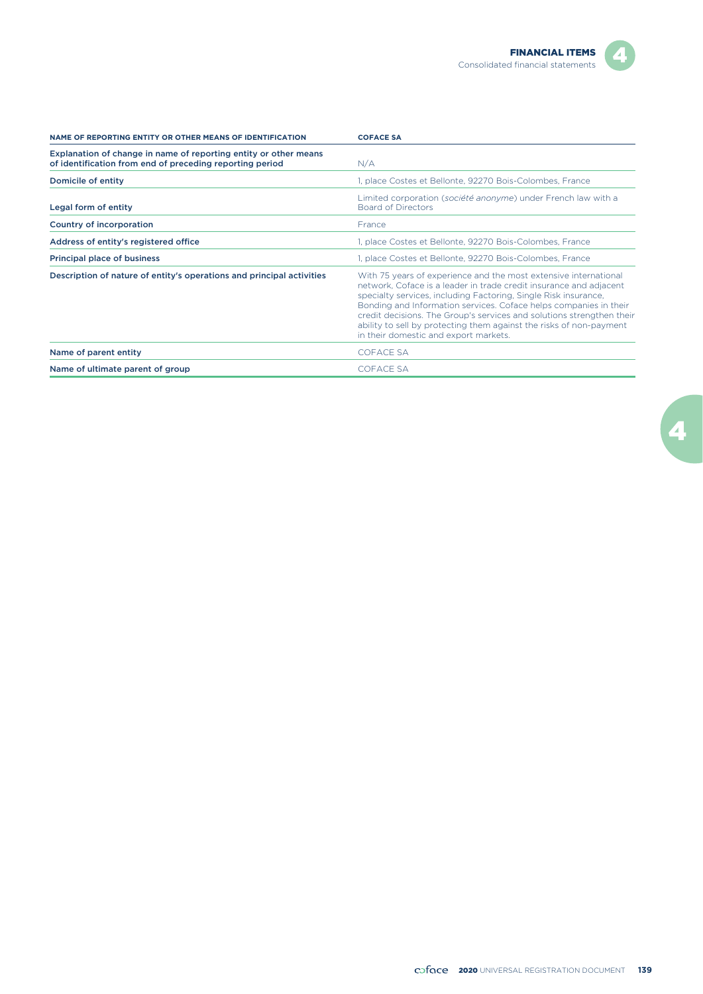Z.

| NAME OF REPORTING ENTITY OR OTHER MEANS OF IDENTIFICATION                                                                    | <b>COFACE SA</b>                                                                                                                                                                                                                                                                                                                                                                                                                                                        |
|------------------------------------------------------------------------------------------------------------------------------|-------------------------------------------------------------------------------------------------------------------------------------------------------------------------------------------------------------------------------------------------------------------------------------------------------------------------------------------------------------------------------------------------------------------------------------------------------------------------|
| Explanation of change in name of reporting entity or other means<br>of identification from end of preceding reporting period | N/A                                                                                                                                                                                                                                                                                                                                                                                                                                                                     |
| Domicile of entity                                                                                                           | 1, place Costes et Bellonte, 92270 Bois-Colombes, France                                                                                                                                                                                                                                                                                                                                                                                                                |
| Legal form of entity                                                                                                         | Limited corporation (société anonyme) under French law with a<br><b>Board of Directors</b>                                                                                                                                                                                                                                                                                                                                                                              |
| Country of incorporation                                                                                                     | France                                                                                                                                                                                                                                                                                                                                                                                                                                                                  |
| Address of entity's registered office                                                                                        | 1, place Costes et Bellonte, 92270 Bois-Colombes, France                                                                                                                                                                                                                                                                                                                                                                                                                |
| Principal place of business                                                                                                  | 1, place Costes et Bellonte, 92270 Bois-Colombes, France                                                                                                                                                                                                                                                                                                                                                                                                                |
| Description of nature of entity's operations and principal activities                                                        | With 75 years of experience and the most extensive international<br>network, Coface is a leader in trade credit insurance and adjacent<br>specialty services, including Factoring, Single Risk insurance,<br>Bonding and Information services. Coface helps companies in their<br>credit decisions. The Group's services and solutions strengthen their<br>ability to sell by protecting them against the risks of non-payment<br>in their domestic and export markets. |
| Name of parent entity                                                                                                        | <b>COFACE SA</b>                                                                                                                                                                                                                                                                                                                                                                                                                                                        |
| Name of ultimate parent of group                                                                                             | <b>COFACE SA</b>                                                                                                                                                                                                                                                                                                                                                                                                                                                        |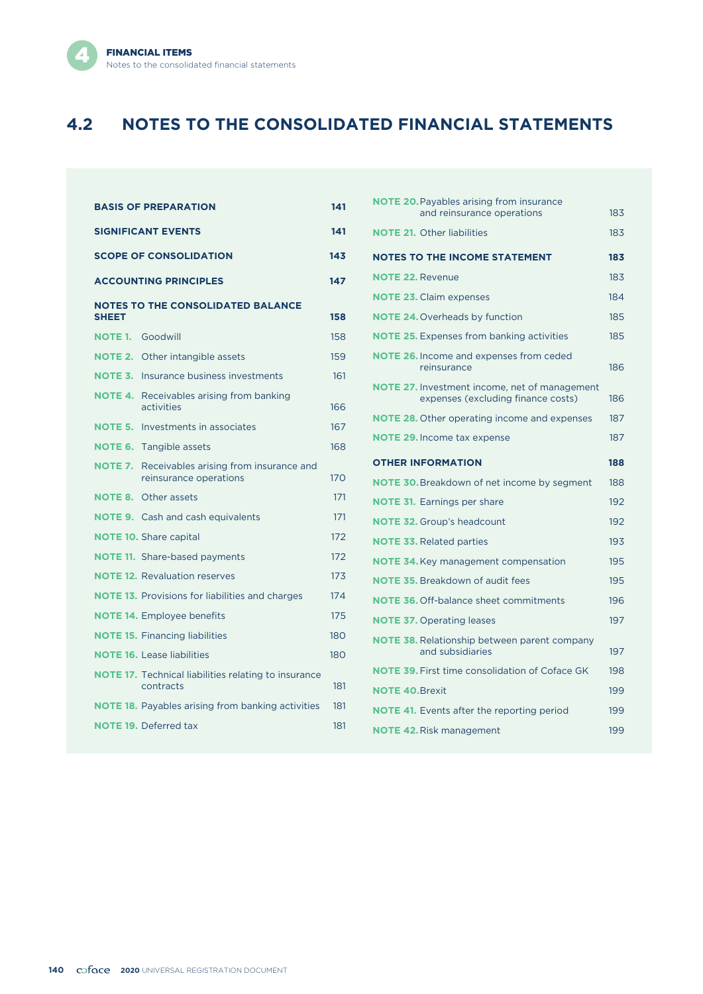

# **4.2 NOTES TO THE CONSOLIDATED FINANCIAL STATEMENTS**

| <b>BASIS OF PREPARATION</b>          |                                                                          |     |  |  |
|--------------------------------------|--------------------------------------------------------------------------|-----|--|--|
| <b>SIGNIFICANT EVENTS</b>            |                                                                          |     |  |  |
| <b>SCOPE OF CONSOLIDATION</b><br>143 |                                                                          |     |  |  |
|                                      | <b>ACCOUNTING PRINCIPLES</b>                                             | 147 |  |  |
| <b>SHEET</b>                         | <b>NOTES TO THE CONSOLIDATED BALANCE</b>                                 | 158 |  |  |
| <b>NOTE 1.</b>                       | Goodwill                                                                 | 158 |  |  |
|                                      | <b>NOTE 2.</b> Other intangible assets                                   | 159 |  |  |
|                                      | <b>NOTE 3.</b> Insurance business investments                            | 161 |  |  |
| <b>NOTE 4.</b>                       | Receivables arising from banking<br>activities                           | 166 |  |  |
|                                      | <b>NOTE 5.</b> Investments in associates                                 | 167 |  |  |
| <b>NOTE 6.</b>                       | Tangible assets                                                          | 168 |  |  |
| <b>NOTE 7.</b>                       | Receivables arising from insurance and<br>reinsurance operations         | 170 |  |  |
|                                      | <b>NOTE 8. Other assets</b>                                              | 171 |  |  |
|                                      | <b>NOTE 9.</b> Cash and cash equivalents                                 | 171 |  |  |
|                                      | <b>NOTE 10.</b> Share capital                                            | 172 |  |  |
|                                      | <b>NOTE 11.</b> Share-based payments                                     | 172 |  |  |
|                                      | <b>NOTE 12.</b> Revaluation reserves                                     | 173 |  |  |
|                                      | <b>NOTE 13.</b> Provisions for liabilities and charges                   | 174 |  |  |
|                                      | <b>NOTE 14.</b> Employee benefits                                        | 175 |  |  |
|                                      | <b>NOTE 15. Financing liabilities</b>                                    | 180 |  |  |
|                                      | <b>NOTE 16.</b> Lease liabilities                                        | 180 |  |  |
|                                      | <b>NOTE 17.</b> Technical liabilities relating to insurance<br>contracts | 181 |  |  |
|                                      | <b>NOTE 18.</b> Payables arising from banking activities                 | 181 |  |  |
|                                      | <b>NOTE 19. Deferred tax</b>                                             | 181 |  |  |

| <b>NOTE 20.</b> Payables arising from insurance<br>and reinsurance operations              | 183 |
|--------------------------------------------------------------------------------------------|-----|
| <b>NOTE 21.</b> Other liabilities                                                          | 183 |
| <b>NOTES TO THE INCOME STATEMENT</b>                                                       | 183 |
| <b>NOTE 22. Revenue</b>                                                                    | 183 |
| <b>NOTE 23. Claim expenses</b>                                                             | 184 |
| <b>NOTE 24. Overheads by function</b>                                                      | 185 |
| <b>NOTE 25.</b> Expenses from banking activities                                           | 185 |
| <b>NOTE 26.</b> Income and expenses from ceded<br>reinsurance                              | 186 |
| <b>NOTE 27.</b> Investment income, net of management<br>expenses (excluding finance costs) | 186 |
| <b>NOTE 28.</b> Other operating income and expenses                                        | 187 |
| <b>NOTE 29.</b> Income tax expense                                                         | 187 |
| <b>OTHER INFORMATION</b>                                                                   | 188 |
|                                                                                            |     |
| <b>NOTE 30.</b> Breakdown of net income by segment                                         | 188 |
| <b>NOTE 31.</b> Earnings per share                                                         | 192 |
| <b>NOTE 32.</b> Group's headcount                                                          | 192 |
| <b>NOTE 33. Related parties</b>                                                            | 193 |
| <b>NOTE 34.</b> Key management compensation                                                | 195 |
| <b>NOTE 35.</b> Breakdown of audit fees                                                    | 195 |
| <b>NOTE 36. Off-balance sheet commitments</b>                                              | 196 |
| <b>NOTE 37.</b> Operating leases                                                           | 197 |
| <b>NOTE 38.</b> Relationship between parent company<br>and subsidiaries                    | 197 |
| <b>NOTE 39. First time consolidation of Coface GK</b>                                      | 198 |
| <b>NOTE 40. Brexit</b>                                                                     | 199 |
| <b>NOTE 41.</b> Events after the reporting period                                          | 199 |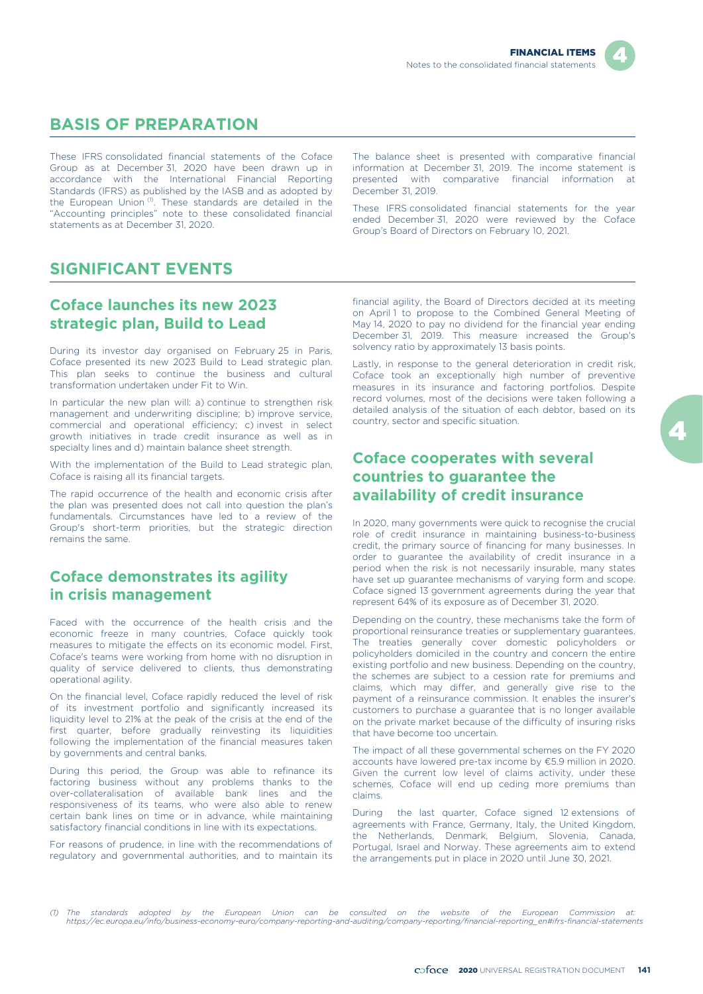

# **BASIS OF PREPARATION**

These IFRS consolidated financial statements of the Coface Group as at December 31, 2020 have been drawn up in accordance with the International Financial Reporting Standards (IFRS) as published by the IASB and as adopted by the European Union<sup>(1)</sup>. These standards are detailed in the "Accounting principles" note to these consolidated financial statements as at December 31, 2020.

The balance sheet is presented with comparative financial information at December 31, 2019. The income statement is presented with comparative financial information at December 31, 2019.

These IFRS consolidated financial statements for the year ended December 31, 2020 were reviewed by the Coface Group's Board of Directors on February 10, 2021.

## **SIGNIFICANT EVENTS**

### **Coface launches its new 2023 strategic plan, Build to Lead**

During its investor day organised on February 25 in Paris, Coface presented its new 2023 Build to Lead strategic plan. This plan seeks to continue the business and cultural transformation undertaken under Fit to Win.

In particular the new plan will: a) continue to strengthen risk management and underwriting discipline; b) improve service, commercial and operational efficiency; c) invest in select growth initiatives in trade credit insurance as well as in specialty lines and d) maintain balance sheet strength.

With the implementation of the Build to Lead strategic plan Coface is raising all its financial targets.

The rapid occurrence of the health and economic crisis after the plan was presented does not call into question the plan's fundamentals. Circumstances have led to a review of the Group's short-term priorities, but the strategic direction remains the same.

### **Coface demonstrates its agility in crisis management**

Faced with the occurrence of the health crisis and the economic freeze in many countries, Coface quickly took measures to mitigate the effects on its economic model. First, Coface's teams were working from home with no disruption in quality of service delivered to clients, thus demonstrating operational agility.

On the financial level, Coface rapidly reduced the level of risk of its investment portfolio and significantly increased its liquidity level to 21% at the peak of the crisis at the end of the first quarter, before gradually reinvesting its liquidities following the implementation of the financial measures taken by governments and central banks.

During this period, the Group was able to refinance its factoring business without any problems thanks to the over-collateralisation of available bank lines and the responsiveness of its teams, who were also able to renew certain bank lines on time or in advance, while maintaining satisfactory financial conditions in line with its expectations.

For reasons of prudence, in line with the recommendations of regulatory and governmental authorities, and to maintain its

financial agility, the Board of Directors decided at its meeting on April 1 to propose to the Combined General Meeting of May 14, 2020 to pay no dividend for the financial year ending December 31, 2019. This measure increased the Group's solvency ratio by approximately 13 basis points.

Lastly, in response to the general deterioration in credit risk, Coface took an exceptionally high number of preventive measures in its insurance and factoring portfolios. Despite record volumes, most of the decisions were taken following a detailed analysis of the situation of each debtor, based on its country, sector and specific situation.

### **Coface cooperates with several countries to guarantee the availability of credit insurance**

In 2020, many governments were quick to recognise the crucial role of credit insurance in maintaining business-to-business credit, the primary source of financing for many businesses. In order to guarantee the availability of credit insurance in a period when the risk is not necessarily insurable, many states have set up guarantee mechanisms of varying form and scope. Coface signed 13 government agreements during the year that represent 64% of its exposure as of December 31, 2020.

Depending on the country, these mechanisms take the form of proportional reinsurance treaties or supplementary guarantees. The treaties generally cover domestic policyholders or policyholders domiciled in the country and concern the entire existing portfolio and new business. Depending on the country, the schemes are subject to a cession rate for premiums and claims, which may differ, and generally give rise to the payment of a reinsurance commission. It enables the insurer's customers to purchase a guarantee that is no longer available on the private market because of the difficulty of insuring risks that have become too uncertain.

The impact of all these governmental schemes on the FY 2020 accounts have lowered pre-tax income by €5.9 million in 2020. Given the current low level of claims activity, under these schemes, Coface will end up ceding more premiums than claims.

During the last quarter, Coface signed 12 extensions of agreements with France, Germany, Italy, the United Kingdom, the Netherlands, Denmark, Belgium, Slovenia, Canada, Portugal, Israel and Norway. These agreements aim to extend the arrangements put in place in 2020 until June 30, 2021.

*<sup>(1)</sup> The standards adopted by the European Union can be consulted on the website of the European Commission at: https://ec.europa.eu/info/business-economy-euro/company-reporting-and-auditing/company-reporting/financial-reporting\_en#ifrs-financial-statements*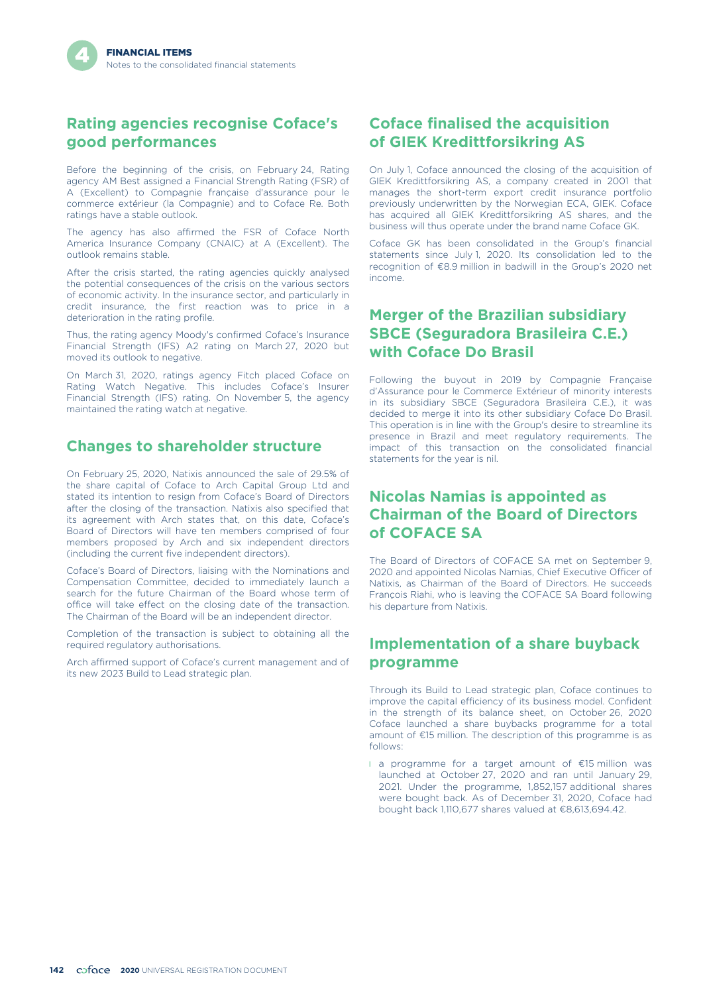### **Rating agencies recognise Coface's good performances**

Before the beginning of the crisis, on February 24, Rating agency AM Best assigned a Financial Strength Rating (FSR) of A (Excellent) to Compagnie française d'assurance pour le commerce extérieur (la Compagnie) and to Coface Re. Both ratings have a stable outlook.

The agency has also affirmed the FSR of Coface North America Insurance Company (CNAIC) at A (Excellent). The outlook remains stable.

After the crisis started, the rating agencies quickly analysed the potential consequences of the crisis on the various sectors of economic activity. In the insurance sector, and particularly in credit insurance, the first reaction was to price in a deterioration in the rating profile.

Thus, the rating agency Moody's confirmed Coface's Insurance Financial Strength (IFS) A2 rating on March 27, 2020 but moved its outlook to negative.

On March 31, 2020, ratings agency Fitch placed Coface on Rating Watch Negative. This includes Coface's Insurer Financial Strength (IFS) rating. On November 5, the agency maintained the rating watch at negative.

### **Changes to shareholder structure**

On February 25, 2020, Natixis announced the sale of 29.5% of the share capital of Coface to Arch Capital Group Ltd and stated its intention to resign from Coface's Board of Directors after the closing of the transaction. Natixis also specified that its agreement with Arch states that, on this date, Coface's Board of Directors will have ten members comprised of four members proposed by Arch and six independent directors (including the current five independent directors).

Coface's Board of Directors, liaising with the Nominations and Compensation Committee, decided to immediately launch a search for the future Chairman of the Board whose term of office will take effect on the closing date of the transaction. The Chairman of the Board will be an independent director.

Completion of the transaction is subject to obtaining all the required regulatory authorisations.

Arch affirmed support of Coface's current management and of its new 2023 Build to Lead strategic plan.

## **Coface finalised the acquisition of GIEK Kredittforsikring AS**

On July 1, Coface announced the closing of the acquisition of GIEK Kredittforsikring AS, a company created in 2001 that manages the short-term export credit insurance portfolio previously underwritten by the Norwegian ECA, GIEK. Coface has acquired all GIEK Kredittforsikring AS shares, and the business will thus operate under the brand name Coface GK.

Coface GK has been consolidated in the Group's financial statements since July 1, 2020. Its consolidation led to the recognition of €8.9 million in badwill in the Group's 2020 net income.

## **Merger of the Brazilian subsidiary SBCE (Seguradora Brasileira C.E.) with Coface Do Brasil**

Following the buyout in 2019 by Compagnie Française d'Assurance pour le Commerce Extérieur of minority interests in its subsidiary SBCE (Seguradora Brasileira C.E.), it was decided to merge it into its other subsidiary Coface Do Brasil. This operation is in line with the Group's desire to streamline its presence in Brazil and meet regulatory requirements. The impact of this transaction on the consolidated financial statements for the year is nil.

### **Nicolas Namias is appointed as Chairman of the Board of Directors of COFACE SA**

The Board of Directors of COFACE SA met on September 9, 2020 and appointed Nicolas Namias, Chief Executive Officer of Natixis, as Chairman of the Board of Directors. He succeeds François Riahi, who is leaving the COFACE SA Board following his departure from Natixis.

## **Implementation of a share buyback programme**

Through its Build to Lead strategic plan, Coface continues to improve the capital efficiency of its business model. Confident in the strength of its balance sheet, on October 26, 2020 Coface launched a share buybacks programme for a total amount of €15 million. The description of this programme is as follows:

l a programme for a target amount of €15 million was launched at October 27, 2020 and ran until January 29, 2021. Under the programme, 1,852,157 additional shares were bought back. As of December 31, 2020, Coface had bought back 1,110,677 shares valued at €8,613,694.42.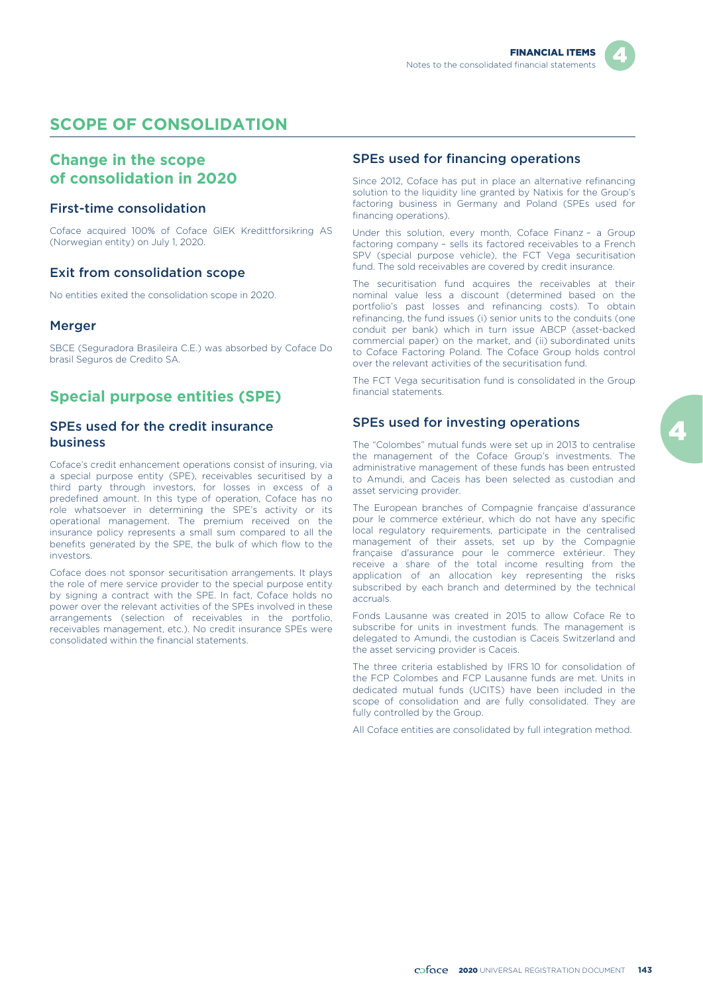

## **SCOPE OF CONSOLIDATION**

### **Change in the scope of consolidation in 2020**

#### First-time consolidation

Coface acquired 100% of Coface GIEK Kredittforsikring AS (Norwegian entity) on July 1, 2020.

#### Exit from consolidation scope

No entities exited the consolidation scope in 2020.

#### Merger

SBCE (Seguradora Brasileira C.E.) was absorbed by Coface Do brasil Seguros de Credito SA.

### **Special purpose entities (SPE)**

#### SPEs used for the credit insurance business

Coface's credit enhancement operations consist of insuring, via a special purpose entity (SPE), receivables securitised by a third party through investors, for losses in excess of a predefined amount. In this type of operation, Coface has no role whatsoever in determining the SPE's activity or its operational management. The premium received on the insurance policy represents a small sum compared to all the benefits generated by the SPE, the bulk of which flow to the investors.

Coface does not sponsor securitisation arrangements. It plays the role of mere service provider to the special purpose entity by signing a contract with the SPE. In fact, Coface holds no power over the relevant activities of the SPEs involved in these arrangements (selection of receivables in the portfolio, receivables management, etc.). No credit insurance SPEs were consolidated within the financial statements.

#### SPEs used for financing operations

Since 2012, Coface has put in place an alternative refinancing solution to the liquidity line granted by Natixis for the Group's factoring business in Germany and Poland (SPEs used for financing operations).

Under this solution, every month, Coface Finanz – a Group factoring company – sells its factored receivables to a French SPV (special purpose vehicle), the FCT Vega securitisation fund. The sold receivables are covered by credit insurance.

The securitisation fund acquires the receivables at their nominal value less a discount (determined based on the portfolio's past losses and refinancing costs). To obtain refinancing, the fund issues (i) senior units to the conduits (one conduit per bank) which in turn issue ABCP (asset-backed commercial paper) on the market, and (ii) subordinated units to Coface Factoring Poland. The Coface Group holds control over the relevant activities of the securitisation fund.

The FCT Vega securitisation fund is consolidated in the Group financial statements.

#### SPEs used for investing operations

The "Colombes" mutual funds were set up in 2013 to centralise the management of the Coface Group's investments. The administrative management of these funds has been entrusted to Amundi, and Caceis has been selected as custodian and asset servicing provider.

The European branches of Compagnie française d'assurance pour le commerce extérieur, which do not have any specific local regulatory requirements, participate in the centralised management of their assets, set up by the Compagnie française d'assurance pour le commerce extérieur. They receive a share of the total income resulting from the application of an allocation key representing the risks subscribed by each branch and determined by the technical accruals.

Fonds Lausanne was created in 2015 to allow Coface Re to subscribe for units in investment funds. The management is delegated to Amundi, the custodian is Caceis Switzerland and the asset servicing provider is Caceis.

The three criteria established by IFRS 10 for consolidation of the FCP Colombes and FCP Lausanne funds are met. Units in dedicated mutual funds (UCITS) have been included in the scope of consolidation and are fully consolidated. They are fully controlled by the Group.

All Coface entities are consolidated by full integration method.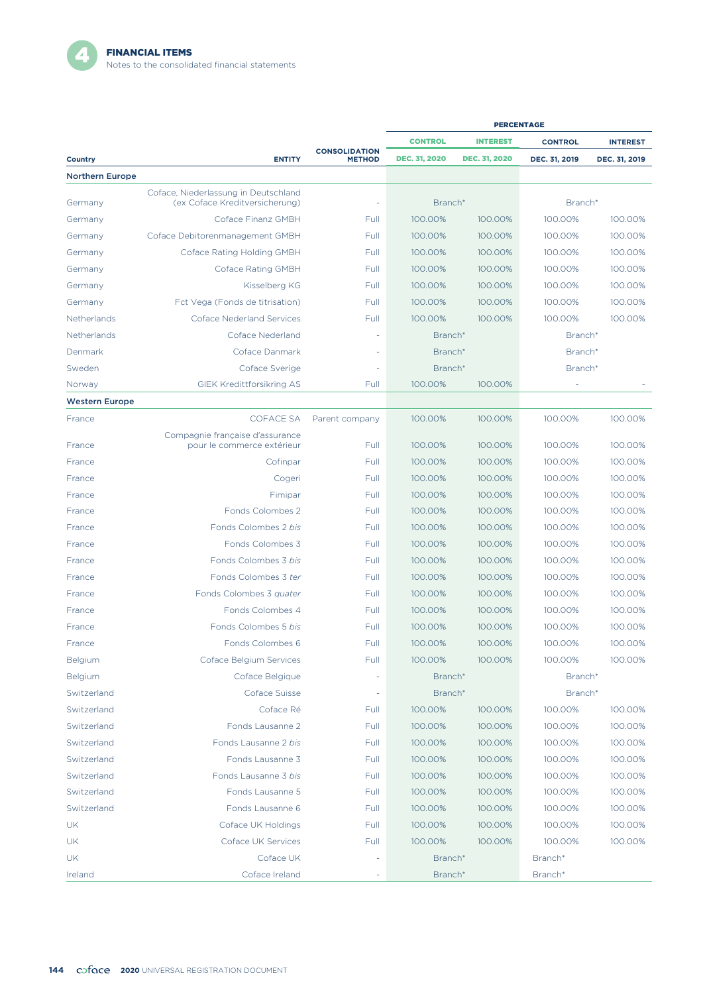|                        |                                                                        |                                       | <b>PERCENTAGE</b>    |                      |                |                 |
|------------------------|------------------------------------------------------------------------|---------------------------------------|----------------------|----------------------|----------------|-----------------|
|                        |                                                                        |                                       | <b>CONTROL</b>       | <b>INTEREST</b>      | <b>CONTROL</b> | <b>INTEREST</b> |
| <b>Country</b>         | <b>ENTITY</b>                                                          | <b>CONSOLIDATION</b><br><b>METHOD</b> | <b>DEC. 31, 2020</b> | <b>DEC. 31, 2020</b> | DEC. 31, 2019  | DEC. 31, 2019   |
| <b>Northern Europe</b> |                                                                        |                                       |                      |                      |                |                 |
| Germany                | Coface, Niederlassung in Deutschland<br>(ex Coface Kreditversicherung) |                                       | Branch*              |                      | Branch*        |                 |
| Germany                | Coface Finanz GMBH                                                     | Full                                  | 100.00%              | 100.00%              | 100.00%        | 100.00%         |
| Germany                | Coface Debitorenmanagement GMBH                                        | Full                                  | 100.00%              | 100.00%              | 100.00%        | 100.00%         |
| Germany                | Coface Rating Holding GMBH                                             | Full                                  | 100.00%              | 100.00%              | 100.00%        | 100.00%         |
| Germany                | Coface Rating GMBH                                                     | Full                                  | 100.00%              | 100.00%              | 100.00%        | 100.00%         |
| Germany                | Kisselberg KG                                                          | Full                                  | 100.00%              | 100.00%              | 100.00%        | 100.00%         |
| Germany                | Fct Vega (Fonds de titrisation)                                        | Full                                  | 100.00%              | 100.00%              | 100.00%        | 100.00%         |
| Netherlands            | <b>Coface Nederland Services</b>                                       | Full                                  | 100.00%              | 100.00%              | 100.00%        | 100.00%         |
| Netherlands            | Coface Nederland                                                       |                                       | Branch*              |                      | Branch*        |                 |
| Denmark                | Coface Danmark                                                         |                                       | Branch*              |                      | Branch*        |                 |
| Sweden                 | Coface Sverige                                                         |                                       | Branch*              |                      | Branch*        |                 |
| Norway                 | <b>GIEK Kredittforsikring AS</b>                                       | Full                                  | 100.00%              | 100.00%              |                |                 |
| <b>Western Europe</b>  |                                                                        |                                       |                      |                      |                |                 |
| France                 | <b>COFACE SA</b>                                                       | Parent company                        | 100.00%              | 100.00%              | 100.00%        | 100.00%         |
| France                 | Compagnie française d'assurance<br>pour le commerce extérieur          | Full                                  | 100.00%              | 100.00%              | 100.00%        | 100.00%         |
| France                 | Cofinpar                                                               | Full                                  | 100.00%              | 100.00%              | 100.00%        | 100.00%         |
| France                 | Cogeri                                                                 | Full                                  | 100.00%              | 100.00%              | 100.00%        | 100.00%         |
| France                 | Fimipar                                                                | Full                                  | 100.00%              | 100.00%              | 100.00%        | 100.00%         |
| France                 | Fonds Colombes 2                                                       | Full                                  | 100.00%              | 100.00%              | 100.00%        | 100.00%         |
| France                 | Fonds Colombes 2 bis                                                   | Full                                  | 100.00%              | 100.00%              | 100.00%        | 100.00%         |
| France                 | Fonds Colombes 3                                                       | Full                                  | 100.00%              | 100.00%              | 100.00%        | 100.00%         |
| France                 | Fonds Colombes 3 bis                                                   | Full                                  | 100.00%              | 100.00%              | 100.00%        | 100.00%         |
| France                 | Fonds Colombes 3 ter                                                   | Full                                  | 100.00%              | 100.00%              | 100.00%        | 100.00%         |
| France                 | Fonds Colombes 3 quater                                                | Full                                  | 100.00%              | 100.00%              | 100.00%        | 100.00%         |
| France                 | Fonds Colombes 4                                                       | Full                                  | 100.00%              | 100.00%              | 100.00%        | 100.00%         |
| France                 | Fonds Colombes 5 bis                                                   | Full                                  | 100.00%              | 100.00%              | 100.00%        | 100.00%         |
| France                 | Fonds Colombes 6                                                       | Full                                  | 100.00%              | 100.00%              | 100.00%        | 100.00%         |
| Belgium                | Coface Belgium Services                                                | Full                                  | 100.00%              | 100.00%              | 100.00%        | 100.00%         |
| Belgium                | Coface Belgique                                                        |                                       | Branch*              |                      | Branch*        |                 |
| Switzerland            | Coface Suisse                                                          | ÷                                     | Branch*              |                      | Branch*        |                 |
| Switzerland            | Coface Ré                                                              | Full                                  | 100.00%              | 100.00%              | 100.00%        | 100.00%         |
| Switzerland            | Fonds Lausanne 2                                                       | Full                                  | 100.00%              | 100.00%              | 100.00%        | 100.00%         |
| Switzerland            | Fonds Lausanne 2 bis                                                   | Full                                  | 100.00%              | 100.00%              | 100.00%        | 100.00%         |
| Switzerland            | Fonds Lausanne 3                                                       | Full                                  | 100.00%              | 100.00%              | 100.00%        | 100.00%         |
| Switzerland            | Fonds Lausanne 3 bis                                                   | Full                                  | 100.00%              | 100.00%              | 100.00%        | 100.00%         |
| Switzerland            | Fonds Lausanne 5                                                       | Full                                  | 100.00%              | 100.00%              | 100.00%        | 100.00%         |
| Switzerland            | Fonds Lausanne 6                                                       | Full                                  | 100.00%              | 100.00%              | 100.00%        | 100.00%         |
| UK                     | Coface UK Holdings                                                     | Full                                  | 100.00%              | 100.00%              | 100.00%        | 100.00%         |
| UK                     | Coface UK Services                                                     | Full                                  | 100.00%              | 100.00%              | 100.00%        | 100.00%         |
| UK                     | Coface UK                                                              |                                       | Branch*              |                      | Branch*        |                 |
| Ireland                | Coface Ireland                                                         |                                       | Branch*              |                      | Branch*        |                 |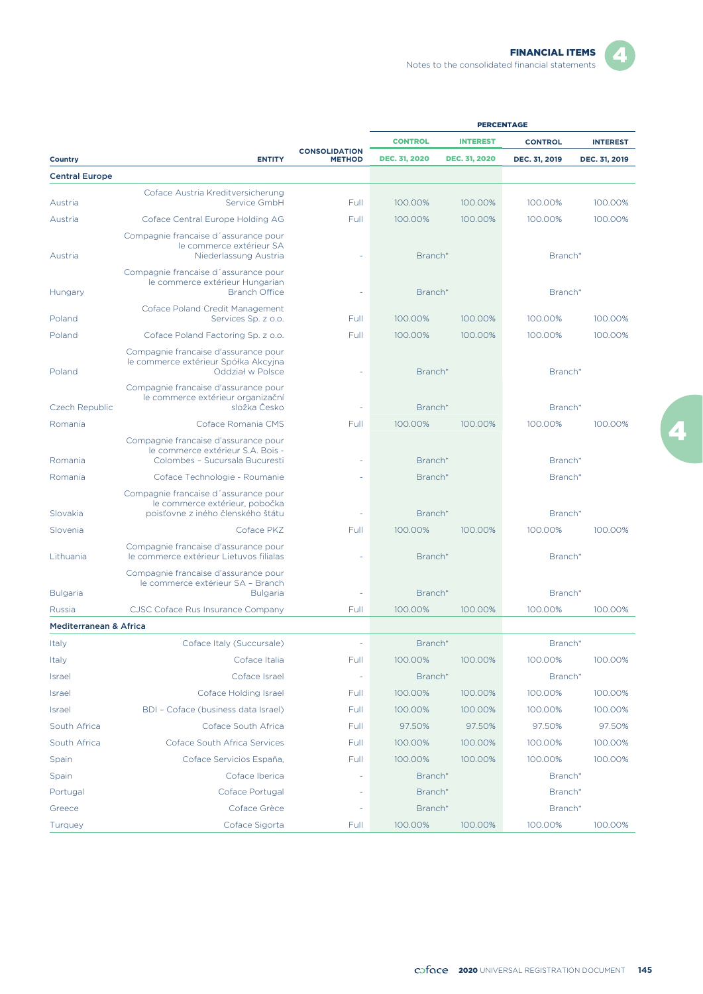| - |  |
|---|--|

|                                             |                                                                                                             |                                       |                      | <b>PERCENTAGE</b>    |                |                 |
|---------------------------------------------|-------------------------------------------------------------------------------------------------------------|---------------------------------------|----------------------|----------------------|----------------|-----------------|
|                                             |                                                                                                             |                                       | <b>CONTROL</b>       | <b>INTEREST</b>      | <b>CONTROL</b> | <b>INTEREST</b> |
| Country                                     | <b>ENTITY</b>                                                                                               | <b>CONSOLIDATION</b><br><b>METHOD</b> | <b>DEC. 31, 2020</b> | <b>DEC. 31, 2020</b> | DEC. 31, 2019  | DEC. 31, 2019   |
| <b>Central Europe</b>                       |                                                                                                             |                                       |                      |                      |                |                 |
|                                             | Coface Austria Kreditversicherung                                                                           |                                       |                      |                      |                |                 |
| Austria                                     | Service GmbH                                                                                                | Full                                  | 100.00%              | 100.00%              | 100.00%        | 100.00%         |
| Austria                                     | Coface Central Europe Holding AG                                                                            | Full                                  | 100.00%              | 100.00%              | 100.00%        | 100.00%         |
| Austria                                     | Compagnie francaise d'assurance pour<br>le commerce extérieur SA<br>Niederlassung Austria                   |                                       | Branch*              |                      | Branch*        |                 |
| Hungary                                     | Compagnie francaise d'assurance pour<br>le commerce extérieur Hungarian<br><b>Branch Office</b>             | $\sim$                                | Branch*              |                      | Branch*        |                 |
|                                             | Coface Poland Credit Management                                                                             |                                       |                      |                      |                |                 |
| Poland                                      | Services Sp. z o.o.                                                                                         | Full                                  | 100.00%              | 100.00%              | 100.00%        | 100.00%         |
| Poland                                      | Coface Poland Factoring Sp. z o.o.                                                                          | Full                                  | 100.00%              | 100.00%              | 100.00%        | 100.00%         |
| Poland                                      | Compagnie francaise d'assurance pour<br>le commerce extérieur Spółka Akcyjna<br>Oddział w Polsce            |                                       | Branch*              |                      | Branch*        |                 |
| Czech Republic                              | Compagnie francaise d'assurance pour<br>le commerce extérieur organizační<br>složka Česko                   | ÷,                                    | Branch*              |                      | Branch*        |                 |
|                                             | Coface Romania CMS                                                                                          |                                       | 100.00%              | 100.00%              | 100.00%        | 100.00%         |
| Romania                                     |                                                                                                             | Full                                  |                      |                      |                |                 |
| Romania                                     | Compagnie francaise d'assurance pour<br>le commerce extérieur S.A. Bois -<br>Colombes - Sucursala Bucuresti |                                       | Branch*              |                      | Branch*        |                 |
| Romania                                     | Coface Technologie - Roumanie                                                                               |                                       | Branch*              |                      | Branch*        |                 |
| Slovakia                                    | Compagnie francaise d'assurance pour<br>le commerce extérieur, pobočka<br>poisťovne z iného členského štátu | ÷,                                    | Branch*              |                      | Branch*        |                 |
| Slovenia                                    | Coface PKZ                                                                                                  | Full                                  | 100.00%              | 100.00%              | 100.00%        | 100.00%         |
| Lithuania                                   | Compagnie francaise d'assurance pour<br>le commerce extérieur Lietuvos filialas                             |                                       | Branch*              |                      | Branch*        |                 |
|                                             | Compagnie francaise d'assurance pour<br>le commerce extérieur SA - Branch<br><b>Bulgaria</b>                |                                       | Branch*              |                      | Branch*        |                 |
| <b>Bulgaria</b>                             |                                                                                                             |                                       | 100.00%              | 100.00%              | 100.00%        | 100.00%         |
| Russia<br><b>Mediterranean &amp; Africa</b> | CJSC Coface Rus Insurance Company                                                                           | Full                                  |                      |                      |                |                 |
|                                             |                                                                                                             |                                       |                      |                      |                |                 |
| Italy                                       | Coface Italy (Succursale)                                                                                   |                                       | Branch*              |                      | Branch*        |                 |
| Italy                                       | Coface Italia                                                                                               | Full                                  | 100.00%              | 100.00%              | 100.00%        | 100.00%         |
| Israel                                      | Coface Israel                                                                                               | ÷,                                    | Branch*              |                      | Branch*        |                 |
| <b>Israel</b>                               | Coface Holding Israel                                                                                       | Full                                  | 100.00%              | 100.00%              | 100.00%        | 100.00%         |
| Israel                                      | BDI - Coface (business data Israel)                                                                         | Full                                  | 100.00%              | 100.00%              | 100.00%        | 100.00%         |
| South Africa                                | Coface South Africa                                                                                         | Full                                  | 97.50%               | 97.50%               | 97.50%         | 97.50%          |
| South Africa                                | Coface South Africa Services                                                                                | Full                                  | 100.00%              | 100.00%              | 100.00%        | 100.00%         |
| Spain                                       | Coface Servicios España,                                                                                    | Full                                  | 100.00%              | 100.00%              | 100.00%        | 100.00%         |
| Spain                                       | Coface Iberica                                                                                              |                                       | Branch*              |                      | Branch*        |                 |
| Portugal                                    | Coface Portugal                                                                                             |                                       | Branch*              |                      | Branch*        |                 |
| Greece                                      | Coface Grèce                                                                                                | ÷,                                    | Branch*              |                      | Branch*        |                 |
| Turquey                                     | Coface Sigorta                                                                                              | Full                                  | 100.00%              | 100.00%              | 100.00%        | 100.00%         |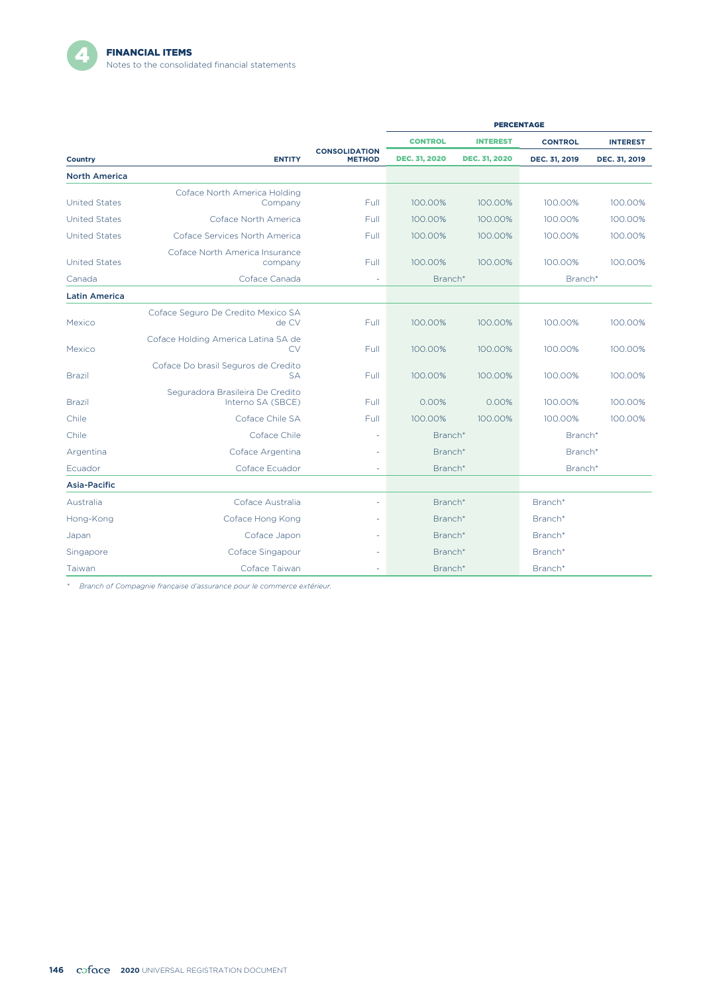|                      |                                                       |                                       | <b>PERCENTAGE</b>    |                      |                |                 |
|----------------------|-------------------------------------------------------|---------------------------------------|----------------------|----------------------|----------------|-----------------|
|                      |                                                       |                                       | <b>CONTROL</b>       | <b>INTEREST</b>      | <b>CONTROL</b> | <b>INTEREST</b> |
| Country              | <b>ENTITY</b>                                         | <b>CONSOLIDATION</b><br><b>METHOD</b> | <b>DEC. 31, 2020</b> | <b>DEC. 31, 2020</b> | DEC. 31, 2019  | DEC. 31, 2019   |
| <b>North America</b> |                                                       |                                       |                      |                      |                |                 |
|                      | Coface North America Holding                          |                                       |                      |                      |                |                 |
| <b>United States</b> | Company                                               | Full                                  | 100.00%              | 100.00%              | 100.00%        | 100.00%         |
| <b>United States</b> | Coface North America                                  | Full                                  | 100.00%              | 100.00%              | 100.00%        | 100.00%         |
| <b>United States</b> | Coface Services North America                         | Full                                  | 100.00%              | 100.00%              | 100.00%        | 100.00%         |
| <b>United States</b> | Coface North America Insurance<br>company             | Full                                  | 100.00%              | 100.00%              | 100.00%        | 100.00%         |
| Canada               | Coface Canada                                         |                                       | Branch*              |                      | Branch*        |                 |
| <b>Latin America</b> |                                                       |                                       |                      |                      |                |                 |
| Mexico               | Coface Seguro De Credito Mexico SA<br>de CV           | Full                                  | 100.00%              | 100.00%              | 100.00%        | 100.00%         |
| Mexico               | Coface Holding America Latina SA de<br>CV             | Full                                  | 100.00%              | 100.00%              | 100.00%        | 100.00%         |
| <b>Brazil</b>        | Coface Do brasil Seguros de Credito<br><b>SA</b>      | Full                                  | 100.00%              | 100.00%              | 100.00%        | 100.00%         |
| <b>Brazil</b>        | Seguradora Brasileira De Credito<br>Interno SA (SBCE) | Full                                  | 0.00%                | 0.00%                | 100.00%        | 100.00%         |
| Chile                | Coface Chile SA                                       | Full                                  | 100.00%              | 100.00%              | 100.00%        | 100.00%         |
| Chile                | Coface Chile                                          | ÷,                                    | Branch*              |                      | Branch*        |                 |
| Argentina            | Coface Argentina                                      | ÷,                                    | Branch*              |                      | Branch*        |                 |
| Ecuador              | Coface Ecuador                                        |                                       | Branch*              |                      | Branch*        |                 |
| Asia-Pacific         |                                                       |                                       |                      |                      |                |                 |
| Australia            | Coface Australia                                      |                                       | Branch*              |                      | Branch*        |                 |
| Hong-Kong            | Coface Hong Kong                                      |                                       | Branch*<br>Branch*   |                      |                |                 |
| Japan                | Coface Japon                                          |                                       | Branch*<br>Branch*   |                      |                |                 |
| Singapore            | Coface Singapour                                      |                                       | Branch*              |                      | Branch*        |                 |
| Taiwan               | Coface Taiwan                                         |                                       | Branch*              |                      | Branch*        |                 |

*\* Branch of Compagnie française d'assurance pour le commerce extérieur.*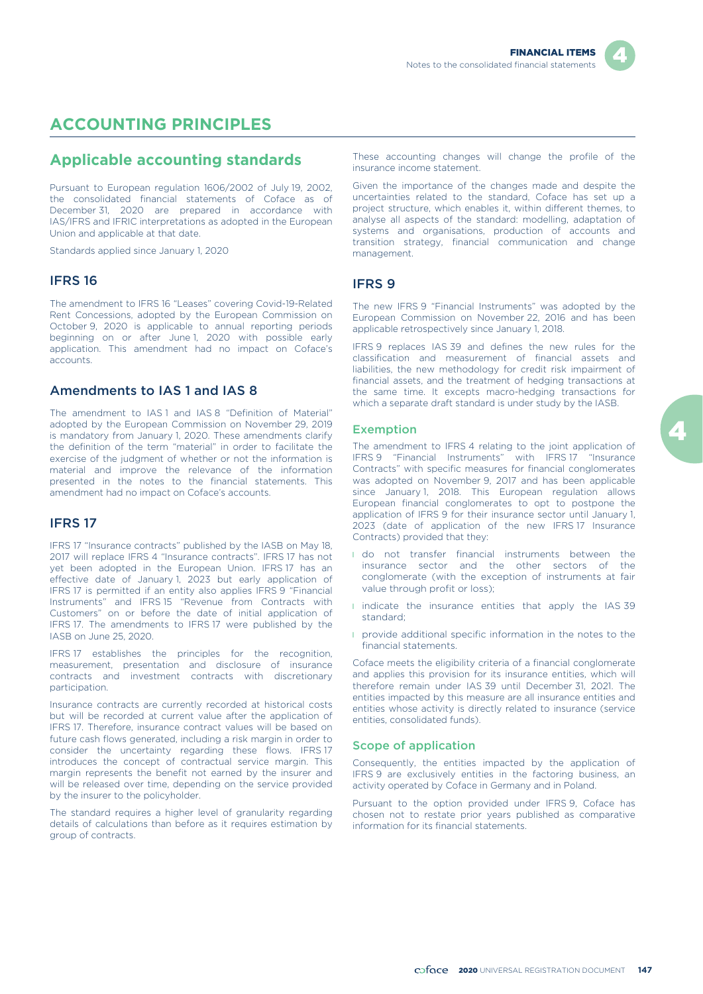## **ACCOUNTING PRINCIPLES**

#### **Applicable accounting standards**

Pursuant to European regulation 1606/2002 of July 19, 2002, the consolidated financial statements of Coface as of December 31, 2020 are prepared in accordance with IAS/IFRS and IFRIC interpretations as adopted in the European Union and applicable at that date.

Standards applied since January 1, 2020

#### IFRS 16

The amendment to IFRS 16 "Leases" covering Covid-19-Related Rent Concessions, adopted by the European Commission on October 9, 2020 is applicable to annual reporting periods beginning on or after June 1, 2020 with possible early application. This amendment had no impact on Coface's accounts.

#### Amendments to IAS 1 and IAS 8

The amendment to IAS1 and IAS8 "Definition of Material" adopted by the European Commission on November 29, 2019 is mandatory from January 1, 2020. These amendments clarify the definition of the term "material" in order to facilitate the exercise of the judgment of whether or not the information is material and improve the relevance of the information presented in the notes to the financial statements. This amendment had no impact on Coface's accounts.

#### IFRS 17

IFRS 17 "Insurance contracts" published by the IASB on May 18, 2017 will replace IFRS 4 "Insurance contracts". IFRS 17 has not yet been adopted in the European Union. IFRS 17 has an effective date of January 1, 2023 but early application of IFRS 17 is permitted if an entity also applies IFRS 9 "Financial Instruments" and IFRS 15 "Revenue from Contracts with Customers" on or before the date of initial application of IFRS 17. The amendments to IFRS 17 were published by the IASB on June 25, 2020.

IFRS 17 establishes the principles for the recognition, measurement, presentation and disclosure of insurance contracts and investment contracts with discretionary participation.

Insurance contracts are currently recorded at historical costs but will be recorded at current value after the application of IFRS 17. Therefore, insurance contract values will be based on future cash flows generated, including a risk margin in order to consider the uncertainty regarding these flows. IFRS 17 introduces the concept of contractual service margin. This margin represents the benefit not earned by the insurer and will be released over time, depending on the service provided by the insurer to the policyholder.

The standard requires a higher level of granularity regarding details of calculations than before as it requires estimation by group of contracts.

These accounting changes will change the profile of the insurance income statement.

Given the importance of the changes made and despite the uncertainties related to the standard, Coface has set up a project structure, which enables it, within different themes, to analyse all aspects of the standard: modelling, adaptation of systems and organisations, production of accounts and transition strategy, financial communication and change management.

#### IFRS 9

The new IFRS 9 "Financial Instruments" was adopted by the European Commission on November 22, 2016 and has been applicable retrospectively since January 1, 2018.

IFRS 9 replaces IAS 39 and defines the new rules for the classification and measurement of financial assets and liabilities, the new methodology for credit risk impairment of financial assets, and the treatment of hedging transactions at the same time. It excepts macro-hedging transactions for which a separate draft standard is under study by the IASB.

#### Exemption

The amendment to IFRS 4 relating to the joint application of IFRS 9 "Financial Instruments" with IFRS 17 "Insurance Contracts" with specific measures for financial conglomerates was adopted on November 9, 2017 and has been applicable since January 1, 2018. This European regulation allows European financial conglomerates to opt to postpone the application of IFRS 9 for their insurance sector until January 1, 2023 (date of application of the new IFRS 17 Insurance Contracts) provided that they:

- **I** do not transfer financial instruments between the insurance sector and the other sectors of the conglomerate (with the exception of instruments at fair value through profit or loss);
- I indicate the insurance entities that apply the IAS 39 standard;
- **n** provide additional specific information in the notes to the financial statements.

Coface meets the eligibility criteria of a financial conglomerate and applies this provision for its insurance entities, which will therefore remain under IAS 39 until December 31, 2021. The entities impacted by this measure are all insurance entities and entities whose activity is directly related to insurance (service entities, consolidated funds).

#### Scope of application

Consequently, the entities impacted by the application of IFRS 9 are exclusively entities in the factoring business, an activity operated by Coface in Germany and in Poland.

Pursuant to the option provided under IFRS 9, Coface has chosen not to restate prior years published as comparative information for its financial statements.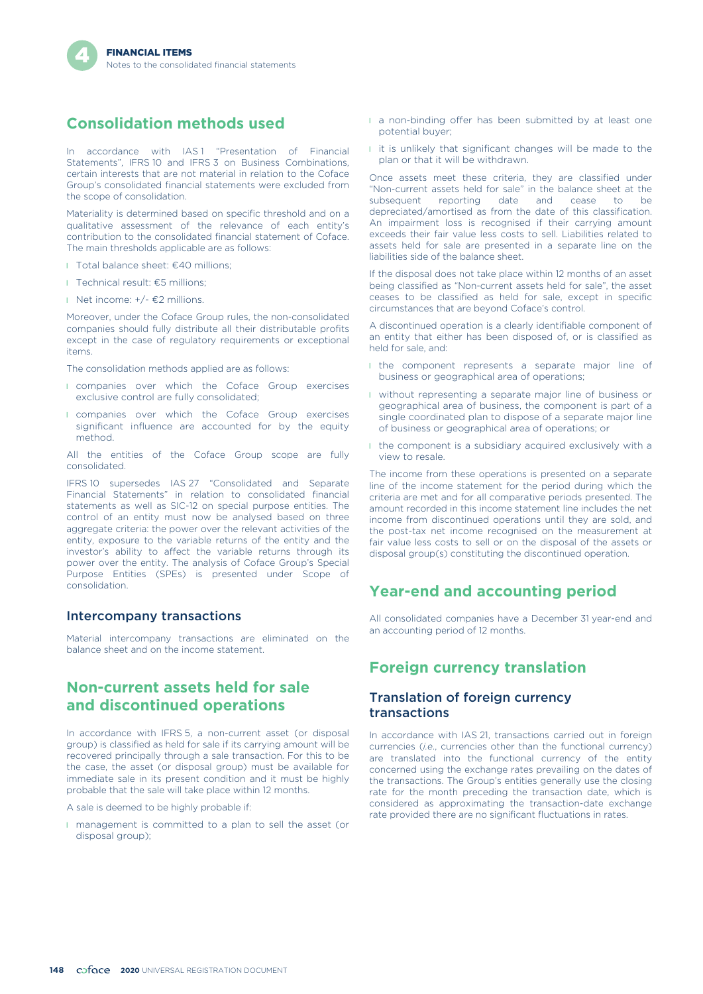## **Consolidation methods used**

In accordance with IAS1 "Presentation of Financial Statements", IFRS 10 and IFRS 3 on Business Combinations, certain interests that are not material in relation to the Coface Group's consolidated financial statements were excluded from the scope of consolidation.

Materiality is determined based on specific threshold and on a qualitative assessment of the relevance of each entity's contribution to the consolidated financial statement of Coface. The main thresholds applicable are as follows:

- l Total balance sheet: €40 millions;
- l Technical result: €5 millions;
- l Net income:  $+/ \in$ 2 millions.

Moreover, under the Coface Group rules, the non-consolidated companies should fully distribute all their distributable profits except in the case of regulatory requirements or exceptional items.

The consolidation methods applied are as follows:

- **I** companies over which the Coface Group exercises exclusive control are fully consolidated;
- **I** companies over which the Coface Group exercises significant influence are accounted for by the equity method.

All the entities of the Coface Group scope are fully consolidated.

IFRS 10 supersedes IAS 27 "Consolidated and Separate Financial Statements" in relation to consolidated financial statements as well as SIC-12 on special purpose entities. The control of an entity must now be analysed based on three aggregate criteria: the power over the relevant activities of the entity, exposure to the variable returns of the entity and the investor's ability to affect the variable returns through its power over the entity. The analysis of Coface Group's Special Purpose Entities (SPEs) is presented under Scope of consolidation.

#### Intercompany transactions

Material intercompany transactions are eliminated on the balance sheet and on the income statement.

#### **Non-current assets held for sale and discontinued operations**

In accordance with IFRS 5, a non-current asset (or disposal group) is classified as held for sale if its carrying amount will be recovered principally through a sale transaction. For this to be the case, the asset (or disposal group) must be available for immediate sale in its present condition and it must be highly probable that the sale will take place within 12 months.

A sale is deemed to be highly probable if:

l management is committed to a plan to sell the asset (or disposal group);

- I a non-binding offer has been submitted by at least one potential buyer;
- l it is unlikely that significant changes will be made to the plan or that it will be withdrawn.

Once assets meet these criteria, they are classified under "Non-current assets held for sale" in the balance sheet at the subsequent reporting date and cease to be depreciated/amortised as from the date of this classification. An impairment loss is recognised if their carrying amount exceeds their fair value less costs to sell. Liabilities related to assets held for sale are presented in a separate line on the liabilities side of the balance sheet.

If the disposal does not take place within 12 months of an asset being classified as "Non-current assets held for sale", the asset ceases to be classified as held for sale, except in specific circumstances that are beyond Coface's control.

A discontinued operation is a clearly identifiable component of an entity that either has been disposed of, or is classified as held for sale, and:

- **I** the component represents a separate major line of business or geographical area of operations;
- **I** without representing a separate major line of business or geographical area of business, the component is part of a single coordinated plan to dispose of a separate major line of business or geographical area of operations; or
- l the component is a subsidiary acquired exclusively with a view to resale.

The income from these operations is presented on a separate line of the income statement for the period during which the criteria are met and for all comparative periods presented. The amount recorded in this income statement line includes the net income from discontinued operations until they are sold, and the post-tax net income recognised on the measurement at fair value less costs to sell or on the disposal of the assets or disposal group(s) constituting the discontinued operation.

## **Year-end and accounting period**

All consolidated companies have a December 31 year-end and an accounting period of 12 months.

## **Foreign currency translation**

#### Translation of foreign currency transactions

In accordance with IAS 21, transactions carried out in foreign currencies (*i.e*., currencies other than the functional currency) are translated into the functional currency of the entity concerned using the exchange rates prevailing on the dates of the transactions. The Group's entities generally use the closing rate for the month preceding the transaction date, which is considered as approximating the transaction-date exchange rate provided there are no significant fluctuations in rates.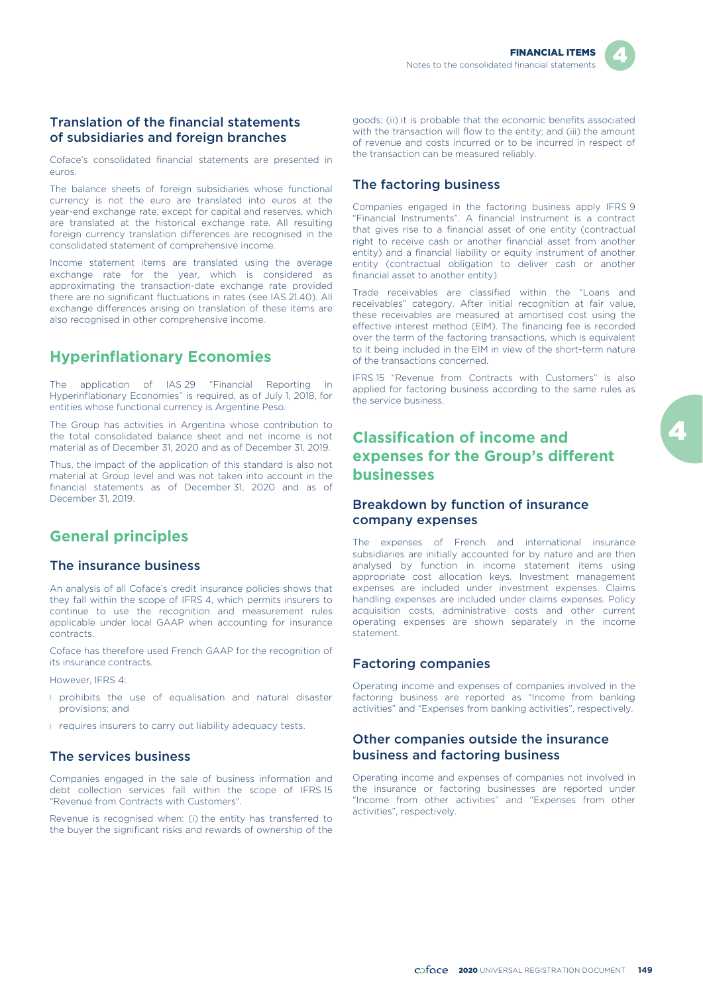#### Translation of the financial statements of subsidiaries and foreign branches

Coface's consolidated financial statements are presented in euros.

The balance sheets of foreign subsidiaries whose functional currency is not the euro are translated into euros at the year-end exchange rate, except for capital and reserves, which are translated at the historical exchange rate. All resulting foreign currency translation differences are recognised in the consolidated statement of comprehensive income.

Income statement items are translated using the average exchange rate for the year, which is considered as approximating the transaction-date exchange rate provided there are no significant fluctuations in rates (see IAS 21.40). All exchange differences arising on translation of these items are also recognised in other comprehensive income.

## **Hyperinflationary Economies**

The application of IAS 29 "Financial Reporting in Hyperinflationary Economies" is required, as of July 1, 2018, for entities whose functional currency is Argentine Peso.

The Group has activities in Argentina whose contribution to the total consolidated balance sheet and net income is not material as of December 31, 2020 and as of December 31, 2019.

Thus, the impact of the application of this standard is also not material at Group level and was not taken into account in the financial statements as of December 31, 2020 and as of December 31, 2019.

### **General principles**

#### The insurance business

An analysis of all Coface's credit insurance policies shows that they fall within the scope of IFRS 4, which permits insurers to continue to use the recognition and measurement rules applicable under local GAAP when accounting for insurance contracts.

Coface has therefore used French GAAP for the recognition of its insurance contracts.

However, IFRS 4:

- **I** prohibits the use of equalisation and natural disaster provisions; and
- **I** requires insurers to carry out liability adequacy tests.

#### The services business

Companies engaged in the sale of business information and debt collection services fall within the scope of IFRS 15 "Revenue from Contracts with Customers".

Revenue is recognised when: (i) the entity has transferred to the buyer the significant risks and rewards of ownership of the goods; (ii) it is probable that the economic benefits associated with the transaction will flow to the entity; and (iii) the amount of revenue and costs incurred or to be incurred in respect of the transaction can be measured reliably.

#### The factoring business

Companies engaged in the factoring business apply IFRS 9 "Financial Instruments". A financial instrument is a contract that gives rise to a financial asset of one entity (contractual right to receive cash or another financial asset from another entity) and a financial liability or equity instrument of another entity (contractual obligation to deliver cash or another financial asset to another entity).

Trade receivables are classified within the "Loans and receivables" category. After initial recognition at fair value, these receivables are measured at amortised cost using the effective interest method (EIM). The financing fee is recorded over the term of the factoring transactions, which is equivalent to it being included in the EIM in view of the short-term nature of the transactions concerned.

IFRS 15 "Revenue from Contracts with Customers" is also applied for factoring business according to the same rules as the service business.

## **Classification of income and expenses for the Group's different businesses**

#### Breakdown by function of insurance company expenses

The expenses of French and international insurance subsidiaries are initially accounted for by nature and are then analysed by function in income statement items using appropriate cost allocation keys. Investment management expenses are included under investment expenses. Claims handling expenses are included under claims expenses. Policy acquisition costs, administrative costs and other current operating expenses are shown separately in the income statement.

#### Factoring companies

Operating income and expenses of companies involved in the factoring business are reported as "Income from banking activities" and "Expenses from banking activities", respectively.

#### Other companies outside the insurance business and factoring business

Operating income and expenses of companies not involved in the insurance or factoring businesses are reported under "Income from other activities" and "Expenses from other activities", respectively.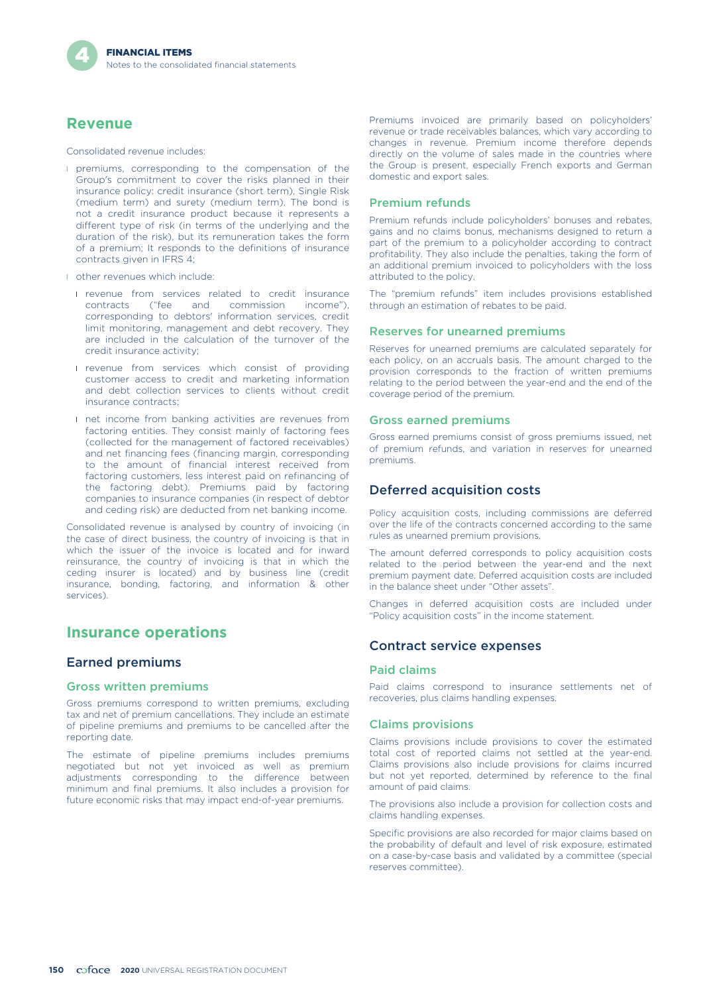#### **Revenue**

Consolidated revenue includes:

- **I** premiums, corresponding to the compensation of the Group's commitment to cover the risks planned in their insurance policy: credit insurance (short term), Single Risk (medium term) and surety (medium term). The bond is not a credit insurance product because it represents a different type of risk (in terms of the underlying and the duration of the risk), but its remuneration takes the form of a premium; It responds to the definitions of insurance contracts given in IFRS 4;
- **I** other revenues which include:
	- I revenue from services related to credit insurance<br>contracts ("fee and commission income"), contracts ("fee and commission corresponding to debtors' information services, credit limit monitoring, management and debt recovery. They are included in the calculation of the turnover of the credit insurance activity;
	- **I** revenue from services which consist of providing customer access to credit and marketing information and debt collection services to clients without credit insurance contracts;
	- **I** net income from banking activities are revenues from factoring entities. They consist mainly of factoring fees (collected for the management of factored receivables) and net financing fees (financing margin, corresponding to the amount of financial interest received from factoring customers, less interest paid on refinancing of the factoring debt). Premiums paid by factoring companies to insurance companies (in respect of debtor and ceding risk) are deducted from net banking income.

Consolidated revenue is analysed by country of invoicing (in the case of direct business, the country of invoicing is that in which the issuer of the invoice is located and for inward reinsurance, the country of invoicing is that in which the ceding insurer is located) and by business line (credit insurance, bonding, factoring, and information & other services).

#### **Insurance operations**

#### Earned premiums

#### Gross written premiums

Gross premiums correspond to written premiums, excluding tax and net of premium cancellations. They include an estimate of pipeline premiums and premiums to be cancelled after the reporting date.

The estimate of pipeline premiums includes premiums negotiated but not yet invoiced as well as premium adjustments corresponding to the difference between minimum and final premiums. It also includes a provision for future economic risks that may impact end-of-year premiums.

Premiums invoiced are primarily based on policyholders' revenue or trade receivables balances, which vary according to changes in revenue. Premium income therefore depends directly on the volume of sales made in the countries where the Group is present, especially French exports and German domestic and export sales.

#### Premium refunds

Premium refunds include policyholders' bonuses and rebates, gains and no claims bonus, mechanisms designed to return a part of the premium to a policyholder according to contract profitability. They also include the penalties, taking the form of an additional premium invoiced to policyholders with the loss attributed to the policy.

The "premium refunds" item includes provisions established through an estimation of rebates to be paid.

#### Reserves for unearned premiums

Reserves for unearned premiums are calculated separately for each policy, on an accruals basis. The amount charged to the provision corresponds to the fraction of written premiums relating to the period between the year-end and the end of the coverage period of the premium.

#### Gross earned premiums

Gross earned premiums consist of gross premiums issued, net of premium refunds, and variation in reserves for unearned premiums.

#### Deferred acquisition costs

Policy acquisition costs, including commissions are deferred over the life of the contracts concerned according to the same rules as unearned premium provisions.

The amount deferred corresponds to policy acquisition costs related to the period between the year-end and the next premium payment date. Deferred acquisition costs are included in the balance sheet under "Other assets".

Changes in deferred acquisition costs are included under "Policy acquisition costs" in the income statement.

#### Contract service expenses

#### Paid claims

Paid claims correspond to insurance settlements net of recoveries, plus claims handling expenses.

#### Claims provisions

Claims provisions include provisions to cover the estimated total cost of reported claims not settled at the year-end. Claims provisions also include provisions for claims incurred but not yet reported, determined by reference to the final amount of paid claims.

The provisions also include a provision for collection costs and claims handling expenses.

Specific provisions are also recorded for major claims based on the probability of default and level of risk exposure, estimated on a case-by-case basis and validated by a committee (special reserves committee).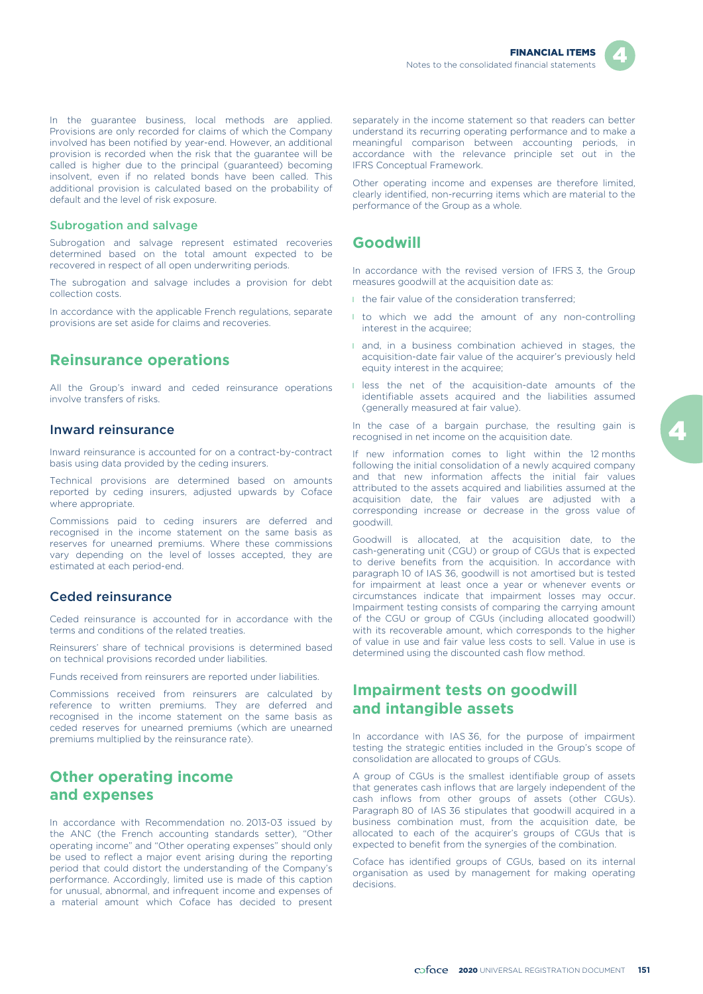

In the guarantee business, local methods are applied. Provisions are only recorded for claims of which the Company involved has been notified by year-end. However, an additional provision is recorded when the risk that the guarantee will be called is higher due to the principal (guaranteed) becoming insolvent, even if no related bonds have been called. This additional provision is calculated based on the probability of default and the level of risk exposure.

#### Subrogation and salvage

Subrogation and salvage represent estimated recoveries determined based on the total amount expected to be recovered in respect of all open underwriting periods.

The subrogation and salvage includes a provision for debt collection costs.

In accordance with the applicable French regulations, separate provisions are set aside for claims and recoveries.

## **Reinsurance operations**

All the Group's inward and ceded reinsurance operations involve transfers of risks.

#### Inward reinsurance

Inward reinsurance is accounted for on a contract-by-contract basis using data provided by the ceding insurers.

Technical provisions are determined based on amounts reported by ceding insurers, adjusted upwards by Coface where appropriate.

Commissions paid to ceding insurers are deferred and recognised in the income statement on the same basis as reserves for unearned premiums. Where these commissions vary depending on the level of losses accepted, they are estimated at each period-end.

#### Ceded reinsurance

Ceded reinsurance is accounted for in accordance with the terms and conditions of the related treaties.

Reinsurers' share of technical provisions is determined based on technical provisions recorded under liabilities.

Funds received from reinsurers are reported under liabilities.

Commissions received from reinsurers are calculated by reference to written premiums. They are deferred and recognised in the income statement on the same basis as ceded reserves for unearned premiums (which are unearned premiums multiplied by the reinsurance rate).

### **Other operating income and expenses**

In accordance with Recommendation no. 2013-03 issued by the ANC (the French accounting standards setter), "Other operating income" and "Other operating expenses" should only be used to reflect a major event arising during the reporting period that could distort the understanding of the Company's performance. Accordingly, limited use is made of this caption for unusual, abnormal, and infrequent income and expenses of a material amount which Coface has decided to present

separately in the income statement so that readers can better understand its recurring operating performance and to make a meaningful comparison between accounting periods, in accordance with the relevance principle set out in the IFRS Conceptual Framework.

Other operating income and expenses are therefore limited, clearly identified, non-recurring items which are material to the performance of the Group as a whole.

#### **Goodwill**

In accordance with the revised version of IFRS 3, the Group measures goodwill at the acquisition date as:

- I the fair value of the consideration transferred;
- I to which we add the amount of any non-controlling interest in the acquiree;
- **and, in a business combination achieved in stages, the** acquisition-date fair value of the acquirer's previously held equity interest in the acquiree;
- l less the net of the acquisition-date amounts of the identifiable assets acquired and the liabilities assumed (generally measured at fair value).

In the case of a bargain purchase, the resulting gain is recognised in net income on the acquisition date.

If new information comes to light within the 12 months following the initial consolidation of a newly acquired company and that new information affects the initial fair values attributed to the assets acquired and liabilities assumed at the acquisition date, the fair values are adjusted with a corresponding increase or decrease in the gross value of goodwill.

Goodwill is allocated, at the acquisition date, to the cash-generating unit (CGU) or group of CGUs that is expected to derive benefits from the acquisition. In accordance with paragraph 10 of IAS 36, goodwill is not amortised but is tested for impairment at least once a year or whenever events or circumstances indicate that impairment losses may occur. Impairment testing consists of comparing the carrying amount of the CGU or group of CGUs (including allocated goodwill) with its recoverable amount, which corresponds to the higher of value in use and fair value less costs to sell. Value in use is determined using the discounted cash flow method.

### **Impairment tests on goodwill and intangible assets**

In accordance with IAS 36, for the purpose of impairment testing the strategic entities included in the Group's scope of consolidation are allocated to groups of CGUs.

A group of CGUs is the smallest identifiable group of assets that generates cash inflows that are largely independent of the cash inflows from other groups of assets (other CGUs). Paragraph 80 of IAS 36 stipulates that goodwill acquired in a business combination must, from the acquisition date, be allocated to each of the acquirer's groups of CGUs that is expected to benefit from the synergies of the combination.

Coface has identified groups of CGUs, based on its internal organisation as used by management for making operating decisions.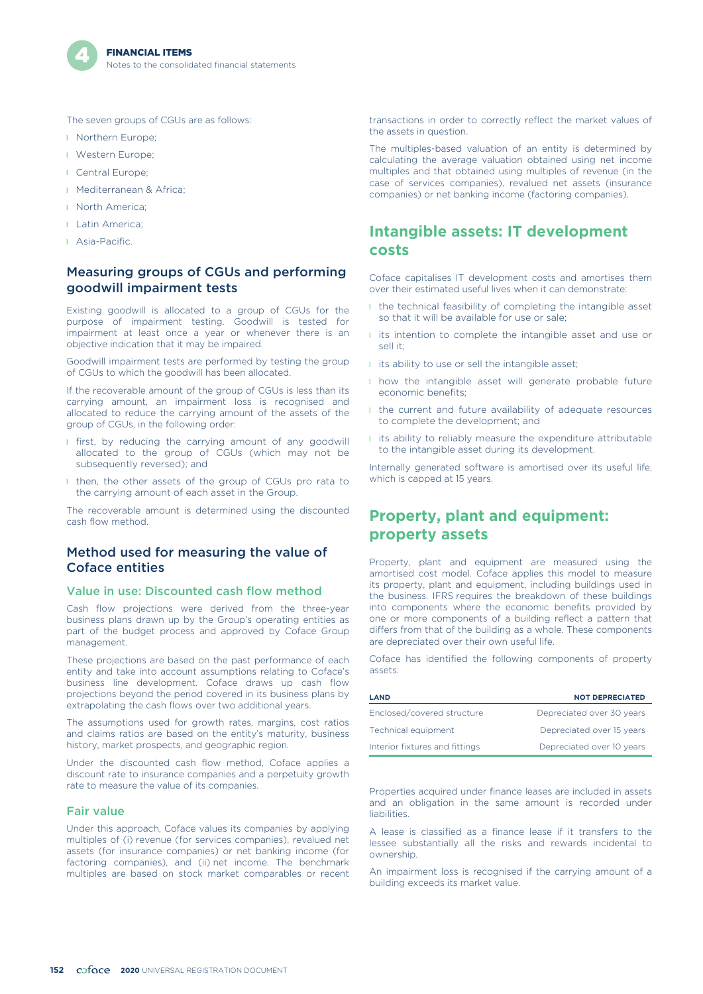

The seven groups of CGUs are as follows:

- **I** Northern Europe;
- l Western Europe;
- **I** Central Europe:
- **I** Mediterranean & Africa:
- l North America;
- **I** Latin America:
- **L** Asia-Pacific.

#### Measuring groups of CGUs and performing goodwill impairment tests

Existing goodwill is allocated to a group of CGUs for the purpose of impairment testing. Goodwill is tested for impairment at least once a year or whenever there is an objective indication that it may be impaired.

Goodwill impairment tests are performed by testing the group of CGUs to which the goodwill has been allocated.

If the recoverable amount of the group of CGUs is less than its carrying amount, an impairment loss is recognised and allocated to reduce the carrying amount of the assets of the group of CGUs, in the following order:

- **I** first, by reducing the carrying amount of any goodwill allocated to the group of CGUs (which may not be subsequently reversed); and
- I then, the other assets of the group of CGUs pro rata to the carrying amount of each asset in the Group.

The recoverable amount is determined using the discounted cash flow method.

#### Method used for measuring the value of Coface entities

#### Value in use: Discounted cash flow method

Cash flow projections were derived from the three-year business plans drawn up by the Group's operating entities as part of the budget process and approved by Coface Group management.

These projections are based on the past performance of each entity and take into account assumptions relating to Coface's business line development. Coface draws up cash flow projections beyond the period covered in its business plans by extrapolating the cash flows over two additional years.

The assumptions used for growth rates, margins, cost ratios and claims ratios are based on the entity's maturity, business history, market prospects, and geographic region.

Under the discounted cash flow method, Coface applies a discount rate to insurance companies and a perpetuity growth rate to measure the value of its companies.

#### Fair value

Under this approach, Coface values its companies by applying multiples of (i) revenue (for services companies), revalued net assets (for insurance companies) or net banking income (for factoring companies), and (ii) net income. The benchmark multiples are based on stock market comparables or recent

transactions in order to correctly reflect the market values of the assets in question.

The multiples-based valuation of an entity is determined by calculating the average valuation obtained using net income multiples and that obtained using multiples of revenue (in the case of services companies), revalued net assets (insurance companies) or net banking income (factoring companies).

## **Intangible assets: IT development costs**

Coface capitalises IT development costs and amortises them over their estimated useful lives when it can demonstrate:

- **I** the technical feasibility of completing the intangible asset so that it will be available for use or sale;
- **I** its intention to complete the intangible asset and use or sell it;
- **i** its ability to use or sell the intangible asset;
- **I** how the intangible asset will generate probable future economic benefits;
- **I** the current and future availability of adequate resources to complete the development; and
- **I** its ability to reliably measure the expenditure attributable to the intangible asset during its development.

Internally generated software is amortised over its useful life, which is capped at 15 years.

### **Property, plant and equipment: property assets**

Property, plant and equipment are measured using the amortised cost model. Coface applies this model to measure its property, plant and equipment, including buildings used in the business. IFRS requires the breakdown of these buildings into components where the economic benefits provided by one or more components of a building reflect a pattern that differs from that of the building as a whole. These components are depreciated over their own useful life.

Coface has identified the following components of property assets:

| <b>LAND</b>                    | <b>NOT DEPRECIATED</b>    |
|--------------------------------|---------------------------|
| Enclosed/covered structure     | Depreciated over 30 years |
| Technical equipment            | Depreciated over 15 years |
| Interior fixtures and fittings | Depreciated over 10 years |

Properties acquired under finance leases are included in assets and an obligation in the same amount is recorded under liabilities.

A lease is classified as a finance lease if it transfers to the lessee substantially all the risks and rewards incidental to ownership.

An impairment loss is recognised if the carrying amount of a building exceeds its market value.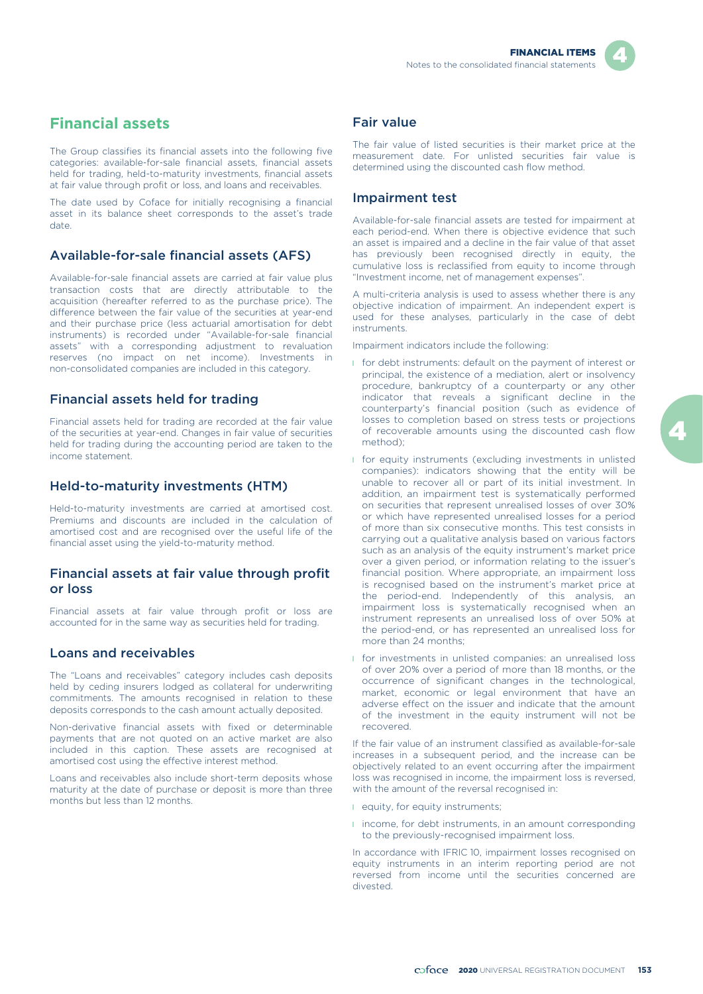

# **Financial assets**

The Group classifies its financial assets into the following five categories: available-for-sale financial assets, financial assets held for trading, held-to-maturity investments, financial assets at fair value through profit or loss, and loans and receivables.

The date used by Coface for initially recognising a financial asset in its balance sheet corresponds to the asset's trade date.

### Available-for-sale financial assets (AFS)

Available-for-sale financial assets are carried at fair value plus transaction costs that are directly attributable to the acquisition (hereafter referred to as the purchase price). The difference between the fair value of the securities at year-end and their purchase price (less actuarial amortisation for debt instruments) is recorded under "Available-for-sale financial assets" with a corresponding adjustment to revaluation reserves (no impact on net income). Investments in non-consolidated companies are included in this category.

### Financial assets held for trading

Financial assets held for trading are recorded at the fair value of the securities at year-end. Changes in fair value of securities held for trading during the accounting period are taken to the income statement.

### Held-to-maturity investments (HTM)

Held-to-maturity investments are carried at amortised cost. Premiums and discounts are included in the calculation of amortised cost and are recognised over the useful life of the financial asset using the yield-to-maturity method.

#### Financial assets at fair value through profit or loss

Financial assets at fair value through profit or loss are accounted for in the same way as securities held for trading.

### Loans and receivables

The "Loans and receivables" category includes cash deposits held by ceding insurers lodged as collateral for underwriting commitments. The amounts recognised in relation to these deposits corresponds to the cash amount actually deposited.

Non-derivative financial assets with fixed or determinable payments that are not quoted on an active market are also included in this caption. These assets are recognised at amortised cost using the effective interest method.

Loans and receivables also include short-term deposits whose maturity at the date of purchase or deposit is more than three months but less than 12 months.

#### Fair value

The fair value of listed securities is their market price at the measurement date. For unlisted securities fair value is determined using the discounted cash flow method.

#### Impairment test

Available-for-sale financial assets are tested for impairment at each period-end. When there is objective evidence that such an asset is impaired and a decline in the fair value of that asset has previously been recognised directly in equity, the cumulative loss is reclassified from equity to income through "Investment income, net of management expenses".

A multi-criteria analysis is used to assess whether there is any objective indication of impairment. An independent expert is used for these analyses, particularly in the case of debt instruments.

Impairment indicators include the following:

- **I** for debt instruments: default on the payment of interest or principal, the existence of a mediation, alert or insolvency procedure, bankruptcy of a counterparty or any other indicator that reveals a significant decline in the counterparty's financial position (such as evidence of losses to completion based on stress tests or projections of recoverable amounts using the discounted cash flow method);
- **I** for equity instruments (excluding investments in unlisted companies): indicators showing that the entity will be unable to recover all or part of its initial investment. In addition, an impairment test is systematically performed on securities that represent unrealised losses of over 30% or which have represented unrealised losses for a period of more than six consecutive months. This test consists in carrying out a qualitative analysis based on various factors such as an analysis of the equity instrument's market price over a given period, or information relating to the issuer's financial position. Where appropriate, an impairment loss is recognised based on the instrument's market price at the period-end. Independently of this analysis, an impairment loss is systematically recognised when an instrument represents an unrealised loss of over 50% at the period-end, or has represented an unrealised loss for more than 24 months;
- **I** for investments in unlisted companies: an unrealised loss of over 20% over a period of more than 18 months, or the occurrence of significant changes in the technological, market, economic or legal environment that have an adverse effect on the issuer and indicate that the amount of the investment in the equity instrument will not be recovered.

If the fair value of an instrument classified as available-for-sale increases in a subsequent period, and the increase can be objectively related to an event occurring after the impairment loss was recognised in income, the impairment loss is reversed, with the amount of the reversal recognised in:

- **I** equity, for equity instruments:
- **I** income, for debt instruments, in an amount corresponding to the previously-recognised impairment loss.

In accordance with IFRIC 10, impairment losses recognised on equity instruments in an interim reporting period are not reversed from income until the securities concerned are divested.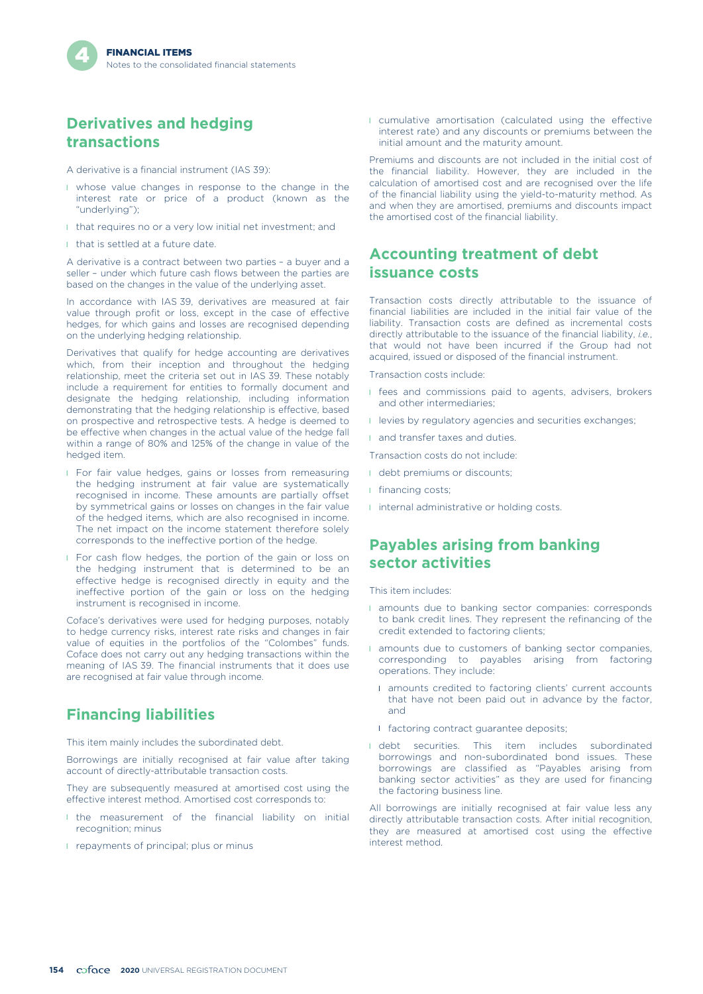### **Derivatives and hedging transactions**

A derivative is a financial instrument (IAS 39):

- I whose value changes in response to the change in the interest rate or price of a product (known as the "underlying");
- I that requires no or a very low initial net investment; and
- I that is settled at a future date.

A derivative is a contract between two parties – a buyer and a seller – under which future cash flows between the parties are based on the changes in the value of the underlying asset.

In accordance with IAS 39, derivatives are measured at fair value through profit or loss, except in the case of effective hedges, for which gains and losses are recognised depending on the underlying hedging relationship.

Derivatives that qualify for hedge accounting are derivatives which, from their inception and throughout the hedging relationship, meet the criteria set out in IAS 39. These notably include a requirement for entities to formally document and designate the hedging relationship, including information demonstrating that the hedging relationship is effective, based on prospective and retrospective tests. A hedge is deemed to be effective when changes in the actual value of the hedge fall within a range of 80% and 125% of the change in value of the hedged item.

- **I** For fair value hedges, gains or losses from remeasuring the hedging instrument at fair value are systematically recognised in income. These amounts are partially offset by symmetrical gains or losses on changes in the fair value of the hedged items, which are also recognised in income. The net impact on the income statement therefore solely corresponds to the ineffective portion of the hedge.
- l For cash flow hedges, the portion of the gain or loss on the hedging instrument that is determined to be an effective hedge is recognised directly in equity and the ineffective portion of the gain or loss on the hedging instrument is recognised in income.

Coface's derivatives were used for hedging purposes, notably to hedge currency risks, interest rate risks and changes in fair value of equities in the portfolios of the "Colombes" funds. Coface does not carry out any hedging transactions within the meaning of IAS 39. The financial instruments that it does use are recognised at fair value through income.

### **Financing liabilities**

This item mainly includes the subordinated debt.

Borrowings are initially recognised at fair value after taking account of directly-attributable transaction costs.

They are subsequently measured at amortised cost using the effective interest method. Amortised cost corresponds to:

- I the measurement of the financial liability on initial recognition; minus
- **I** repayments of principal; plus or minus

l cumulative amortisation (calculated using the effective interest rate) and any discounts or premiums between the initial amount and the maturity amount.

Premiums and discounts are not included in the initial cost of the financial liability. However, they are included in the calculation of amortised cost and are recognised over the life of the financial liability using the yield-to-maturity method. As and when they are amortised, premiums and discounts impact the amortised cost of the financial liability.

### **Accounting treatment of debt issuance costs**

Transaction costs directly attributable to the issuance of financial liabilities are included in the initial fair value of the liability. Transaction costs are defined as incremental costs directly attributable to the issuance of the financial liability, *i.e.*, that would not have been incurred if the Group had not acquired, issued or disposed of the financial instrument.

Transaction costs include:

- **I** fees and commissions paid to agents, advisers, brokers and other intermediaries;
- **I** levies by regulatory agencies and securities exchanges;
- **and transfer taxes and duties.**

Transaction costs do not include:

- **I** debt premiums or discounts;
- **I** financing costs:
- **I** internal administrative or holding costs.

### **Payables arising from banking sector activities**

This item includes:

- **I** amounts due to banking sector companies: corresponds to bank credit lines. They represent the refinancing of the credit extended to factoring clients;
- **I** amounts due to customers of banking sector companies, corresponding to payables arising from factoring operations. They include:
	- **I** amounts credited to factoring clients' current accounts that have not been paid out in advance by the factor, and
	- **I** factoring contract guarantee deposits;
- I debt securities. This item includes subordinated borrowings and non-subordinated bond issues. These borrowings are classified as "Payables arising from banking sector activities" as they are used for financing the factoring business line.

All borrowings are initially recognised at fair value less any directly attributable transaction costs. After initial recognition, they are measured at amortised cost using the effective interest method.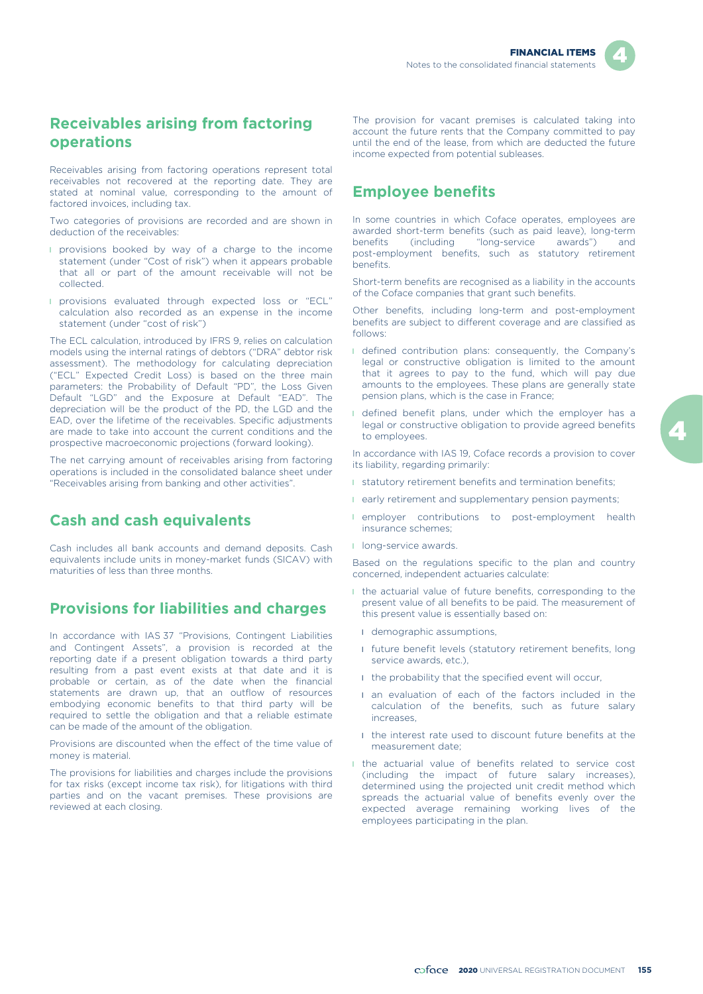### **Receivables arising from factoring operations**

Receivables arising from factoring operations represent total receivables not recovered at the reporting date. They are stated at nominal value, corresponding to the amount of factored invoices, including tax.

Two categories of provisions are recorded and are shown in deduction of the receivables:

- **I** provisions booked by way of a charge to the income statement (under "Cost of risk") when it appears probable that all or part of the amount receivable will not be collected.
- l provisions evaluated through expected loss or "ECL" calculation also recorded as an expense in the income statement (under "cost of risk")

The ECL calculation, introduced by IFRS 9, relies on calculation models using the internal ratings of debtors ("DRA" debtor risk assessment). The methodology for calculating depreciation ("ECL" Expected Credit Loss) is based on the three main parameters: the Probability of Default "PD", the Loss Given Default "LGD" and the Exposure at Default "EAD". The depreciation will be the product of the PD, the LGD and the EAD, over the lifetime of the receivables. Specific adjustments are made to take into account the current conditions and the prospective macroeconomic projections (forward looking).

The net carrying amount of receivables arising from factoring operations is included in the consolidated balance sheet under "Receivables arising from banking and other activities".

### **Cash and cash equivalents**

Cash includes all bank accounts and demand deposits. Cash equivalents include units in money-market funds (SICAV) with maturities of less than three months.

## **Provisions for liabilities and charges**

In accordance with IAS 37 "Provisions, Contingent Liabilities and Contingent Assets", a provision is recorded at the reporting date if a present obligation towards a third party resulting from a past event exists at that date and it is probable or certain, as of the date when the financial statements are drawn up, that an outflow of resources embodying economic benefits to that third party will be required to settle the obligation and that a reliable estimate can be made of the amount of the obligation.

Provisions are discounted when the effect of the time value of money is material.

The provisions for liabilities and charges include the provisions for tax risks (except income tax risk), for litigations with third parties and on the vacant premises. These provisions are reviewed at each closing.

The provision for vacant premises is calculated taking into account the future rents that the Company committed to pay until the end of the lease, from which are deducted the future income expected from potential subleases.

## **Employee benefits**

In some countries in which Coface operates, employees are awarded short-term benefits (such as paid leave), long-term benefits (including "long-service awards") and post-employment benefits, such as statutory retirement benefits.

Short-term benefits are recognised as a liability in the accounts of the Coface companies that grant such benefits.

Other benefits, including long-term and post-employment benefits are subject to different coverage and are classified as follows:

- I defined contribution plans: consequently, the Company's legal or constructive obligation is limited to the amount that it agrees to pay to the fund, which will pay due amounts to the employees. These plans are generally state pension plans, which is the case in France;
- I defined benefit plans, under which the employer has a legal or constructive obligation to provide agreed benefits to employees.

In accordance with IAS 19, Coface records a provision to cover its liability, regarding primarily:

- **I** statutory retirement benefits and termination benefits;
- **I** early retirement and supplementary pension payments;
- **I** employer contributions to post-employment health insurance schemes;
- **I** long-service awards.

Based on the regulations specific to the plan and country concerned, independent actuaries calculate:

- l the actuarial value of future benefits, corresponding to the present value of all benefits to be paid. The measurement of this present value is essentially based on:
	- **I** demographic assumptions,
	- **I** future benefit levels (statutory retirement benefits, long service awards, etc.).
	- **I** the probability that the specified event will occur.
	- **I** an evaluation of each of the factors included in the calculation of the benefits, such as future salary increases,
	- I the interest rate used to discount future benefits at the measurement date;
- l the actuarial value of benefits related to service cost (including the impact of future salary increases), determined using the projected unit credit method which spreads the actuarial value of benefits evenly over the expected average remaining working lives of the employees participating in the plan.

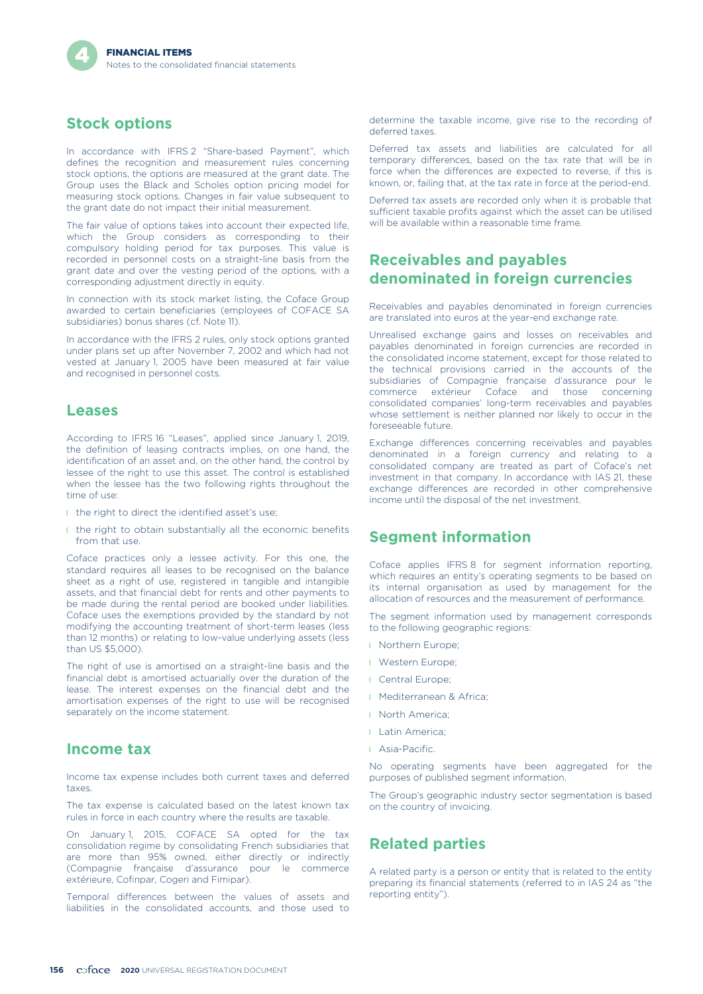## **Stock options**

In accordance with IFRS 2 "Share-based Payment", which defines the recognition and measurement rules concerning stock options, the options are measured at the grant date. The Group uses the Black and Scholes option pricing model for measuring stock options. Changes in fair value subsequent to the grant date do not impact their initial measurement.

The fair value of options takes into account their expected life, which the Group considers as corresponding to their compulsory holding period for tax purposes. This value is recorded in personnel costs on a straight-line basis from the grant date and over the vesting period of the options, with a corresponding adjustment directly in equity.

In connection with its stock market listing, the Coface Group awarded to certain beneficiaries (employees of COFACE SA subsidiaries) bonus shares (cf. Note 11).

In accordance with the IFRS 2 rules, only stock options granted under plans set up after November 7, 2002 and which had not vested at January 1, 2005 have been measured at fair value and recognised in personnel costs.

#### **Leases**

According to IFRS 16 "Leases", applied since January 1, 2019, the definition of leasing contracts implies, on one hand, the identification of an asset and, on the other hand, the control by lessee of the right to use this asset. The control is established when the lessee has the two following rights throughout the time of use:

- I the right to direct the identified asset's use;
- I the right to obtain substantially all the economic benefits from that use.

Coface practices only a lessee activity. For this one, the standard requires all leases to be recognised on the balance sheet as a right of use, registered in tangible and intangible assets, and that financial debt for rents and other payments to be made during the rental period are booked under liabilities. Coface uses the exemptions provided by the standard by not modifying the accounting treatment of short-term leases (less than 12 months) or relating to low-value underlying assets (less than US \$5,000).

The right of use is amortised on a straight-line basis and the financial debt is amortised actuarially over the duration of the lease. The interest expenses on the financial debt and the amortisation expenses of the right to use will be recognised separately on the income statement.

#### **Income tax**

Income tax expense includes both current taxes and deferred taxes.

The tax expense is calculated based on the latest known tax rules in force in each country where the results are taxable.

On January 1, 2015, COFACE SA opted for the tax consolidation regime by consolidating French subsidiaries that are more than 95% owned, either directly or indirectly (Compagnie française d'assurance pour le commerce extérieure, Cofinpar, Cogeri and Fimipar).

Temporal differences between the values of assets and liabilities in the consolidated accounts, and those used to

determine the taxable income, give rise to the recording of deferred taxes.

Deferred tax assets and liabilities are calculated for all temporary differences, based on the tax rate that will be in force when the differences are expected to reverse, if this is known, or, failing that, at the tax rate in force at the period-end.

Deferred tax assets are recorded only when it is probable that sufficient taxable profits against which the asset can be utilised will be available within a reasonable time frame.

### **Receivables and payables denominated in foreign currencies**

Receivables and payables denominated in foreign currencies are translated into euros at the year-end exchange rate.

Unrealised exchange gains and losses on receivables and payables denominated in foreign currencies are recorded in the consolidated income statement, except for those related to the technical provisions carried in the accounts of the subsidiaries of Compagnie française d'assurance pour le<br>commerce extérieur Coface and those concerning those concerning consolidated companies' long-term receivables and payables whose settlement is neither planned nor likely to occur in the foreseeable future.

Exchange differences concerning receivables and payables denominated in a foreign currency and relating to a consolidated company are treated as part of Coface's net investment in that company. In accordance with IAS 21, these exchange differences are recorded in other comprehensive income until the disposal of the net investment.

#### **Segment information**

Coface applies IFRS 8 for segment information reporting, which requires an entity's operating segments to be based on its internal organisation as used by management for the allocation of resources and the measurement of performance.

The segment information used by management corresponds to the following geographic regions:

- **I** Northern Europe;
- **I** Western Europe;
- **I** Central Europe;
- l Mediterranean & Africa;
- **I** North America:
- **I** Latin America:
- l Asia-Pacific.

No operating segments have been aggregated for the purposes of published segment information.

The Group's geographic industry sector segmentation is based on the country of invoicing.

#### **Related parties**

A related party is a person or entity that is related to the entity preparing its financial statements (referred to in IAS 24 as "the reporting entity").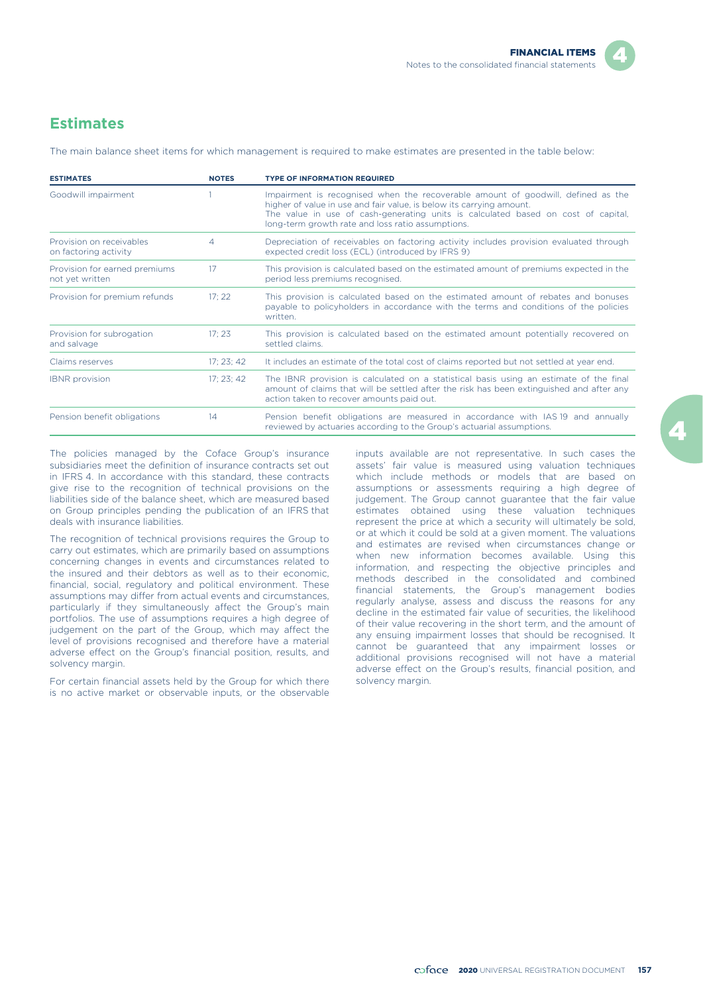## **Estimates**

The main balance sheet items for which management is required to make estimates are presented in the table below:

| <b>ESTIMATES</b>                                  | <b>NOTES</b> | <b>TYPE OF INFORMATION REQUIRED</b>                                                                                                                                                                                                                                                                |
|---------------------------------------------------|--------------|----------------------------------------------------------------------------------------------------------------------------------------------------------------------------------------------------------------------------------------------------------------------------------------------------|
| Goodwill impairment                               |              | Impairment is recognised when the recoverable amount of goodwill, defined as the<br>higher of value in use and fair value, is below its carrying amount.<br>The value in use of cash-generating units is calculated based on cost of capital.<br>long-term growth rate and loss ratio assumptions. |
| Provision on receivables<br>on factoring activity | 4            | Depreciation of receivables on factoring activity includes provision evaluated through<br>expected credit loss (ECL) (introduced by IFRS 9)                                                                                                                                                        |
| Provision for earned premiums<br>not yet written  | 17           | This provision is calculated based on the estimated amount of premiums expected in the<br>period less premiums recognised.                                                                                                                                                                         |
| Provision for premium refunds                     | 17:22        | This provision is calculated based on the estimated amount of rebates and bonuses<br>payable to policyholders in accordance with the terms and conditions of the policies<br>written.                                                                                                              |
| Provision for subrogation<br>and salvage          | 17:23        | This provision is calculated based on the estimated amount potentially recovered on<br>settled claims.                                                                                                                                                                                             |
| Claims reserves                                   | 17:23:42     | It includes an estimate of the total cost of claims reported but not settled at year end.                                                                                                                                                                                                          |
| <b>IBNR</b> provision                             | 17; 23; 42   | The IBNR provision is calculated on a statistical basis using an estimate of the final<br>amount of claims that will be settled after the risk has been extinguished and after any<br>action taken to recover amounts paid out.                                                                    |
| Pension benefit obligations                       | 14           | Pension benefit obligations are measured in accordance with IAS 19 and annually<br>reviewed by actuaries according to the Group's actuarial assumptions.                                                                                                                                           |

The policies managed by the Coface Group's insurance subsidiaries meet the definition of insurance contracts set out in IFRS 4. In accordance with this standard, these contracts give rise to the recognition of technical provisions on the liabilities side of the balance sheet, which are measured based on Group principles pending the publication of an IFRS that deals with insurance liabilities.

The recognition of technical provisions requires the Group to carry out estimates, which are primarily based on assumptions concerning changes in events and circumstances related to the insured and their debtors as well as to their economic, financial, social, regulatory and political environment. These assumptions may differ from actual events and circumstances, particularly if they simultaneously affect the Group's main portfolios. The use of assumptions requires a high degree of judgement on the part of the Group, which may affect the level of provisions recognised and therefore have a material adverse effect on the Group's financial position, results, and solvency margin.

For certain financial assets held by the Group for which there solvency margin. is no active market or observable inputs, or the observable

inputs available are not representative. In such cases the assets' fair value is measured using valuation techniques which include methods or models that are based on assumptions or assessments requiring a high degree of judgement. The Group cannot guarantee that the fair value estimates obtained using these valuation techniques represent the price at which a security will ultimately be sold, or at which it could be sold at a given moment. The valuations and estimates are revised when circumstances change or when new information becomes available. Using this information, and respecting the objective principles and methods described in the consolidated and combined financial statements, the Group's management bodies regularly analyse, assess and discuss the reasons for any decline in the estimated fair value of securities, the likelihood of their value recovering in the short term, and the amount of any ensuing impairment losses that should be recognised. It cannot be guaranteed that any impairment losses or additional provisions recognised will not have a material adverse effect on the Group's results, financial position, and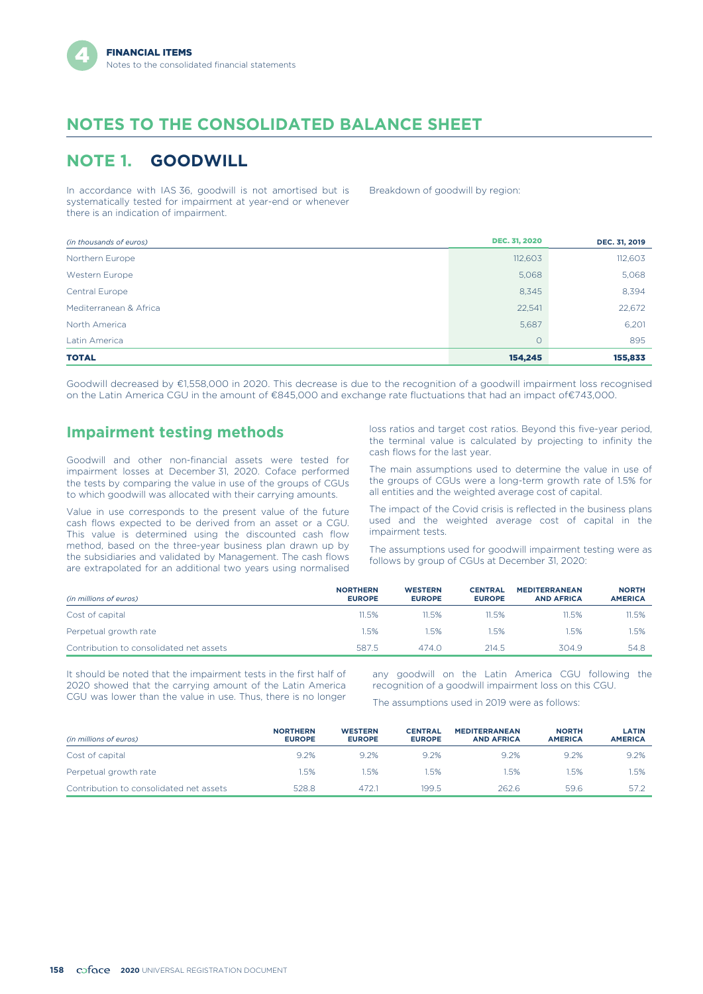## **NOTES TO THE CONSOLIDATED BALANCE SHEET**

## **NOTE 1. GOODWILL**

In accordance with IAS 36, goodwill is not amortised but is systematically tested for impairment at year-end or whenever there is an indication of impairment.

Breakdown of goodwill by region:

| (in thousands of euros) | <b>DEC. 31, 2020</b> | DEC. 31, 2019 |
|-------------------------|----------------------|---------------|
| Northern Europe         | 112,603              | 112,603       |
| Western Europe          | 5,068                | 5,068         |
| Central Europe          | 8,345                | 8,394         |
| Mediterranean & Africa  | 22,541               | 22,672        |
| North America           | 5,687                | 6,201         |
| Latin America           | $\circ$              | 895           |
| <b>TOTAL</b>            | 154,245              | 155,833       |

Goodwill decreased by €1,558,000 in 2020. This decrease is due to the recognition of a goodwill impairment loss recognised on the Latin America CGU in the amount of €845,000 and exchange rate fluctuations that had an impact of€743,000.

### **Impairment testing methods**

Goodwill and other non-financial assets were tested for impairment losses at December 31, 2020. Coface performed the tests by comparing the value in use of the groups of CGUs to which goodwill was allocated with their carrying amounts.

Value in use corresponds to the present value of the future cash flows expected to be derived from an asset or a CGU. This value is determined using the discounted cash flow method, based on the three-year business plan drawn up by the subsidiaries and validated by Management. The cash flows are extrapolated for an additional two years using normalised

loss ratios and target cost ratios. Beyond this five-year period, the terminal value is calculated by projecting to infinity the cash flows for the last year.

The main assumptions used to determine the value in use of the groups of CGUs were a long-term growth rate of 1.5% for all entities and the weighted average cost of capital.

The impact of the Covid crisis is reflected in the business plans used and the weighted average cost of capital in the impairment tests.

The assumptions used for goodwill impairment testing were as follows by group of CGUs at December 31, 2020:

| (in millions of euros)                  | <b>NORTHERN</b><br><b>EUROPE</b> | <b>WESTERN</b><br><b>EUROPE</b> | <b>CENTRAL</b><br><b>EUROPE</b> | <b>MEDITERRANEAN</b><br><b>AND AFRICA</b> | <b>NORTH</b><br><b>AMERICA</b> |
|-----------------------------------------|----------------------------------|---------------------------------|---------------------------------|-------------------------------------------|--------------------------------|
| Cost of capital                         | 11.5%                            | 11.5%                           | 11.5%                           | 11.5%                                     | 11.5%                          |
| Perpetual growth rate                   | 1.5%                             | .5%                             | 1.5%                            | 1.5%                                      | I.5%                           |
| Contribution to consolidated net assets | 587.5                            | 474.0                           | 214.5                           | 304.9                                     | 54.8                           |

It should be noted that the impairment tests in the first half of any goodwill on the Latin America CGU following the 2020 showed that the carrying amount of the Latin America recognition of a goodwill impairment loss on this CGU.<br>CGU was lower than the value in use. Thus, there is no longer

The assumptions used in 2019 were as follows:

| (in millions of euros)                  | <b>NORTHERN</b><br><b>EUROPE</b> | <b>WESTERN</b><br><b>EUROPE</b> | <b>CENTRAL</b><br><b>EUROPE</b> | <b>MEDITERRANEAN</b><br><b>AND AFRICA</b> | <b>NORTH</b><br><b>AMERICA</b> | <b>LATIN</b><br><b>AMERICA</b> |
|-----------------------------------------|----------------------------------|---------------------------------|---------------------------------|-------------------------------------------|--------------------------------|--------------------------------|
| Cost of capital                         | 9.2%                             | 9.2%                            | 9.2%                            | 9.2%                                      | 9.2%                           | 9.2%                           |
| Perpetual growth rate                   | 1.5%                             | 1.5%                            | 1.5%                            | .5%                                       | .5%                            | .5%                            |
| Contribution to consolidated net assets | 528.8                            | 472.1                           | 199.5                           | 262.6                                     | 59.6                           | 57.2                           |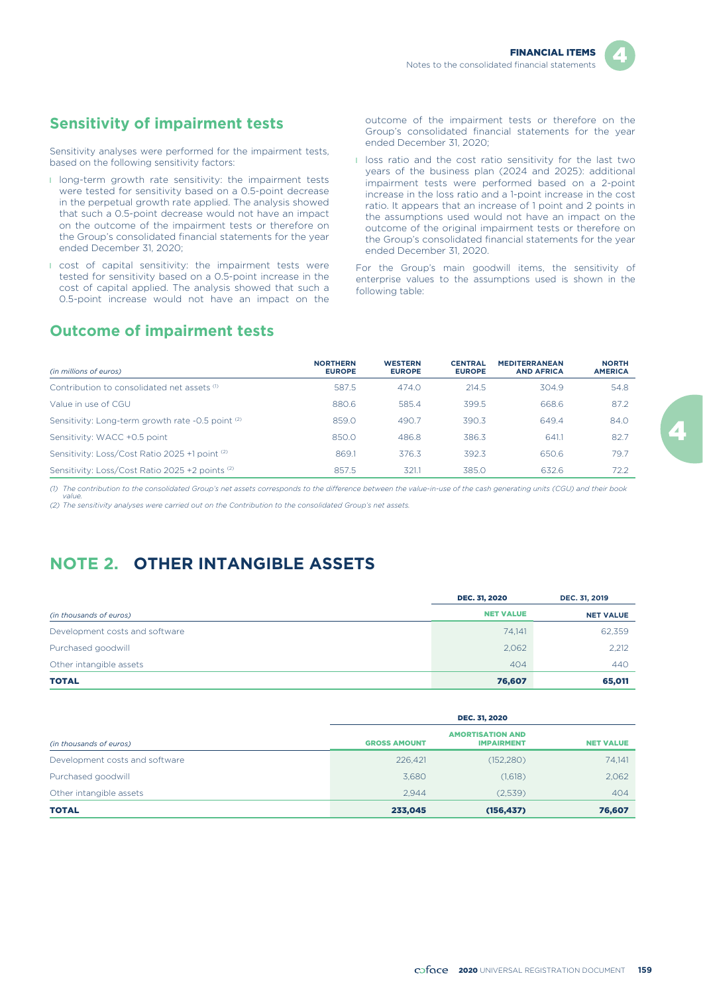

## **Sensitivity of impairment tests**

Sensitivity analyses were performed for the impairment tests, based on the following sensitivity factors:

- **I** long-term growth rate sensitivity: the impairment tests were tested for sensitivity based on a 0.5-point decrease in the perpetual growth rate applied. The analysis showed that such a 0.5-point decrease would not have an impact on the outcome of the impairment tests or therefore on the Group's consolidated financial statements for the year ended December 31, 2020;
- **I** cost of capital sensitivity: the impairment tests were tested for sensitivity based on a 0.5-point increase in the cost of capital applied. The analysis showed that such a 0.5-point increase would not have an impact on the

outcome of the impairment tests or therefore on the Group's consolidated financial statements for the year ended December 31, 2020;

**I** loss ratio and the cost ratio sensitivity for the last two years of the business plan (2024 and 2025): additional impairment tests were performed based on a 2-point increase in the loss ratio and a 1-point increase in the cost ratio. It appears that an increase of 1 point and 2 points in the assumptions used would not have an impact on the outcome of the original impairment tests or therefore on the Group's consolidated financial statements for the year ended December 31, 2020.

For the Group's main goodwill items, the sensitivity of enterprise values to the assumptions used is shown in the following table:

## **Outcome of impairment tests**

| (in millions of euros)                            | <b>NORTHERN</b><br><b>EUROPE</b> | <b>WESTERN</b><br><b>EUROPE</b> | <b>CENTRAL</b><br><b>EUROPE</b> | <b>MEDITERRANEAN</b><br><b>AND AFRICA</b> | <b>NORTH</b><br><b>AMERICA</b> |
|---------------------------------------------------|----------------------------------|---------------------------------|---------------------------------|-------------------------------------------|--------------------------------|
| Contribution to consolidated net assets (1)       | 587.5                            | 474.0                           | 214.5                           | 304.9                                     | 54.8                           |
| Value in use of CGU                               | 880.6                            | 585.4                           | 399.5                           | 668.6                                     | 87.2                           |
| Sensitivity: Long-term growth rate -0.5 point (2) | 859.0                            | 490.7                           | 390.3                           | 649.4                                     | 84.0                           |
| Sensitivity: WACC +0.5 point                      | 850.0                            | 486.8                           | 386.3                           | 641.1                                     | 82.7                           |
| Sensitivity: Loss/Cost Ratio 2025 +1 point (2)    | 869.1                            | 376.3                           | 392.3                           | 650.6                                     | 79.7                           |
| Sensitivity: Loss/Cost Ratio 2025 +2 points (2)   | 857.5                            | 321.1                           | 385.0                           | 632.6                                     | 72.2                           |

*(1) The contribution to the consolidated Group's net assets corresponds to the difference between the value-in-use of the cash generating units (CGU) and their book value.*

*(2) The sensitivity analyses were carried out on the Contribution to the consolidated Group's net assets.*

## **NOTE 2. OTHER INTANGIBLE ASSETS**

|                                | <b>DEC. 31, 2020</b> | DEC. 31, 2019    |
|--------------------------------|----------------------|------------------|
| (in thousands of euros)        | <b>NET VALUE</b>     | <b>NET VALUE</b> |
| Development costs and software | 74.141               | 62,359           |
| Purchased goodwill             | 2,062                | 2,212            |
| Other intangible assets        | 404                  | 440              |
| <b>TOTAL</b>                   | 76,607               | 65,011           |

|                                | <b>DEC. 31, 2020</b> |                                              |                  |  |  |  |
|--------------------------------|----------------------|----------------------------------------------|------------------|--|--|--|
| (in thousands of euros)        | <b>GROSS AMOUNT</b>  | <b>AMORTISATION AND</b><br><b>IMPAIRMENT</b> | <b>NET VALUE</b> |  |  |  |
| Development costs and software | 226,421              | (152, 280)                                   | 74.141           |  |  |  |
| Purchased goodwill             | 3.680                | (1,618)                                      | 2,062            |  |  |  |
| Other intangible assets        | 2.944                | (2,539)                                      | 404              |  |  |  |
| <b>TOTAL</b>                   | 233,045              | (156, 437)                                   | 76,607           |  |  |  |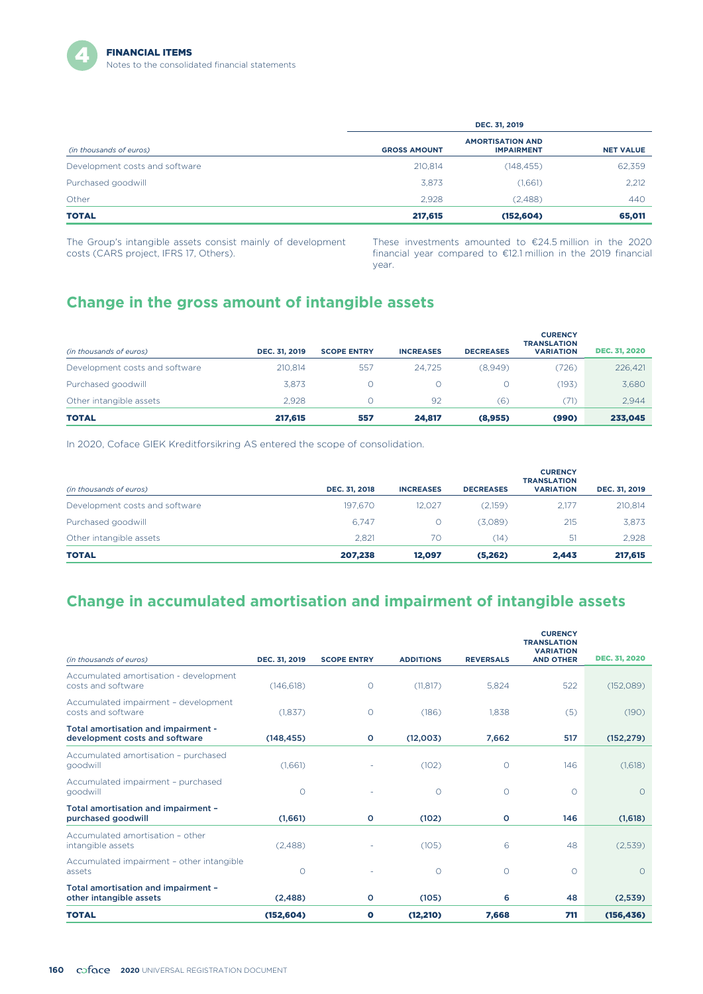|                                | DEC. 31, 2019       |                                              |                  |  |  |  |
|--------------------------------|---------------------|----------------------------------------------|------------------|--|--|--|
| (in thousands of euros)        | <b>GROSS AMOUNT</b> | <b>AMORTISATION AND</b><br><b>IMPAIRMENT</b> | <b>NET VALUE</b> |  |  |  |
| Development costs and software | 210,814             | (148, 455)                                   | 62,359           |  |  |  |
| Purchased goodwill             | 3,873               | (1,661)                                      | 2,212            |  |  |  |
| Other                          | 2.928               | (2,488)                                      | 440              |  |  |  |
| <b>TOTAL</b>                   | 217,615             | (152, 604)                                   | 65,011           |  |  |  |

The Group's intangible assets consist mainly of development costs (CARS project, IFRS 17, Others).

These investments amounted to €24.5 million in the 2020 financial year compared to €12.1 million in the 2019 financial year.

## **Change in the gross amount of intangible assets**

| (in thousands of euros)        | DEC. 31, 2019 | <b>SCOPE ENTRY</b> | <b>INCREASES</b> | <b>DECREASES</b> | <b>CURENCY</b><br><b>TRANSLATION</b><br><b>VARIATION</b> | <b>DEC. 31, 2020</b> |
|--------------------------------|---------------|--------------------|------------------|------------------|----------------------------------------------------------|----------------------|
| Development costs and software | 210.814       | 557                | 24.725           | (8.949)          | (726)                                                    | 226,421              |
| Purchased goodwill             | 3.873         |                    |                  |                  | 193)                                                     | 3,680                |
| Other intangible assets        | 2.928         |                    | 92               | (6)              | (71)                                                     | 2.944                |
| <b>TOTAL</b>                   | 217,615       | 557                | 24.817           | (8,955)          | (990)                                                    | 233,045              |

In 2020, Coface GIEK Kreditforsikring AS entered the scope of consolidation.

| (in thousands of euros)        | DEC. 31, 2018 | <b>INCREASES</b> | <b>DECREASES</b> | <b>CURENCY</b><br><b>TRANSLATION</b><br><b>VARIATION</b> | DEC. 31, 2019 |
|--------------------------------|---------------|------------------|------------------|----------------------------------------------------------|---------------|
| Development costs and software | 197.670       | 12.027           | (2.159)          | 2.177                                                    | 210,814       |
| Purchased goodwill             | 6.747         | 0                | (3,089)          | 215                                                      | 3,873         |
| Other intangible assets        | 2.821         | 70               | (14)             | 51                                                       | 2.928         |
| <b>TOTAL</b>                   | 207.238       | 12.097           | (5,262)          | 2.443                                                    | 217,615       |

## **Change in accumulated amortisation and impairment of intangible assets**

|                                                                       |               |                    |                  |                  | <b>CURENCY</b><br><b>TRANSLATION</b><br><b>VARIATION</b> |                      |
|-----------------------------------------------------------------------|---------------|--------------------|------------------|------------------|----------------------------------------------------------|----------------------|
| (in thousands of euros)                                               | DEC. 31, 2019 | <b>SCOPE ENTRY</b> | <b>ADDITIONS</b> | <b>REVERSALS</b> | <b>AND OTHER</b>                                         | <b>DEC. 31, 2020</b> |
| Accumulated amortisation - development<br>costs and software          | (146, 618)    | $\circ$            | (11, 817)        | 5,824            | 522                                                      | (152,089)            |
| Accumulated impairment - development<br>costs and software            | (1,837)       | $\circ$            | (186)            | 1.838            | (5)                                                      | (190)                |
| Total amortisation and impairment -<br>development costs and software | (148, 455)    | $\circ$            | (12,003)         | 7,662            | 517                                                      | (152, 279)           |
| Accumulated amortisation - purchased<br>goodwill                      | (1,661)       |                    | (102)            | O                | 146                                                      | (1,618)              |
| Accumulated impairment - purchased<br>goodwill                        | $\circ$       |                    | $\circ$          | $\circ$          | $\Omega$                                                 | $\Omega$             |
| Total amortisation and impairment -<br>purchased goodwill             | (1,661)       | $\circ$            | (102)            | o                | 146                                                      | (1,618)              |
| Accumulated amortisation - other<br>intangible assets                 | (2,488)       |                    | (105)            | 6                | 48                                                       | (2,539)              |
| Accumulated impairment - other intangible<br>assets                   | $\circ$       |                    | $\circ$          | $\circ$          | $\Omega$                                                 | $\circ$              |
| Total amortisation and impairment -<br>other intangible assets        | (2,488)       | O                  | (105)            | 6                | 48                                                       | (2,539)              |
| <b>TOTAL</b>                                                          | (152, 604)    | $\bullet$          | (12, 210)        | 7,668            | 711                                                      | (156, 436)           |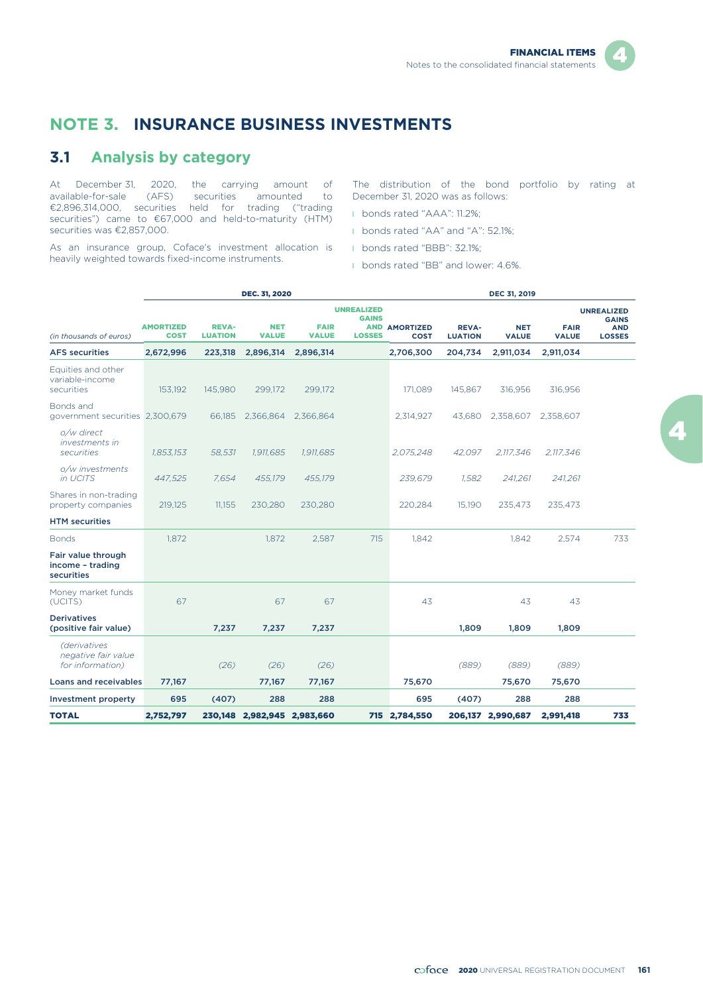## **NOTE 3. INSURANCE BUSINESS INVESTMENTS**

#### **3.1 Analysis by category**

At December 31, 2020, the carrying amount of available-for-sale (AFS) securities amounted to €2,896,314,000, securities held for trading ("trading securities") came to €67,000 and held-to-maturity (HTM) securities was €2,857,000.

As an insurance group, Coface's investment allocation is heavily weighted towards fixed-income instruments.

The distribution of the bond portfolio by rating at December 31, 2020 was as follows:

- l bonds rated "AAA": 11.2%;
- l bonds rated "AA" and "A": 52.1%;
- l bonds rated "BBB": 32.1%;
- **I** bonds rated "BB" and lower: 4.6%.

|                                                         |                                 |                                | DEC. 31, 2020               |                             |                                   |                                     |                                | <b>DEC 31, 2019</b>        |                             |                                   |
|---------------------------------------------------------|---------------------------------|--------------------------------|-----------------------------|-----------------------------|-----------------------------------|-------------------------------------|--------------------------------|----------------------------|-----------------------------|-----------------------------------|
|                                                         |                                 |                                |                             |                             | <b>UNREALIZED</b><br><b>GAINS</b> |                                     |                                |                            |                             | <b>UNREALIZED</b><br><b>GAINS</b> |
| (in thousands of euros)                                 | <b>AMORTIZED</b><br><b>COST</b> | <b>REVA-</b><br><b>LUATION</b> | <b>NET</b><br><b>VALUE</b>  | <b>FAIR</b><br><b>VALUE</b> | <b>LOSSES</b>                     | <b>AND AMORTIZED</b><br><b>COST</b> | <b>REVA-</b><br><b>LUATION</b> | <b>NET</b><br><b>VALUE</b> | <b>FAIR</b><br><b>VALUE</b> | <b>AND</b><br><b>LOSSES</b>       |
| <b>AFS securities</b>                                   | 2,672,996                       | 223,318                        | 2,896,314                   | 2,896,314                   |                                   | 2,706,300                           | 204,734                        | 2,911,034                  | 2,911,034                   |                                   |
| Equities and other<br>variable-income<br>securities     | 153,192                         | 145,980                        | 299,172                     | 299,172                     |                                   | 171,089                             | 145,867                        | 316,956                    | 316,956                     |                                   |
| Bonds and<br>government securities 2,300,679            |                                 | 66,185                         | 2,366,864                   | 2,366,864                   |                                   | 2,314,927                           | 43,680                         | 2,358,607                  | 2,358,607                   |                                   |
| o/w direct<br><i>investments in</i><br>securities       | 1,853,153                       | 58,531                         | 1,911,685                   | 1,911,685                   |                                   | 2,075,248                           | 42,097                         | 2,117,346                  | 2,117,346                   |                                   |
| o/w investments<br>in UCITS                             | 447,525                         | 7,654                          | 455,179                     | 455,179                     |                                   | 239,679                             | 1,582                          | 241,261                    | 241,261                     |                                   |
| Shares in non-trading<br>property companies             | 219,125                         | 11,155                         | 230,280                     | 230,280                     |                                   | 220,284                             | 15,190                         | 235,473                    | 235,473                     |                                   |
| <b>HTM</b> securities                                   |                                 |                                |                             |                             |                                   |                                     |                                |                            |                             |                                   |
| <b>Bonds</b>                                            | 1,872                           |                                | 1,872                       | 2,587                       | 715                               | 1,842                               |                                | 1,842                      | 2,574                       | 733                               |
| Fair value through<br>income - trading<br>securities    |                                 |                                |                             |                             |                                   |                                     |                                |                            |                             |                                   |
| Money market funds<br>(UCITS)                           | 67                              |                                | 67                          | 67                          |                                   | 43                                  |                                | 43                         | 43                          |                                   |
| <b>Derivatives</b><br>(positive fair value)             |                                 | 7,237                          | 7,237                       | 7,237                       |                                   |                                     | 1,809                          | 1,809                      | 1,809                       |                                   |
| (derivatives<br>negative fair value<br>for information) |                                 | (26)                           | (26)                        | (26)                        |                                   |                                     | (889)                          | (889)                      | (889)                       |                                   |
| <b>Loans and receivables</b>                            | 77,167                          |                                | 77,167                      | 77,167                      |                                   | 75,670                              |                                | 75,670                     | 75,670                      |                                   |
| <b>Investment property</b>                              | 695                             | (407)                          | 288                         | 288                         |                                   | 695                                 | (407)                          | 288                        | 288                         |                                   |
| <b>TOTAL</b>                                            | 2,752,797                       |                                | 230,148 2,982,945 2,983,660 |                             |                                   | 715 2,784,550                       |                                | 206,137 2,990,687          | 2,991,418                   | 733                               |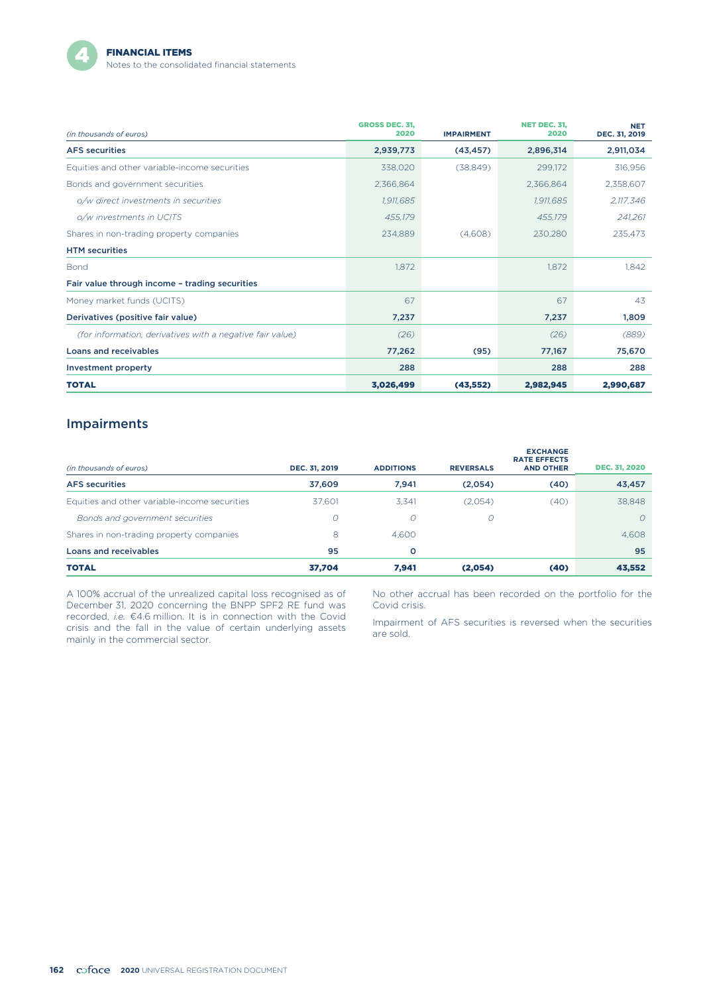

| (in thousands of euros)                                   | <b>GROSS DEC. 31.</b><br>2020 | <b>IMPAIRMENT</b> | <b>NET DEC. 31.</b><br>2020 | <b>NET</b><br>DEC. 31, 2019 |
|-----------------------------------------------------------|-------------------------------|-------------------|-----------------------------|-----------------------------|
| <b>AFS</b> securities                                     | 2,939,773                     | (43, 457)         | 2,896,314                   | 2,911,034                   |
| Equities and other variable-income securities             | 338,020                       | (38, 849)         | 299,172                     | 316,956                     |
| Bonds and government securities                           | 2,366,864                     |                   | 2,366,864                   | 2,358,607                   |
| o/w direct investments in securities                      | 1,911,685                     |                   | 1,911,685                   | 2,117,346                   |
| o/w investments in UCITS                                  | 455,179                       |                   | 455,179                     | 241,261                     |
| Shares in non-trading property companies                  | 234,889                       | (4,608)           | 230,280                     | 235,473                     |
| <b>HTM</b> securities                                     |                               |                   |                             |                             |
| <b>Bond</b>                                               | 1,872                         |                   | 1,872                       | 1.842                       |
| Fair value through income - trading securities            |                               |                   |                             |                             |
| Money market funds (UCITS)                                | 67                            |                   | 67                          | 43                          |
| Derivatives (positive fair value)                         | 7,237                         |                   | 7,237                       | 1,809                       |
| (for information, derivatives with a negative fair value) | (26)                          |                   | (26)                        | (889)                       |
| Loans and receivables                                     | 77,262                        | (95)              | 77,167                      | 75,670                      |
| <b>Investment property</b>                                | 288                           |                   | 288                         | 288                         |
| <b>TOTAL</b>                                              | 3,026,499                     | (43, 552)         | 2.982.945                   | 2.990.687                   |

#### Impairments

| (in thousands of euros)                       | DEC. 31, 2019 | <b>ADDITIONS</b> | <b>REVERSALS</b> | <b>EXCHANGE</b><br><b>RATE EFFECTS</b><br><b>AND OTHER</b> | <b>DEC. 31, 2020</b> |
|-----------------------------------------------|---------------|------------------|------------------|------------------------------------------------------------|----------------------|
| <b>AFS</b> securities                         | 37.609        | 7.941            | (2,054)          | (40)                                                       | 43,457               |
| Equities and other variable-income securities | 37.601        | 3.341            | (2,054)          | (40)                                                       | 38,848               |
| Bonds and government securities               | O             | $\circ$          | $\mathcal{O}$    |                                                            | $\Omega$             |
| Shares in non-trading property companies      | 8             | 4.600            |                  |                                                            | 4,608                |
| Loans and receivables                         | 95            | $\circ$          |                  |                                                            | 95                   |
| <b>TOTAL</b>                                  | 37,704        | 7.941            | (2,054)          | (40)                                                       | 43,552               |

A 100% accrual of the unrealized capital loss recognised as of December 31, 2020 concerning the BNPP SPF2 RE fund was recorded, *i.e.* €4.6 million. It is in connection with the Covid crisis and the fall in the value of certain underlying assets mainly in the commercial sector.

No other accrual has been recorded on the portfolio for the Covid crisis.

Impairment of AFS securities is reversed when the securities are sold.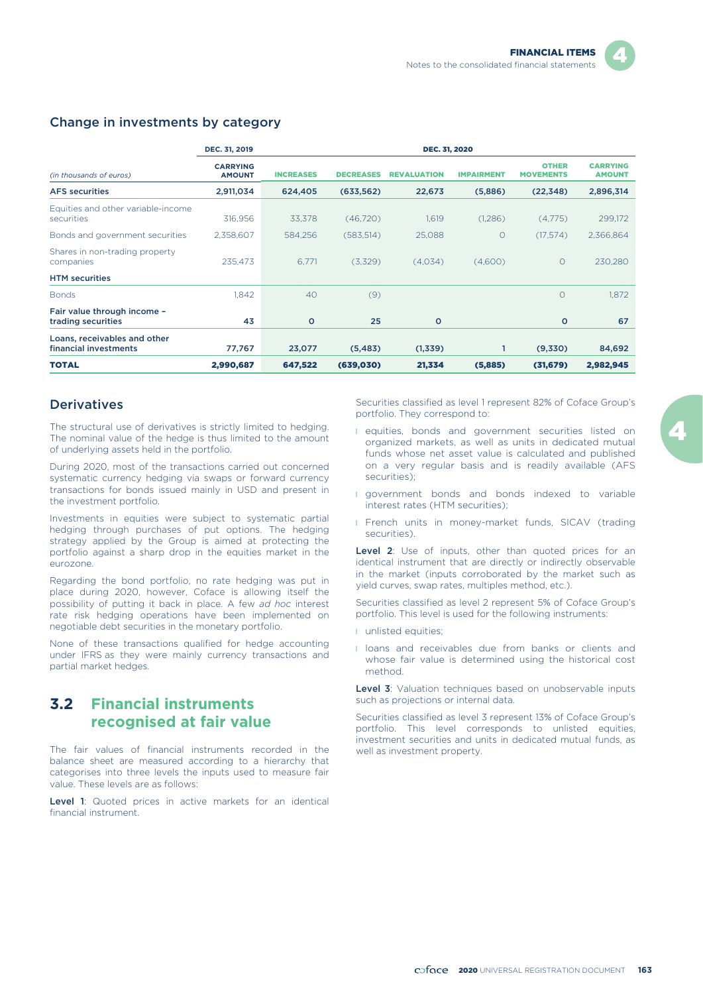|                                                       | DEC. 31, 2019                    |                  |                  | <b>DEC. 31, 2020</b> |                   |                                  |                                  |
|-------------------------------------------------------|----------------------------------|------------------|------------------|----------------------|-------------------|----------------------------------|----------------------------------|
| (in thousands of euros)                               | <b>CARRYING</b><br><b>AMOUNT</b> | <b>INCREASES</b> | <b>DECREASES</b> | <b>REVALUATION</b>   | <b>IMPAIRMENT</b> | <b>OTHER</b><br><b>MOVEMENTS</b> | <b>CARRYING</b><br><b>AMOUNT</b> |
| <b>AFS</b> securities                                 | 2,911,034                        | 624,405          | (633, 562)       | 22,673               | (5,886)           | (22, 348)                        | 2,896,314                        |
| Equities and other variable-income<br>securities      | 316,956                          | 33,378           | (46, 720)        | 1,619                | (1,286)           | (4,775)                          | 299,172                          |
| Bonds and government securities                       | 2,358,607                        | 584,256          | (583, 514)       | 25,088               | $\circ$           | (17.574)                         | 2,366,864                        |
| Shares in non-trading property<br>companies           | 235.473                          | 6.771            | (3,329)          | (4,034)              | (4,600)           | $\circ$                          | 230,280                          |
| <b>HTM</b> securities                                 |                                  |                  |                  |                      |                   |                                  |                                  |
| <b>Bonds</b>                                          | 1.842                            | 40               | (9)              |                      |                   | $\circ$                          | 1.872                            |
| Fair value through income -<br>trading securities     | 43                               | $\circ$          | 25               | $\circ$              |                   | $\circ$                          | 67                               |
| Loans, receivables and other<br>financial investments | 77,767                           | 23,077           | (5, 483)         | (1,339)              |                   | (9,330)                          | 84,692                           |
| <b>TOTAL</b>                                          | 2,990,687                        | 647,522          | (639, 030)       | 21,334               | (5,885)           | (31, 679)                        | 2,982,945                        |

#### Change in investments by category

#### **Derivatives**

The structural use of derivatives is strictly limited to hedging. The nominal value of the hedge is thus limited to the amount of underlying assets held in the portfolio.

During 2020, most of the transactions carried out concerned systematic currency hedging via swaps or forward currency transactions for bonds issued mainly in USD and present in the investment portfolio.

Investments in equities were subject to systematic partial hedging through purchases of put options. The hedging strategy applied by the Group is aimed at protecting the portfolio against a sharp drop in the equities market in the eurozone.

Regarding the bond portfolio, no rate hedging was put in place during 2020, however, Coface is allowing itself the possibility of putting it back in place. A few *ad hoc* interest rate risk hedging operations have been implemented on negotiable debt securities in the monetary portfolio.

None of these transactions qualified for hedge accounting under IFRS as they were mainly currency transactions and partial market hedges.

## **3.2 Financial instruments recognised at fair value**

The fair values of financial instruments recorded in the balance sheet are measured according to a hierarchy that categorises into three levels the inputs used to measure fair value. These levels are as follows:

Level 1: Quoted prices in active markets for an identical financial instrument.

Securities classified as level 1 represent 82% of Coface Group's portfolio. They correspond to:

- l equities, bonds and government securities listed on organized markets, as well as units in dedicated mutual funds whose net asset value is calculated and published on a very regular basis and is readily available (AFS securities);
- **I** government bonds and bonds indexed to variable interest rates (HTM securities);
- **I** French units in money-market funds, SICAV (trading securities).

Level 2: Use of inputs, other than quoted prices for an identical instrument that are directly or indirectly observable in the market (inputs corroborated by the market such as yield curves, swap rates, multiples method, etc.).

Securities classified as level 2 represent 5% of Coface Group's portfolio. This level is used for the following instruments:

- **I** unlisted equities:
- **I** loans and receivables due from banks or clients and whose fair value is determined using the historical cost method.

Level 3: Valuation techniques based on unobservable inputs such as projections or internal data.

Securities classified as level 3 represent 13% of Coface Group's portfolio. This level corresponds to unlisted equities, investment securities and units in dedicated mutual funds, as well as investment property.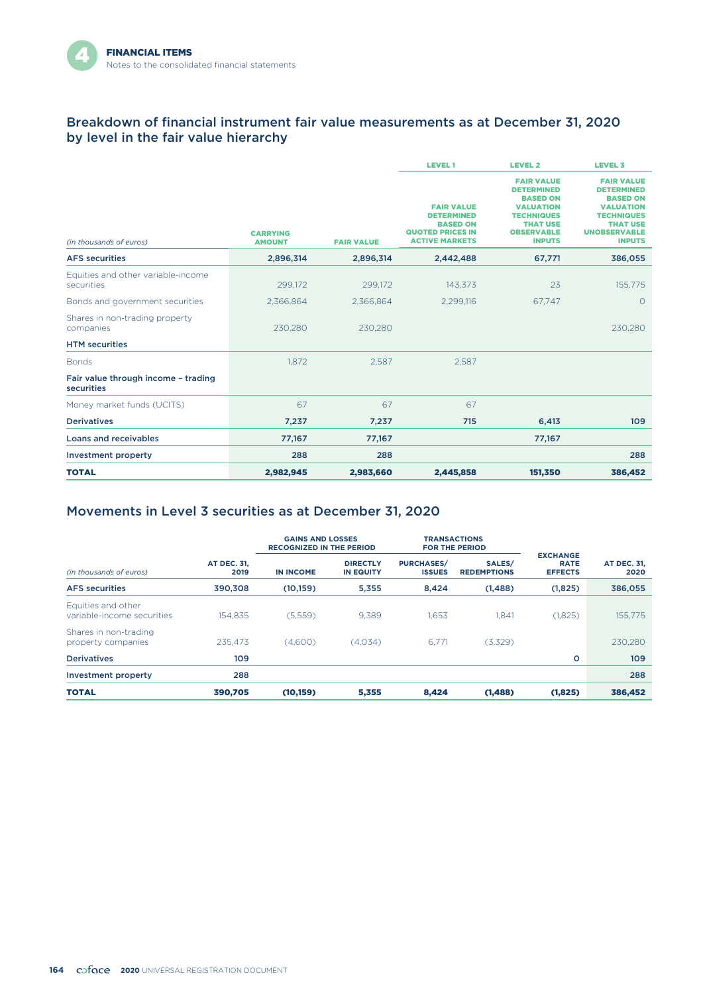#### Breakdown of financial instrument fair value measurements as at December 31, 2020 by level in the fair value hierarchy

|                                                   |                                  |                   | <b>LEVEL1</b>                                                                                                 | <b>LEVEL 2</b>                                                                                                                                              | <b>LEVEL 3</b>                                                                                                                                                |
|---------------------------------------------------|----------------------------------|-------------------|---------------------------------------------------------------------------------------------------------------|-------------------------------------------------------------------------------------------------------------------------------------------------------------|---------------------------------------------------------------------------------------------------------------------------------------------------------------|
| (in thousands of euros)                           | <b>CARRYING</b><br><b>AMOUNT</b> | <b>FAIR VALUE</b> | <b>FAIR VALUE</b><br><b>DETERMINED</b><br><b>BASED ON</b><br><b>QUOTED PRICES IN</b><br><b>ACTIVE MARKETS</b> | <b>FAIR VALUE</b><br><b>DETERMINED</b><br><b>BASED ON</b><br><b>VALUATION</b><br><b>TECHNIQUES</b><br><b>THAT USE</b><br><b>OBSERVABLE</b><br><b>INPUTS</b> | <b>FAIR VALUE</b><br><b>DETERMINED</b><br><b>BASED ON</b><br><b>VALUATION</b><br><b>TECHNIQUES</b><br><b>THAT USE</b><br><b>UNOBSERVABLE</b><br><b>INPUTS</b> |
| <b>AFS</b> securities                             | 2,896,314                        | 2,896,314         | 2,442,488                                                                                                     | 67,771                                                                                                                                                      | 386,055                                                                                                                                                       |
| Equities and other variable-income<br>securities  | 299,172                          | 299,172           | 143,373                                                                                                       | 23                                                                                                                                                          | 155,775                                                                                                                                                       |
| Bonds and government securities                   | 2,366,864                        | 2.366.864         | 2.299.116                                                                                                     | 67.747                                                                                                                                                      | $\circ$                                                                                                                                                       |
| Shares in non-trading property<br>companies       | 230,280                          | 230.280           |                                                                                                               |                                                                                                                                                             | 230,280                                                                                                                                                       |
| <b>HTM</b> securities                             |                                  |                   |                                                                                                               |                                                                                                                                                             |                                                                                                                                                               |
| <b>Bonds</b>                                      | 1.872                            | 2,587             | 2,587                                                                                                         |                                                                                                                                                             |                                                                                                                                                               |
| Fair value through income - trading<br>securities |                                  |                   |                                                                                                               |                                                                                                                                                             |                                                                                                                                                               |
| Money market funds (UCITS)                        | 67                               | 67                | 67                                                                                                            |                                                                                                                                                             |                                                                                                                                                               |
| <b>Derivatives</b>                                | 7,237                            | 7,237             | 715                                                                                                           | 6,413                                                                                                                                                       | 109                                                                                                                                                           |
| Loans and receivables                             | 77,167                           | 77,167            |                                                                                                               | 77,167                                                                                                                                                      |                                                                                                                                                               |
| <b>Investment property</b>                        | 288                              | 288               |                                                                                                               |                                                                                                                                                             | 288                                                                                                                                                           |
| <b>TOTAL</b>                                      | 2,982,945                        | 2,983,660         | 2,445,858                                                                                                     | 151,350                                                                                                                                                     | 386,452                                                                                                                                                       |

### Movements in Level 3 securities as at December 31, 2020

|                                                  |                            | <b>GAINS AND LOSSES</b><br><b>RECOGNIZED IN THE PERIOD</b> |                                     | <b>TRANSACTIONS</b><br><b>FOR THE PERIOD</b> |                              |                                                  |                            |  |  |
|--------------------------------------------------|----------------------------|------------------------------------------------------------|-------------------------------------|----------------------------------------------|------------------------------|--------------------------------------------------|----------------------------|--|--|
| (in thousands of euros)                          | <b>AT DEC. 31,</b><br>2019 | <b>IN INCOME</b>                                           | <b>DIRECTLY</b><br><b>IN EQUITY</b> | <b>PURCHASES/</b><br><b>ISSUES</b>           | SALES/<br><b>REDEMPTIONS</b> | <b>EXCHANGE</b><br><b>RATE</b><br><b>EFFECTS</b> | <b>AT DEC. 31,</b><br>2020 |  |  |
| <b>AFS</b> securities                            | 390,308                    | (10, 159)                                                  | 5,355                               | 8,424                                        | (1, 488)                     | (1,825)                                          | 386,055                    |  |  |
| Equities and other<br>variable-income securities | 154.835                    | (5,559)                                                    | 9,389                               | 1,653                                        | 1,841                        | (1,825)                                          | 155,775                    |  |  |
| Shares in non-trading<br>property companies      | 235.473                    | (4.600)                                                    | (4.034)                             | 6.771                                        | (3,329)                      |                                                  | 230.280                    |  |  |
| <b>Derivatives</b>                               | 109                        |                                                            |                                     |                                              |                              | $\circ$                                          | 109                        |  |  |
| <b>Investment property</b>                       | 288                        |                                                            |                                     |                                              |                              |                                                  | 288                        |  |  |
| <b>TOTAL</b>                                     | 390,705                    | (10, 159)                                                  | 5,355                               | 8,424                                        | (1, 488)                     | (1,825)                                          | 386,452                    |  |  |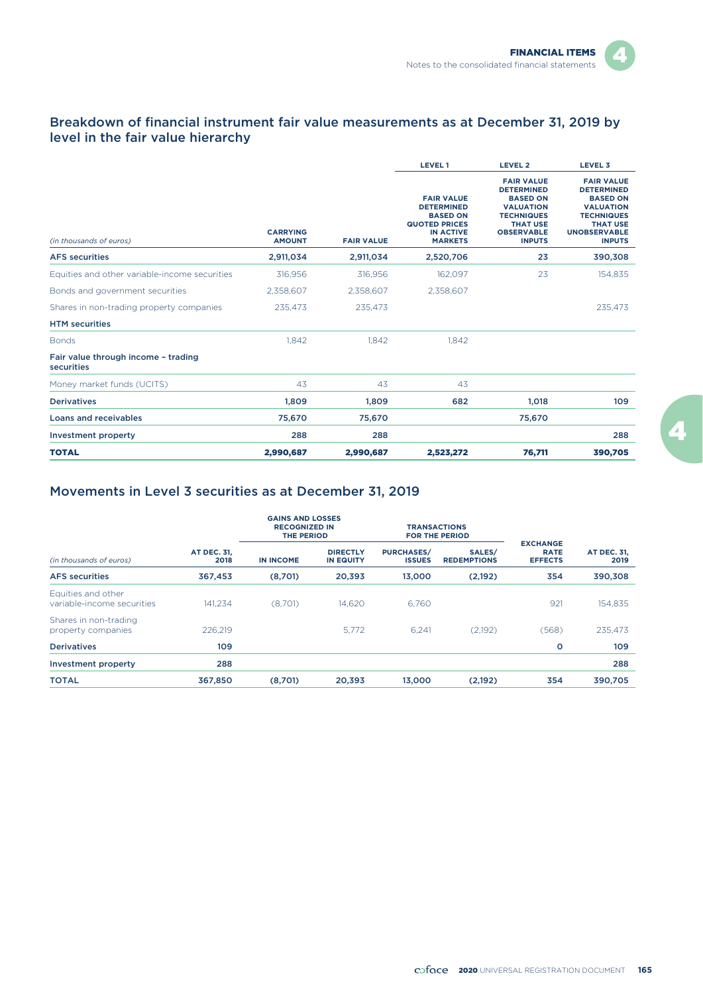#### Breakdown of financial instrument fair value measurements as at December 31, 2019 by level in the fair value hierarchy

|                                                   |                                  |                   | <b>LEVEL1</b>                                                                                                           | <b>LEVEL 2</b>                                                                                                                                              | <b>LEVEL 3</b>                                                                                                                                                |
|---------------------------------------------------|----------------------------------|-------------------|-------------------------------------------------------------------------------------------------------------------------|-------------------------------------------------------------------------------------------------------------------------------------------------------------|---------------------------------------------------------------------------------------------------------------------------------------------------------------|
| (in thousands of euros)                           | <b>CARRYING</b><br><b>AMOUNT</b> | <b>FAIR VALUE</b> | <b>FAIR VALUE</b><br><b>DETERMINED</b><br><b>BASED ON</b><br><b>QUOTED PRICES</b><br><b>IN ACTIVE</b><br><b>MARKETS</b> | <b>FAIR VALUE</b><br><b>DETERMINED</b><br><b>BASED ON</b><br><b>VALUATION</b><br><b>TECHNIQUES</b><br><b>THAT USE</b><br><b>OBSERVABLE</b><br><b>INPUTS</b> | <b>FAIR VALUE</b><br><b>DETERMINED</b><br><b>BASED ON</b><br><b>VALUATION</b><br><b>TECHNIQUES</b><br><b>THAT USE</b><br><b>UNOBSERVABLE</b><br><b>INPUTS</b> |
| <b>AFS</b> securities                             | 2,911,034                        | 2,911,034         | 2,520,706                                                                                                               | 23                                                                                                                                                          | 390,308                                                                                                                                                       |
| Equities and other variable-income securities     | 316,956                          | 316,956           | 162,097                                                                                                                 | 23                                                                                                                                                          | 154,835                                                                                                                                                       |
| Bonds and government securities                   | 2,358,607                        | 2,358,607         | 2,358,607                                                                                                               |                                                                                                                                                             |                                                                                                                                                               |
| Shares in non-trading property companies          | 235,473                          | 235,473           |                                                                                                                         |                                                                                                                                                             | 235,473                                                                                                                                                       |
| <b>HTM</b> securities                             |                                  |                   |                                                                                                                         |                                                                                                                                                             |                                                                                                                                                               |
| <b>Bonds</b>                                      | 1.842                            | 1.842             | 1.842                                                                                                                   |                                                                                                                                                             |                                                                                                                                                               |
| Fair value through income - trading<br>securities |                                  |                   |                                                                                                                         |                                                                                                                                                             |                                                                                                                                                               |
| Money market funds (UCITS)                        | 43                               | 43                | 43                                                                                                                      |                                                                                                                                                             |                                                                                                                                                               |
| <b>Derivatives</b>                                | 1.809                            | 1.809             | 682                                                                                                                     | 1.018                                                                                                                                                       | 109                                                                                                                                                           |
| <b>Loans and receivables</b>                      | 75,670                           | 75,670            |                                                                                                                         | 75,670                                                                                                                                                      |                                                                                                                                                               |
| Investment property                               | 288                              | 288               |                                                                                                                         |                                                                                                                                                             | 288                                                                                                                                                           |
| <b>TOTAL</b>                                      | 2,990,687                        | 2,990,687         | 2,523,272                                                                                                               | 76,711                                                                                                                                                      | 390,705                                                                                                                                                       |

### Movements in Level 3 securities as at December 31, 2019

|                                                  |                            | <b>GAINS AND LOSSES</b><br><b>RECOGNIZED IN</b><br><b>THE PERIOD</b> |                                     |                                    | <b>TRANSACTIONS</b><br><b>FOR THE PERIOD</b> |                                                  |                            |
|--------------------------------------------------|----------------------------|----------------------------------------------------------------------|-------------------------------------|------------------------------------|----------------------------------------------|--------------------------------------------------|----------------------------|
| (in thousands of euros)                          | <b>AT DEC. 31,</b><br>2018 | <b>IN INCOME</b>                                                     | <b>DIRECTLY</b><br><b>IN EQUITY</b> | <b>PURCHASES/</b><br><b>ISSUES</b> | SALES/<br><b>REDEMPTIONS</b>                 | <b>EXCHANGE</b><br><b>RATE</b><br><b>EFFECTS</b> | <b>AT DEC. 31,</b><br>2019 |
| <b>AFS</b> securities                            | 367,453                    | (8,701)                                                              | 20,393                              | 13,000                             | (2,192)                                      | 354                                              | 390,308                    |
| Equities and other<br>variable-income securities | 141.234                    | (8,701)                                                              | 14.620                              | 6.760                              |                                              | 921                                              | 154,835                    |
| Shares in non-trading<br>property companies      | 226,219                    |                                                                      | 5.772                               | 6,241                              | (2,192)                                      | (568)                                            | 235,473                    |
| <b>Derivatives</b>                               | 109                        |                                                                      |                                     |                                    |                                              | o                                                | 109                        |
| Investment property                              | 288                        |                                                                      |                                     |                                    |                                              |                                                  | 288                        |
| <b>TOTAL</b>                                     | 367,850                    | (8,701)                                                              | 20,393                              | 13,000                             | (2,192)                                      | 354                                              | 390,705                    |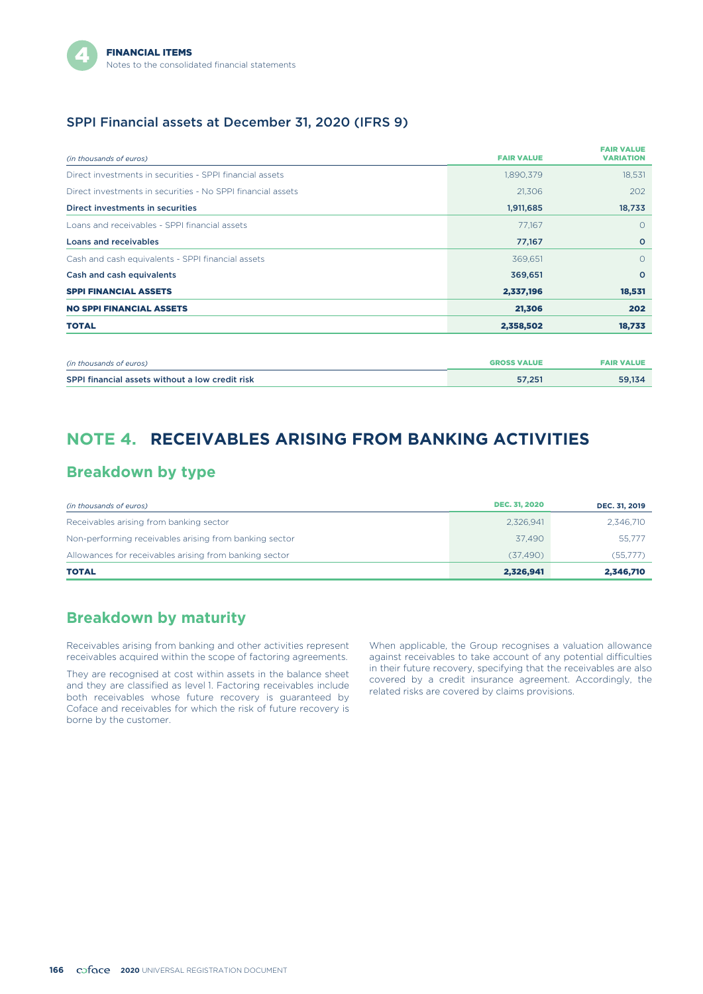#### SPPI Financial assets at December 31, 2020 (IFRS 9)

| (in thousands of euros)                                     | <b>FAIR VALUE</b>  | <b>FAIR VALUE</b><br><b>VARIATION</b> |
|-------------------------------------------------------------|--------------------|---------------------------------------|
| Direct investments in securities - SPPI financial assets    | 1,890,379          | 18,531                                |
| Direct investments in securities - No SPPI financial assets | 21,306             | 202                                   |
| Direct investments in securities                            | 1,911,685          | 18,733                                |
| Loans and receivables - SPPI financial assets               | 77.167             | $\circ$                               |
| <b>Loans and receivables</b>                                | 77,167             | $\circ$                               |
| Cash and cash equivalents - SPPI financial assets           | 369,651            | $\circ$                               |
| Cash and cash equivalents                                   | 369,651            | $\circ$                               |
| <b>SPPI FINANCIAL ASSETS</b>                                | 2,337,196          | 18,531                                |
| <b>NO SPPI FINANCIAL ASSETS</b>                             | 21,306             | 202                                   |
| <b>TOTAL</b>                                                | 2,358,502          | 18,733                                |
|                                                             |                    |                                       |
| (in thousands of euros)                                     | <b>GROSS VALUE</b> | <b>FAIR VALUE</b>                     |

| (in thousands of euros)                         | <b>GROSS VALUE</b> | <b>FAIR VALUE</b> |
|-------------------------------------------------|--------------------|-------------------|
| SPPI financial assets without a low credit risk | 57.251             | 59.134            |

# **NOTE 4. RECEIVABLES ARISING FROM BANKING ACTIVITIES**

### **Breakdown by type**

| (in thousands of euros)                                | <b>DEC. 31, 2020</b> | DEC. 31, 2019 |
|--------------------------------------------------------|----------------------|---------------|
| Receivables arising from banking sector                | 2,326,941            | 2.346.710     |
| Non-performing receivables arising from banking sector | 37.490               | 55,777        |
| Allowances for receivables arising from banking sector | (37.490)             | (55,777)      |
| <b>TOTAL</b>                                           | 2,326,941            | 2,346,710     |

### **Breakdown by maturity**

Receivables arising from banking and other activities represent receivables acquired within the scope of factoring agreements.

They are recognised at cost within assets in the balance sheet and they are classified as level 1. Factoring receivables include both receivables whose future recovery is guaranteed by Coface and receivables for which the risk of future recovery is borne by the customer.

When applicable, the Group recognises a valuation allowance against receivables to take account of any potential difficulties in their future recovery, specifying that the receivables are also covered by a credit insurance agreement. Accordingly, the related risks are covered by claims provisions.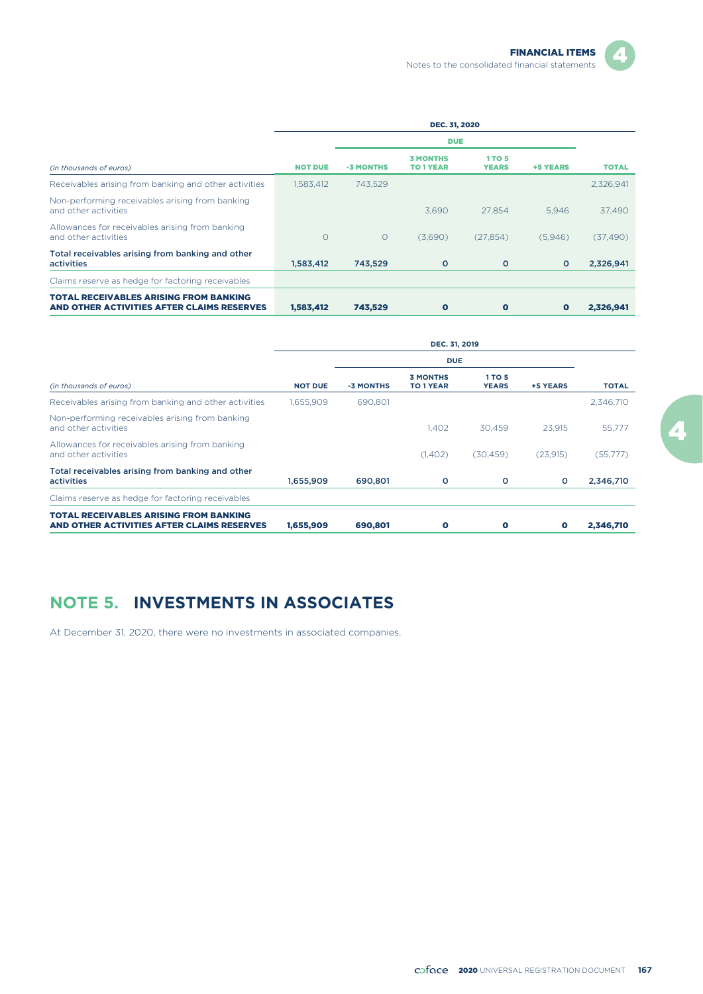|                                                                                             |                | <b>DUE</b> |                                     |                               |           |              |
|---------------------------------------------------------------------------------------------|----------------|------------|-------------------------------------|-------------------------------|-----------|--------------|
| (in thousands of euros)                                                                     | <b>NOT DUE</b> | -3 MONTHS  | <b>3 MONTHS</b><br><b>TO 1 YEAR</b> | <b>1 TO 5</b><br><b>YEARS</b> | +5 YEARS  | <b>TOTAL</b> |
| Receivables arising from banking and other activities                                       | 1,583,412      | 743.529    |                                     |                               |           | 2,326,941    |
| Non-performing receivables arising from banking<br>and other activities                     |                |            | 3.690                               | 27.854                        | 5.946     | 37,490       |
| Allowances for receivables arising from banking<br>and other activities                     | $\circ$        | $\Omega$   | (3,690)                             | (27, 854)                     | (5,946)   | (37, 490)    |
| Total receivables arising from banking and other<br><b>activities</b>                       | 1,583,412      | 743,529    | $\circ$                             | o                             | $\circ$   | 2,326,941    |
| Claims reserve as hedge for factoring receivables                                           |                |            |                                     |                               |           |              |
| <b>TOTAL RECEIVABLES ARISING FROM BANKING</b><br>AND OTHER ACTIVITIES AFTER CLAIMS RESERVES | 1,583,412      | 743,529    | $\bullet$                           | o                             | $\bullet$ | 2,326,941    |

|                                                                                             | DEC. 31, 2019  |           |                                     |                               |           |              |
|---------------------------------------------------------------------------------------------|----------------|-----------|-------------------------------------|-------------------------------|-----------|--------------|
| (in thousands of euros)                                                                     |                |           | <b>DUE</b>                          |                               |           |              |
|                                                                                             | <b>NOT DUE</b> | -3 MONTHS | <b>3 MONTHS</b><br><b>TO 1 YEAR</b> | <b>1 TO 5</b><br><b>YEARS</b> | +5 YEARS  | <b>TOTAL</b> |
| Receivables arising from banking and other activities                                       | 1.655.909      | 690.801   |                                     |                               |           | 2,346,710    |
| Non-performing receivables arising from banking<br>and other activities                     |                |           | 1.402                               | 30.459                        | 23.915    | 55,777       |
| Allowances for receivables arising from banking<br>and other activities                     |                |           | (1,402)                             | (30.459)                      | (23,915)  | (55,777)     |
| Total receivables arising from banking and other<br>activities                              | 1,655,909      | 690,801   | o                                   | o                             | $\circ$   | 2,346,710    |
| Claims reserve as hedge for factoring receivables                                           |                |           |                                     |                               |           |              |
| <b>TOTAL RECEIVABLES ARISING FROM BANKING</b><br>AND OTHER ACTIVITIES AFTER CLAIMS RESERVES | 1.655.909      | 690,801   | $\mathbf o$                         | $\bullet$                     | $\bullet$ | 2.346.710    |

# **NOTE 5. INVESTMENTS IN ASSOCIATES**

At December 31, 2020, there were no investments in associated companies.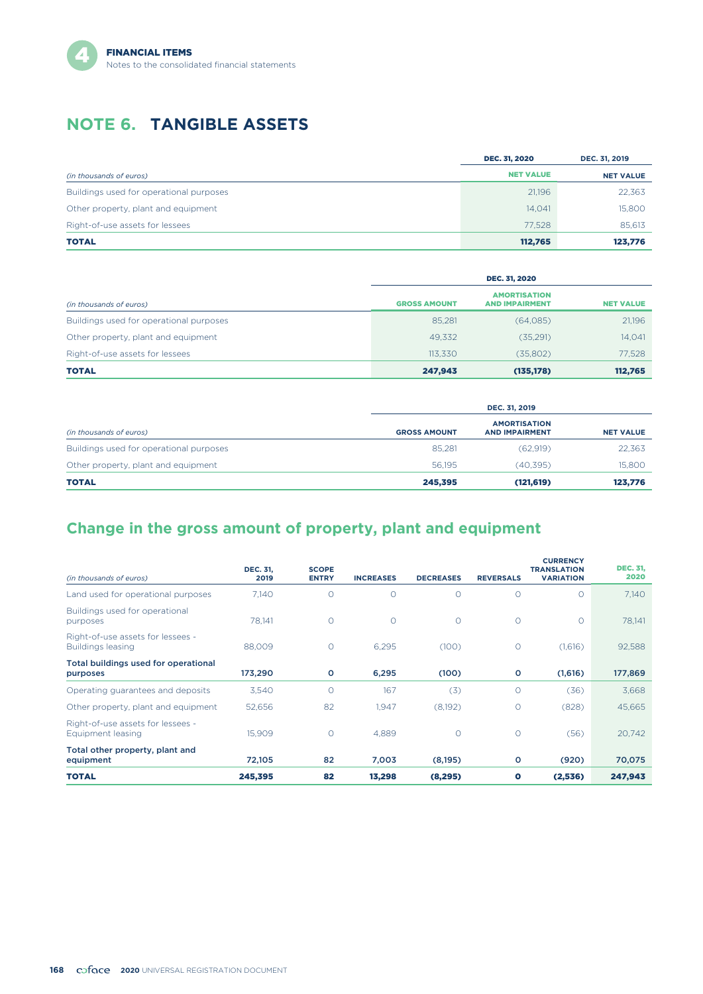# **NOTE 6. TANGIBLE ASSETS**

|                                         | <b>DEC. 31, 2020</b> | DEC. 31, 2019    |
|-----------------------------------------|----------------------|------------------|
| (in thousands of euros)                 | <b>NET VALUE</b>     | <b>NET VALUE</b> |
| Buildings used for operational purposes | 21,196               | 22,363           |
| Other property, plant and equipment     | 14,041               | 15,800           |
| Right-of-use assets for lessees         | 77.528               | 85,613           |
| <b>TOTAL</b>                            | 112,765              | 123,776          |

|                                         |                     | <b>DEC. 31, 2020</b>                         |                  |  |  |  |
|-----------------------------------------|---------------------|----------------------------------------------|------------------|--|--|--|
| (in thousands of euros)                 | <b>GROSS AMOUNT</b> | <b>AMORTISATION</b><br><b>AND IMPAIRMENT</b> | <b>NET VALUE</b> |  |  |  |
| Buildings used for operational purposes | 85,281              | (64,085)                                     | 21,196           |  |  |  |
| Other property, plant and equipment     | 49.332              | (35,291)                                     | 14,041           |  |  |  |
| Right-of-use assets for lessees         | 113.330             | (35,802)                                     | 77,528           |  |  |  |
| <b>TOTAL</b>                            | 247,943             | (135, 178)                                   | 112.765          |  |  |  |

|                                         | DEC. 31, 2019       |                                              |                  |  |  |
|-----------------------------------------|---------------------|----------------------------------------------|------------------|--|--|
| (in thousands of euros)                 | <b>GROSS AMOUNT</b> | <b>AMORTISATION</b><br><b>AND IMPAIRMENT</b> | <b>NET VALUE</b> |  |  |
| Buildings used for operational purposes | 85.281              | (62, 919)                                    | 22,363           |  |  |
| Other property, plant and equipment     | 56.195              | (40, 395)                                    | 15,800           |  |  |
| <b>TOTAL</b>                            | 245,395             | (121, 619)                                   | 123,776          |  |  |

# **Change in the gross amount of property, plant and equipment**

| (in thousands of euros)                                | <b>DEC. 31,</b><br>2019 | <b>SCOPE</b><br><b>ENTRY</b> | <b>INCREASES</b> | <b>DECREASES</b> | <b>REVERSALS</b> | <b>CURRENCY</b><br><b>TRANSLATION</b><br><b>VARIATION</b> | <b>DEC. 31,</b><br>2020 |
|--------------------------------------------------------|-------------------------|------------------------------|------------------|------------------|------------------|-----------------------------------------------------------|-------------------------|
| Land used for operational purposes                     | 7.140                   | $\Omega$                     | $\Omega$         | $\circ$          | $\Omega$         | $\Omega$                                                  | 7,140                   |
| Buildings used for operational<br>purposes             | 78.141                  | $\circ$                      | $\Omega$         | 0                | $\circ$          | $\circ$                                                   | 78.141                  |
| Right-of-use assets for lessees -<br>Buildings leasing | 88.009                  | $\circ$                      | 6,295            | (100)            | $\circ$          | (1,616)                                                   | 92,588                  |
| Total buildings used for operational<br>purposes       | 173,290                 | $\circ$                      | 6,295            | (100)            | $\circ$          | (1,616)                                                   | 177,869                 |
| Operating guarantees and deposits                      | 3,540                   | $\circ$                      | 167              | (3)              | $\circ$          | (36)                                                      | 3,668                   |
| Other property, plant and equipment                    | 52,656                  | 82                           | 1,947            | (8,192)          | $\circ$          | (828)                                                     | 45,665                  |
| Right-of-use assets for lessees -<br>Equipment leasing | 15,909                  | $\circ$                      | 4,889            | $\circ$          | $\circ$          | (56)                                                      | 20,742                  |
| Total other property, plant and<br>equipment           | 72,105                  | 82                           | 7,003            | (8, 195)         | $\circ$          | (920)                                                     | 70,075                  |
| <b>TOTAL</b>                                           | 245,395                 | 82                           | 13,298           | (8, 295)         | $\bullet$        | (2,536)                                                   | 247,943                 |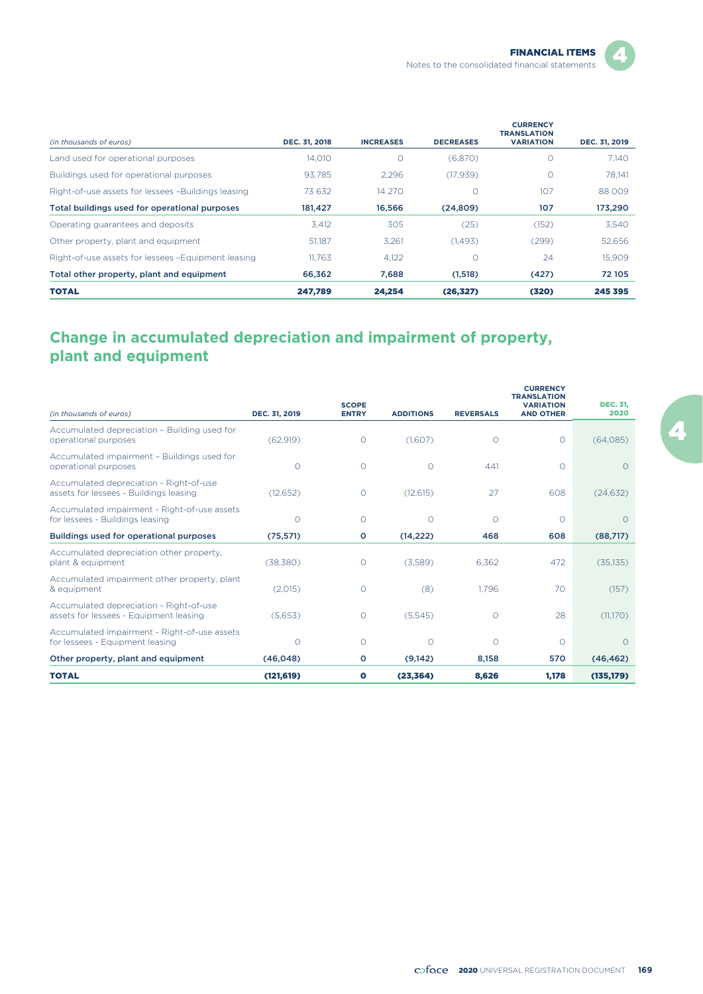

| (in thousands of euros)                            | DEC. 31, 2018 | <b>INCREASES</b> | <b>DECREASES</b> | <b>CURRENCY</b><br><b>TRANSLATION</b><br><b>VARIATION</b> | DEC. 31, 2019 |
|----------------------------------------------------|---------------|------------------|------------------|-----------------------------------------------------------|---------------|
| Land used for operational purposes                 | 14.010        | 0                | (6,870)          | 0                                                         | 7.140         |
| Buildings used for operational purposes            | 93.785        | 2.296            | (17, 939)        | $\circ$                                                   | 78.141        |
| Right-of-use assets for lessees -Buildings leasing | 73632         | 14 270           | 0                | 107                                                       | 88009         |
| Total buildings used for operational purposes      | 181,427       | 16.566           | (24, 809)        | 107                                                       | 173,290       |
| Operating guarantees and deposits                  | 3.412         | 305              | (25)             | (152)                                                     | 3,540         |
| Other property, plant and equipment                | 51,187        | 3.261            | (1.493)          | (299)                                                     | 52,656        |
| Right-of-use assets for lessees -Equipment leasing | 11.763        | 4,122            | 0                | 24                                                        | 15.909        |
| Total other property, plant and equipment          | 66.362        | 7,688            | (1,518)          | (427)                                                     | 72 105        |
| <b>TOTAL</b>                                       | 247,789       | 24.254           | (26, 327)        | (320)                                                     | 245 395       |

# **Change in accumulated depreciation and impairment of property, plant and equipment**

| (in thousands of euros)                                                           | DEC. 31, 2019 | <b>SCOPE</b><br><b>ENTRY</b> | <b>ADDITIONS</b> | <b>REVERSALS</b> | <b>CURRENCY</b><br><b>TRANSLATION</b><br><b>VARIATION</b><br><b>AND OTHER</b> | <b>DEC. 31,</b><br>2020 |
|-----------------------------------------------------------------------------------|---------------|------------------------------|------------------|------------------|-------------------------------------------------------------------------------|-------------------------|
| Accumulated depreciation - Building used for<br>operational purposes              | (62,919)      | $\circ$                      | (1,607)          | $\circ$          | $\circ$                                                                       | (64,085)                |
| Accumulated impairment - Buildings used for<br>operational purposes               | $\Omega$      | $\circ$                      | $\circ$          | 441              | $\Omega$                                                                      | $\bigcap$               |
| Accumulated depreciation - Right-of-use<br>assets for lessees - Buildings leasing | (12,652)      | 0                            | (12, 615)        | 27               | 608                                                                           | (24, 632)               |
| Accumulated impairment - Right-of-use assets<br>for lessees - Buildings leasing   | $\Omega$      | $\circ$                      | $\circ$          | $\circ$          | $\Omega$                                                                      | $\Omega$                |
| <b>Buildings used for operational purposes</b>                                    | (75, 571)     | о                            | (14, 222)        | 468              | 608                                                                           | (88,717)                |
| Accumulated depreciation other property,<br>plant & equipment                     | (38.380)      | 0                            | (3,589)          | 6.362            | 472                                                                           | (35, 135)               |
| Accumulated impairment other property, plant<br>& equipment                       | (2,015)       | $\Omega$                     | (8)              | 1.796            | 70                                                                            | (157)                   |
| Accumulated depreciation - Right-of-use<br>assets for lessees - Equipment leasing | (5,653)       | $\circ$                      | (5,545)          | $\circ$          | 28                                                                            | (11,170)                |
| Accumulated impairment - Right-of-use assets<br>for lessees - Equipment leasing   | $\Omega$      | $\Omega$                     | $\Omega$         | $\Omega$         | $\Omega$                                                                      | $\Omega$                |
| Other property, plant and equipment                                               | (46, 048)     | o                            | (9,142)          | 8,158            | 570                                                                           | (46, 462)               |
| <b>TOTAL</b>                                                                      | (121, 619)    | O                            | (23, 364)        | 8,626            | 1,178                                                                         | (135, 179)              |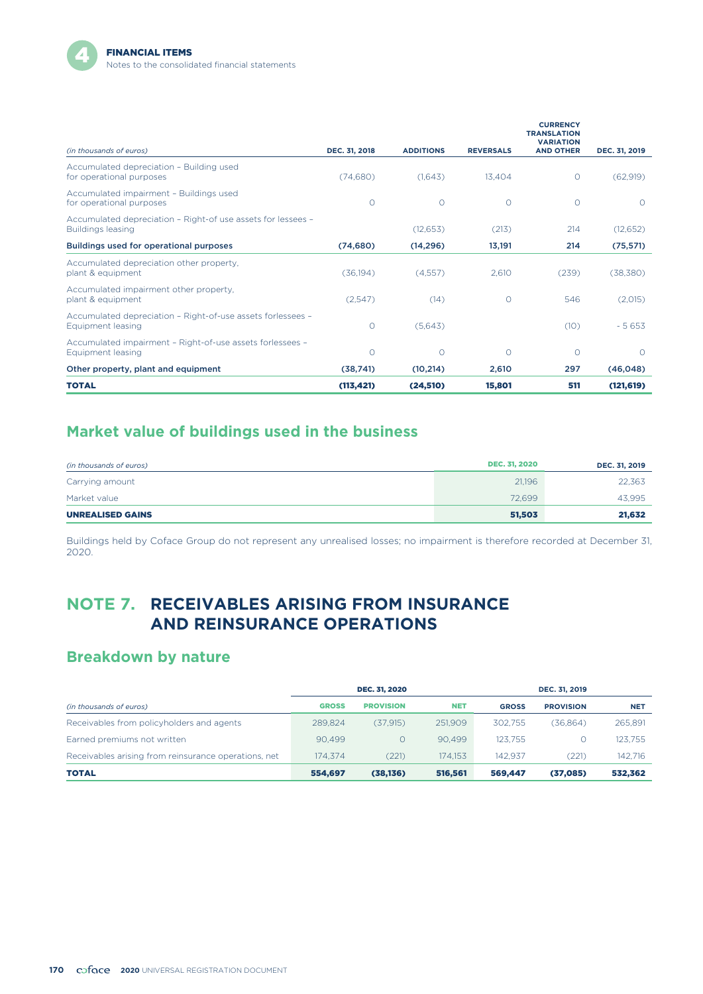

|                                                                                          |               |                  |                  | <b>CURRENCY</b><br><b>TRANSLATION</b><br><b>VARIATION</b> |               |
|------------------------------------------------------------------------------------------|---------------|------------------|------------------|-----------------------------------------------------------|---------------|
| (in thousands of euros)                                                                  | DEC. 31, 2018 | <b>ADDITIONS</b> | <b>REVERSALS</b> | <b>AND OTHER</b>                                          | DEC. 31, 2019 |
| Accumulated depreciation - Building used<br>for operational purposes                     | (74,680)      | (1.643)          | 13.404           | $\Omega$                                                  | (62.919)      |
| Accumulated impairment - Buildings used<br>for operational purposes                      | $\circ$       | $\circ$          | $\circ$          | O                                                         | $\Omega$      |
| Accumulated depreciation - Right-of use assets for lessees -<br><b>Buildings leasing</b> |               | (12, 653)        | (213)            | 214                                                       | (12,652)      |
| Buildings used for operational purposes                                                  | (74.680)      | (14, 296)        | 13.191           | 214                                                       | (75, 571)     |
| Accumulated depreciation other property,<br>plant & equipment                            | (36, 194)     | (4.557)          | 2.610            | (239)                                                     | (38,380)      |
| Accumulated impairment other property,<br>plant & equipment                              | (2.547)       | (14)             | $\circ$          | 546                                                       | (2,015)       |
| Accumulated depreciation - Right-of-use assets forlessees -<br>Equipment leasing         | O             | (5,643)          |                  | (10)                                                      | $-5653$       |
| Accumulated impairment - Right-of-use assets forlessees -<br>Equipment leasing           | 0             | $\circ$          | $\circ$          | O                                                         | $\Omega$      |
| Other property, plant and equipment                                                      | (38,741)      | (10, 214)        | 2,610            | 297                                                       | (46, 048)     |
| <b>TOTAL</b>                                                                             | (113, 421)    | (24, 510)        | 15,801           | 511                                                       | (121, 619)    |

# **Market value of buildings used in the business**

| (in thousands of euros) | <b>DEC. 31, 2020</b> | DEC. 31, 2019 |
|-------------------------|----------------------|---------------|
| Carrying amount         | 21.196               | 22,363        |
| Market value            | 72.699               | 43.995        |
| <b>UNREALISED GAINS</b> | 51,503               | 21,632        |

Buildings held by Coface Group do not represent any unrealised losses; no impairment is therefore recorded at December 31, 2020.

# **NOTE 7. RECEIVABLES ARISING FROM INSURANCE AND REINSURANCE OPERATIONS**

## **Breakdown by nature**

|                                                      |              | <b>DEC. 31, 2020</b> |            |              | DEC. 31, 2019    |            |  |
|------------------------------------------------------|--------------|----------------------|------------|--------------|------------------|------------|--|
| (in thousands of euros)                              | <b>GROSS</b> | <b>PROVISION</b>     | <b>NET</b> | <b>GROSS</b> | <b>PROVISION</b> | <b>NET</b> |  |
| Receivables from policyholders and agents            | 289.824      | (37.915)             | 251,909    | 302.755      | (36.864)         | 265,891    |  |
| Earned premiums not written                          | 90.499       |                      | 90.499     | 123.755      |                  | 123.755    |  |
| Receivables arising from reinsurance operations, net | 174.374      | (221)                | 174.153    | 142.937      | (221)            | 142.716    |  |
| <b>TOTAL</b>                                         | 554.697      | (38, 136)            | 516,561    | 569,447      | (37,085)         | 532,362    |  |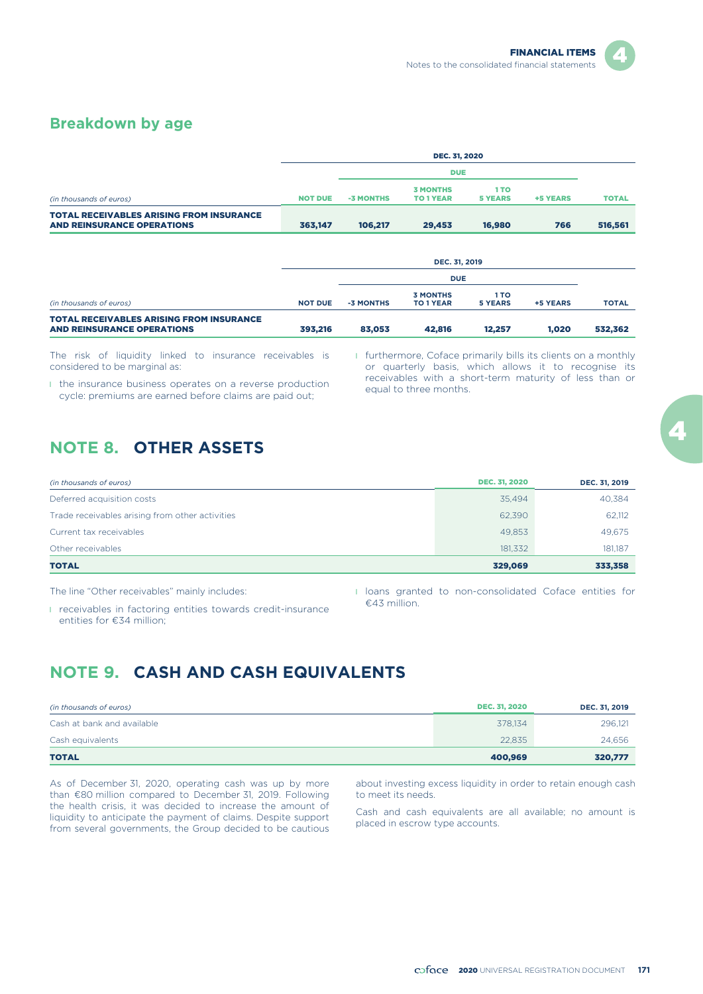#### **Breakdown by age**

|                                                                                      | <b>DEC. 31, 2020</b> |           |                              |                        |                 |              |  |  |
|--------------------------------------------------------------------------------------|----------------------|-----------|------------------------------|------------------------|-----------------|--------------|--|--|
|                                                                                      |                      |           |                              |                        |                 |              |  |  |
| (in thousands of euros)                                                              | <b>NOT DUE</b>       | -3 MONTHS | <b>3 MONTHS</b><br>TO 1 YEAR | 1 TO<br><b>5 YEARS</b> | <b>+5 YEARS</b> | <b>TOTAL</b> |  |  |
| <b>TOTAL RECEIVABLES ARISING FROM INSURANCE</b><br><b>AND REINSURANCE OPERATIONS</b> | 363.147              | 106.217   | 29,453                       | 16,980                 | 766             | 516,561      |  |  |

| <b>DEC. 31, 2019</b> |           |                                     |                 |            |              |  |  |
|----------------------|-----------|-------------------------------------|-----------------|------------|--------------|--|--|
|                      |           |                                     |                 |            |              |  |  |
| <b>NOT DUE</b>       | -3 MONTHS | <b>3 MONTHS</b><br><b>TO 1 YEAR</b> | 1 TO<br>5 YEARS | +5 YEARS   | <b>TOTAL</b> |  |  |
| 393,216              | 83,053    | 42,816                              | 12,257          | 1.020      | 532,362      |  |  |
|                      |           |                                     |                 | <b>DUE</b> |              |  |  |

The risk of liquidity linked to insurance receivables is considered to be marginal as:

**I** the insurance business operates on a reverse production cycle: premiums are earned before claims are paid out;

**I** furthermore, Coface primarily bills its clients on a monthly or quarterly basis, which allows it to recognise its receivables with a short-term maturity of less than or equal to three months.

# **NOTE 8. OTHER ASSETS**

| (in thousands of euros)                         | <b>DEC. 31, 2020</b> | DEC. 31, 2019 |
|-------------------------------------------------|----------------------|---------------|
| Deferred acquisition costs                      | 35.494               | 40,384        |
| Trade receivables arising from other activities | 62,390               | 62,112        |
| Current tax receivables                         | 49.853               | 49,675        |
| Other receivables                               | 181.332              | 181,187       |
| <b>TOTAL</b>                                    | 329,069              | 333,358       |

The line "Other receivables" mainly includes:

l loans granted to non-consolidated Coface entities for €43 million.

l receivables in factoring entities towards credit-insurance entities for €34 million;

# **NOTE 9. CASH AND CASH EQUIVALENTS**

| (in thousands of euros)    | <b>DEC. 31, 2020</b> | DEC. 31, 2019 |
|----------------------------|----------------------|---------------|
| Cash at bank and available | 378.134              | 296,121       |
| Cash equivalents           | 22,835               | 24,656        |
| <b>TOTAL</b>               | 400,969              | 320,777       |

than €80 million compared to December 31, 2019. Following the health crisis, it was decided to increase the amount of liquidity to anticipate the payment of claims. Despite support from several governments, the Group decided to be cautious

As of December 31, 2020, operating cash was up by more about investing excess liquidity in order to retain enough cash than  $\epsilon$ 80 million compared to December 31, 2019. Following to meet its needs.

Cash and cash equivalents are all available; no amount is placed in escrow type accounts.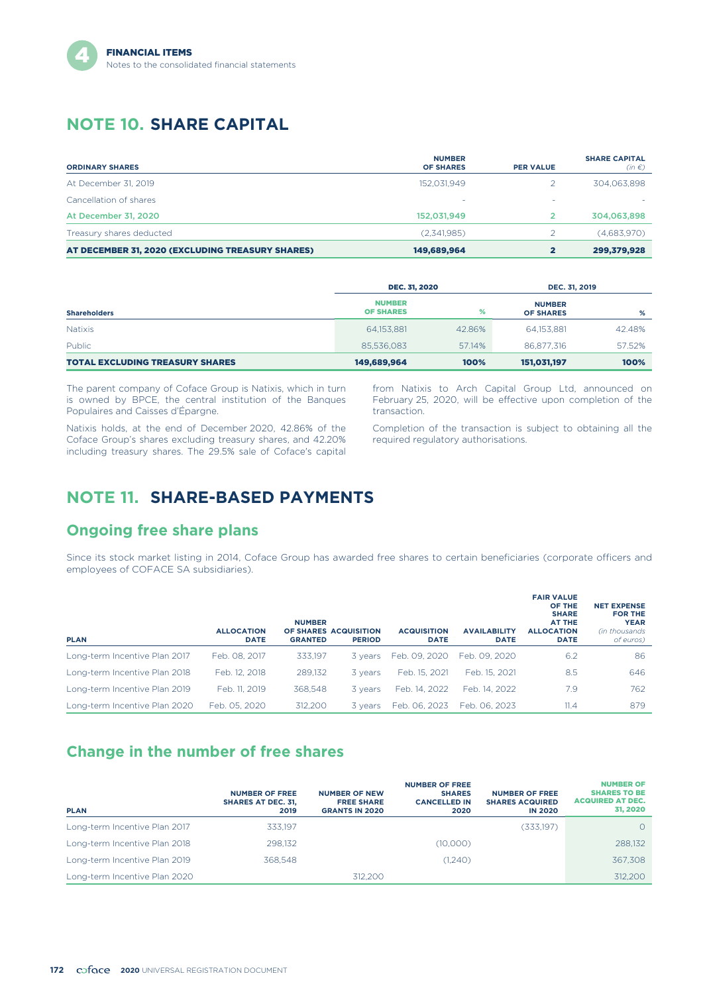# **NOTE 10. SHARE CAPITAL**

| <b>ORDINARY SHARES</b>                           | <b>NUMBER</b><br><b>OF SHARES</b> | <b>PER VALUE</b> | <b>SHARE CAPITAL</b><br>$(in \in)$ |
|--------------------------------------------------|-----------------------------------|------------------|------------------------------------|
| At December 31, 2019                             | 152.031.949                       |                  | 304,063,898                        |
| Cancellation of shares                           | ۰                                 | ۰                |                                    |
| At December 31, 2020                             | 152,031,949                       | 2                | 304,063,898                        |
| Treasury shares deducted                         | (2,341,985)                       |                  | (4,683,970)                        |
| AT DECEMBER 31, 2020 (EXCLUDING TREASURY SHARES) | 149,689,964                       |                  | 299,379,928                        |

|                                        | <b>DEC. 31, 2020</b>              | DEC. 31, 2019 |                                   |        |
|----------------------------------------|-----------------------------------|---------------|-----------------------------------|--------|
| <b>Shareholders</b>                    | <b>NUMBER</b><br><b>OF SHARES</b> | %             | <b>NUMBER</b><br><b>OF SHARES</b> | %      |
| <b>Natixis</b>                         | 64,153,881                        | 42.86%        | 64,153,881                        | 42.48% |
| Public                                 | 85,536,083                        | 57.14%        | 86,877,316                        | 57.52% |
| <b>TOTAL EXCLUDING TREASURY SHARES</b> | 149,689,964                       | 100%          | 151,031,197                       | 100%   |

The parent company of Coface Group is Natixis, which in turn is owned by BPCE, the central institution of the Banques Populaires and Caisses d'Épargne.

Natixis holds, at the end of December 2020, 42.86% of the Coface Group's shares excluding treasury shares, and 42.20% including treasury shares. The 29.5% sale of Coface's capital from Natixis to Arch Capital Group Ltd, announced on February 25, 2020, will be effective upon completion of the transaction.

Completion of the transaction is subject to obtaining all the required regulatory authorisations.

# **NOTE 11. SHARE-BASED PAYMENTS**

## **Ongoing free share plans**

Since its stock market listing in 2014, Coface Group has awarded free shares to certain beneficiaries (corporate officers and employees of COFACE SA subsidiaries).

| <b>PLAN</b>                   | <b>ALLOCATION</b><br><b>DATE</b> | <b>NUMBER</b><br><b>GRANTED</b> | OF SHARES ACQUISITION<br><b>PERIOD</b> | <b>ACQUISITION</b><br><b>DATE</b> | <b>AVAILABILITY</b><br><b>DATE</b> | <b>FAIR VALUE</b><br>OF THE<br><b>SHARE</b><br>AT THE<br><b>ALLOCATION</b><br><b>DATE</b> | <b>NET EXPENSE</b><br><b>FOR THE</b><br><b>YEAR</b><br><i>Cin</i> thousands<br>of euros) |
|-------------------------------|----------------------------------|---------------------------------|----------------------------------------|-----------------------------------|------------------------------------|-------------------------------------------------------------------------------------------|------------------------------------------------------------------------------------------|
| Long-term Incentive Plan 2017 | Feb. 08, 2017                    | 333.197                         | 3 vears                                | Feb. 09, 2020                     | Feb. 09. 2020                      | 6.2                                                                                       | 86                                                                                       |
| Long-term Incentive Plan 2018 | Feb. 12, 2018                    | 289.132                         | 3 years                                | Feb. 15, 2021                     | Feb. 15, 2021                      | 8.5                                                                                       | 646                                                                                      |
| Long-term Incentive Plan 2019 | Feb. 11, 2019                    | 368.548                         | 3 years                                | Feb. 14, 2022                     | Feb. 14, 2022                      | 7.9                                                                                       | 762                                                                                      |
| Long-term Incentive Plan 2020 | Feb. 05, 2020                    | 312,200                         | 3 years                                | Feb. 06, 2023                     | Feb. 06, 2023                      | 11.4                                                                                      | 879                                                                                      |

### **Change in the number of free shares**

| <b>PLAN</b>                   | <b>NUMBER OF FREE</b><br><b>SHARES AT DEC. 31.</b><br>2019 | <b>NUMBER OF NEW</b><br><b>FREE SHARE</b><br><b>GRANTS IN 2020</b> | <b>NUMBER OF FREE</b><br><b>SHARES</b><br><b>CANCELLED IN</b><br>2020 | <b>NUMBER OF FREE</b><br><b>SHARES ACQUIRED</b><br><b>IN 2020</b> | <b>NUMBER OF</b><br><b>SHARES TO BE</b><br><b>ACQUIRED AT DEC.</b><br>31, 2020 |
|-------------------------------|------------------------------------------------------------|--------------------------------------------------------------------|-----------------------------------------------------------------------|-------------------------------------------------------------------|--------------------------------------------------------------------------------|
| Long-term Incentive Plan 2017 | 333.197                                                    |                                                                    |                                                                       | (333,197)                                                         |                                                                                |
| Long-term Incentive Plan 2018 | 298.132                                                    |                                                                    | (10,000)                                                              |                                                                   | 288.132                                                                        |
| Long-term Incentive Plan 2019 | 368.548                                                    |                                                                    | (1,240)                                                               |                                                                   | 367.308                                                                        |
| Long-term Incentive Plan 2020 |                                                            | 312.200                                                            |                                                                       |                                                                   | 312,200                                                                        |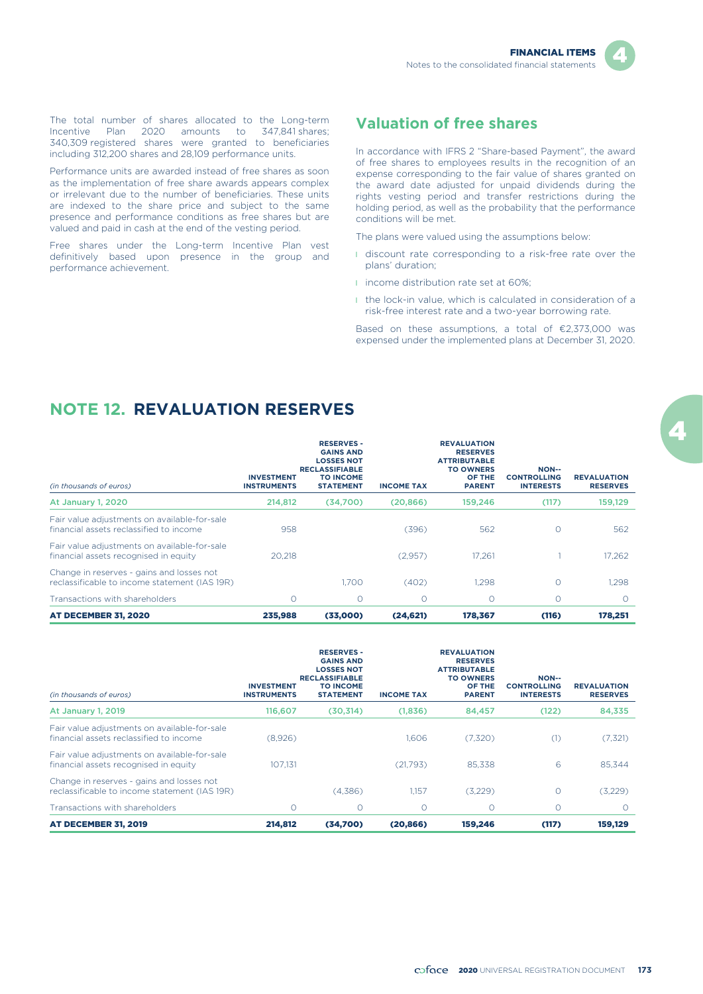

The total number of shares allocated to the Long-term Incentive Plan 2020 amounts to 347,841 shares; 340,309 registered shares were granted to beneficiaries including 312,200 shares and 28,109 performance units.

Performance units are awarded instead of free shares as soon as the implementation of free share awards appears complex or irrelevant due to the number of beneficiaries. These units are indexed to the share price and subject to the same presence and performance conditions as free shares but are valued and paid in cash at the end of the vesting period.

Free shares under the Long-term Incentive Plan vest definitively based upon presence in the group and performance achievement.

### **Valuation of free shares**

In accordance with IFRS 2 "Share-based Payment", the award of free shares to employees results in the recognition of an expense corresponding to the fair value of shares granted on the award date adjusted for unpaid dividends during the rights vesting period and transfer restrictions during the holding period, as well as the probability that the performance conditions will be met.

The plans were valued using the assumptions below:

- I discount rate corresponding to a risk-free rate over the plans' duration;
- **i** income distribution rate set at 60%;
- **I** the lock-in value, which is calculated in consideration of a risk-free interest rate and a two-year borrowing rate.

Based on these assumptions, a total of €2,373,000 was expensed under the implemented plans at December 31, 2020.

## **NOTE 12. REVALUATION RESERVES**

| (in thousands of euros)                                                                    | <b>INVESTMENT</b><br><b>INSTRUMENTS</b> | <b>RESERVES -</b><br><b>GAINS AND</b><br><b>LOSSES NOT</b><br><b>RECLASSIFIABLE</b><br><b>TO INCOME</b><br><b>STATEMENT</b> | <b>INCOME TAX</b> | <b>REVALUATION</b><br><b>RESERVES</b><br><b>ATTRIBUTABLE</b><br><b>TO OWNERS</b><br>OF THE<br><b>PARENT</b> | <b>NON--</b><br><b>CONTROLLING</b><br><b>INTERESTS</b> | <b>REVALUATION</b><br><b>RESERVES</b> |
|--------------------------------------------------------------------------------------------|-----------------------------------------|-----------------------------------------------------------------------------------------------------------------------------|-------------------|-------------------------------------------------------------------------------------------------------------|--------------------------------------------------------|---------------------------------------|
| At January 1, 2020                                                                         | 214,812                                 | (34,700)                                                                                                                    | (20,866)          | 159,246                                                                                                     | (117)                                                  | 159,129                               |
| Fair value adjustments on available-for-sale<br>financial assets reclassified to income    | 958                                     |                                                                                                                             | (396)             | 562                                                                                                         | $\Omega$                                               | 562                                   |
| Fair value adjustments on available-for-sale<br>financial assets recognised in equity      | 20.218                                  |                                                                                                                             | (2.957)           | 17.261                                                                                                      |                                                        | 17.262                                |
| Change in reserves - gains and losses not<br>reclassificable to income statement (IAS 19R) |                                         | 1.700                                                                                                                       | (402)             | 1.298                                                                                                       | $\Omega$                                               | 1.298                                 |
| Transactions with shareholders                                                             | $\Omega$                                | $\Omega$                                                                                                                    | $\Omega$          | $\circ$                                                                                                     | $\Omega$                                               | $\Omega$                              |
| <b>AT DECEMBER 31, 2020</b>                                                                | 235,988                                 | (33,000)                                                                                                                    | (24, 621)         | 178,367                                                                                                     | (116)                                                  | 178,251                               |

| (in thousands of euros)                                                                    | <b>INVESTMENT</b><br><b>INSTRUMENTS</b> | <b>RESERVES -</b><br><b>GAINS AND</b><br><b>LOSSES NOT</b><br><b>RECLASSIFIABLE</b><br><b>TO INCOME</b><br><b>STATEMENT</b> | <b>INCOME TAX</b> | <b>REVALUATION</b><br><b>RESERVES</b><br><b>ATTRIBUTABLE</b><br><b>TO OWNERS</b><br>OF THE<br><b>PARENT</b> | <b>NON--</b><br><b>CONTROLLING</b><br><b>INTERESTS</b> | <b>REVALUATION</b><br><b>RESERVES</b> |
|--------------------------------------------------------------------------------------------|-----------------------------------------|-----------------------------------------------------------------------------------------------------------------------------|-------------------|-------------------------------------------------------------------------------------------------------------|--------------------------------------------------------|---------------------------------------|
| At January 1, 2019                                                                         | 116,607                                 | (30,314)                                                                                                                    | (1,836)           | 84,457                                                                                                      | (122)                                                  | 84,335                                |
| Fair value adjustments on available-for-sale<br>financial assets reclassified to income    | (8,926)                                 |                                                                                                                             | 1.606             | (7,320)                                                                                                     | (1)                                                    | (7, 321)                              |
| Fair value adjustments on available-for-sale<br>financial assets recognised in equity      | 107.131                                 |                                                                                                                             | (21,793)          | 85.338                                                                                                      | 6                                                      | 85,344                                |
| Change in reserves - gains and losses not<br>reclassificable to income statement (IAS 19R) |                                         | (4,386)                                                                                                                     | 1.157             | (3,229)                                                                                                     |                                                        | (3,229)                               |
| Transactions with shareholders                                                             | 0                                       | $\circ$                                                                                                                     | $\circ$           | $\circ$                                                                                                     | $\circ$                                                | $\Omega$                              |
| <b>AT DECEMBER 31, 2019</b>                                                                | 214,812                                 | (34,700)                                                                                                                    | (20.866)          | 159,246                                                                                                     | (117)                                                  | 159,129                               |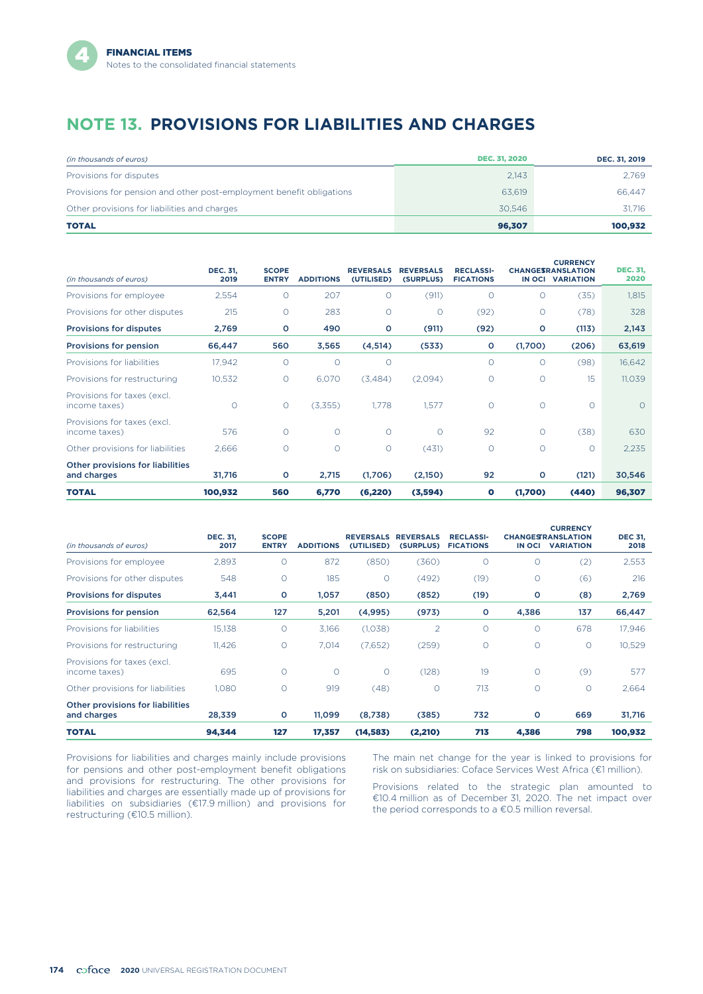# **NOTE 13. PROVISIONS FOR LIABILITIES AND CHARGES**

| (in thousands of euros)                                              | <b>DEC. 31, 2020</b> | DEC. 31, 2019 |
|----------------------------------------------------------------------|----------------------|---------------|
| Provisions for disputes                                              | 2.143                | 2.769         |
| Provisions for pension and other post-employment benefit obligations | 63.619               | 66.447        |
| Other provisions for liabilities and charges                         | 30.546               | 31.716        |
| <b>TOTAL</b>                                                         | 96.307               | 100.932       |

| (in thousands of euros)                         | <b>DEC. 31,</b><br>2019 | <b>SCOPE</b><br><b>ENTRY</b> | <b>ADDITIONS</b> | <b>REVERSALS</b><br>(UTILISED) | <b>REVERSALS</b><br>(SURPLUS) | <b>RECLASSI-</b><br><b>FICATIONS</b> |          | <b>CURRENCY</b><br><b>CHANGESRANSLATION</b><br>IN OCI VARIATION | <b>DEC. 31,</b><br>2020 |
|-------------------------------------------------|-------------------------|------------------------------|------------------|--------------------------------|-------------------------------|--------------------------------------|----------|-----------------------------------------------------------------|-------------------------|
| Provisions for employee                         | 2,554                   | O                            | 207              | $\circ$                        | (911)                         | $\circ$                              |          | (35)                                                            | 1,815                   |
| Provisions for other disputes                   | 215                     | O                            | 283              | $\circ$                        | $\circ$                       | (92)                                 | $\circ$  | (78)                                                            | 328                     |
| <b>Provisions for disputes</b>                  | 2,769                   | $\circ$                      | 490              | O                              | (911)                         | (92)                                 | $\circ$  | (113)                                                           | 2,143                   |
| Provisions for pension                          | 66,447                  | 560                          | 3,565            | (4,514)                        | (533)                         | o                                    | (1,700)  | (206)                                                           | 63,619                  |
| Provisions for liabilities                      | 17,942                  | $\circ$                      | $\circ$          | $\circ$                        |                               | $\circ$                              | $\Omega$ | (98)                                                            | 16,642                  |
| Provisions for restructuring                    | 10,532                  | О                            | 6,070            | (3,484)                        | (2,094)                       | $\circ$                              | $\circ$  | 15                                                              | 11,039                  |
| Provisions for taxes (excl.<br>income taxes)    | $\circ$                 | O                            | (3,355)          | 1.778                          | 1,577                         | $\circ$                              | $\circ$  | $\Omega$                                                        | $\circ$                 |
| Provisions for taxes (excl.<br>income taxes)    | 576                     | $\circ$                      | $\circ$          | $\circ$                        | $\circ$                       | 92                                   | $\Omega$ | (38)                                                            | 630                     |
| Other provisions for liabilities                | 2,666                   | О                            | $\circ$          | O                              | (431)                         | $\circ$                              | $\Omega$ | $\circ$                                                         | 2,235                   |
| Other provisions for liabilities<br>and charges | 31,716                  | o                            | 2,715            | (1,706)                        | (2,150)                       | 92                                   | $\circ$  | (121)                                                           | 30,546                  |
| <b>TOTAL</b>                                    | 100,932                 | 560                          | 6,770            | (6, 220)                       | (3,594)                       | $\bullet$                            | (1,700)  | (440)                                                           | 96,307                  |

| (in thousands of euros)                         | <b>DEC. 31,</b><br>2017 | <b>SCOPE</b><br><b>ENTRY</b> | <b>ADDITIONS</b> | <b>REVERSALS</b><br>(UTILISED) | <b>REVERSALS</b><br>(SURPLUS) | <b>RECLASSI-</b><br><b>FICATIONS</b> | <b>IN OCI</b> | <b>CURRENCY</b><br><b>CHANGESTRANSLATION</b><br><b>VARIATION</b> | <b>DEC 31,</b><br>2018 |
|-------------------------------------------------|-------------------------|------------------------------|------------------|--------------------------------|-------------------------------|--------------------------------------|---------------|------------------------------------------------------------------|------------------------|
| Provisions for employee                         | 2,893                   | $\circ$                      | 872              | (850)                          | (360)                         | O                                    | $\circ$       | (2)                                                              | 2,553                  |
| Provisions for other disputes                   | 548                     | $\circ$                      | 185              | $\Omega$                       | (492)                         | (19)                                 | $\circ$       | (6)                                                              | 216                    |
| <b>Provisions for disputes</b>                  | 3,441                   | $\circ$                      | 1,057            | (850)                          | (852)                         | (19)                                 | o             | (8)                                                              | 2,769                  |
| Provisions for pension                          | 62,564                  | 127                          | 5,201            | (4,995)                        | (973)                         | o                                    | 4,386         | 137                                                              | 66,447                 |
| Provisions for liabilities                      | 15,138                  | $\circ$                      | 3,166            | (1,038)                        | $\overline{2}$                | $\circ$                              | $\circ$       | 678                                                              | 17,946                 |
| Provisions for restructuring                    | 11.426                  | $\circ$                      | 7.014            | (7.652)                        | (259)                         | $\circ$                              | $\circ$       | $\circ$                                                          | 10,529                 |
| Provisions for taxes (excl.<br>income taxes)    | 695                     | $\circ$                      | $\circ$          | $\circ$                        | (128)                         | 19                                   | $\circ$       | (9)                                                              | 577                    |
| Other provisions for liabilities                | 1,080                   | $\circ$                      | 919              | (48)                           | $\circ$                       | 713                                  | $\circ$       | $\circ$                                                          | 2,664                  |
| Other provisions for liabilities<br>and charges | 28,339                  | $\circ$                      | 11,099           | (8,738)                        | (385)                         | 732                                  | $\circ$       | 669                                                              | 31,716                 |
| <b>TOTAL</b>                                    | 94,344                  | 127                          | 17,357           | (14, 583)                      | (2, 210)                      | 713                                  | 4,386         | 798                                                              | 100,932                |

Provisions for liabilities and charges mainly include provisions for pensions and other post-employment benefit obligations and provisions for restructuring. The other provisions for liabilities and charges are essentially made up of provisions for liabilities on subsidiaries (€17.9 million) and provisions for restructuring (€10.5 million).

The main net change for the year is linked to provisions for risk on subsidiaries: Coface Services West Africa (€1 million).

Provisions related to the strategic plan amounted to €10.4 million as of December 31, 2020. The net impact over the period corresponds to a €0.5 million reversal.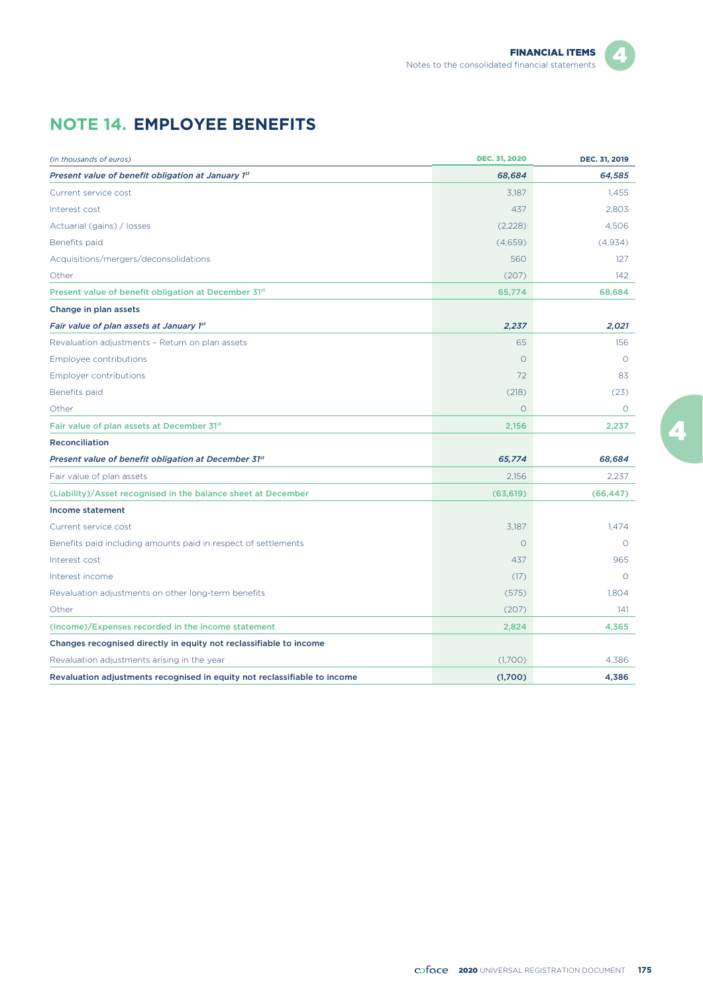# **NOTE 14. EMPLOYEE BENEFITS**

| (in thousands of euros)                                                   | <b>DEC. 31, 2020</b> | DEC. 31, 2019 |
|---------------------------------------------------------------------------|----------------------|---------------|
| Present value of benefit obligation at January 1st                        | 68,684               | 64,585        |
| Current service cost                                                      | 3,187                | 1.455         |
| Interest cost                                                             | 437                  | 2,803         |
| Actuarial (gains) / losses                                                | (2,228)              | 4,506         |
| Benefits paid                                                             | (4,659)              | (4,934)       |
| Acquisitions/mergers/deconsolidations                                     | 560                  | 127           |
| Other                                                                     | (207)                | 142           |
| Present value of benefit obligation at December 31st                      | 65,774               | 68,684        |
| Change in plan assets                                                     |                      |               |
| Fair value of plan assets at January 1st                                  | 2,237                | 2,021         |
| Revaluation adjustments - Return on plan assets                           | 65                   | 156           |
| Employee contributions                                                    | $\Omega$             | $\Omega$      |
| <b>Employer contributions</b>                                             | 72                   | 83            |
| Benefits paid                                                             | (218)                | (23)          |
| Other                                                                     | $\Omega$             | $\Omega$      |
| Fair value of plan assets at December 31st                                | 2,156                | 2,237         |
| <b>Reconciliation</b>                                                     |                      |               |
| Present value of benefit obligation at December 31st                      | 65,774               | 68,684        |
| Fair value of plan assets                                                 | 2,156                | 2,237         |
| (Liability)/Asset recognised in the balance sheet at December             | (63, 619)            | (66, 447)     |
| <b>Income statement</b>                                                   |                      |               |
| Current service cost                                                      | 3,187                | 1.474         |
| Benefits paid including amounts paid in respect of settlements            | $\Omega$             | $\Omega$      |
| Interest cost                                                             | 437                  | 965           |
| Interest income                                                           | (17)                 | $\circ$       |
| Revaluation adjustments on other long-term benefits                       | (575)                | 1,804         |
| Other                                                                     | (207)                | 141           |
| (Income)/Expenses recorded in the income statement                        | 2,824                | 4,365         |
| Changes recognised directly in equity not reclassifiable to income        |                      |               |
| Revaluation adjustments arising in the year                               | (1,700)              | 4.386         |
| Revaluation adjustments recognised in equity not reclassifiable to income | (1,700)              | 4.386         |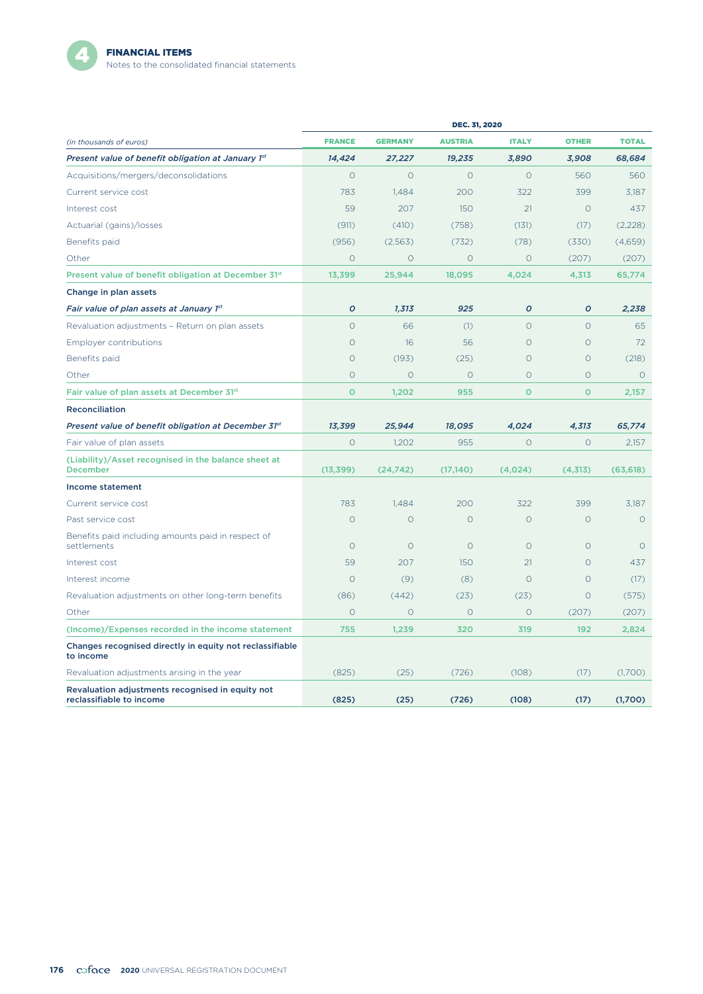

|                                                                              | <b>DEC. 31, 2020</b> |                |                |              |               |              |
|------------------------------------------------------------------------------|----------------------|----------------|----------------|--------------|---------------|--------------|
| (in thousands of euros)                                                      | <b>FRANCE</b>        | <b>GERMANY</b> | <b>AUSTRIA</b> | <b>ITALY</b> | <b>OTHER</b>  | <b>TOTAL</b> |
| Present value of benefit obligation at January 1st                           | 14,424               | 27,227         | 19,235         | 3,890        | 3,908         | 68,684       |
| Acquisitions/mergers/deconsolidations                                        | $\circ$              | $\circ$        | $\circ$        | $\circ$      | 560           | 560          |
| Current service cost                                                         | 783                  | 1,484          | 200            | 322          | 399           | 3,187        |
| Interest cost                                                                | 59                   | 207            | 150            | 21           | $\circ$       | 437          |
| Actuarial (gains)/losses                                                     | (911)                | (410)          | (758)          | (131)        | (17)          | (2,228)      |
| Benefits paid                                                                | (956)                | (2,563)        | (732)          | (78)         | (330)         | (4,659)      |
| Other                                                                        | $\circ$              | $\circ$        | $\circ$        | $\circ$      | (207)         | (207)        |
| Present value of benefit obligation at December 31st                         | 13,399               | 25,944         | 18,095         | 4,024        | 4,313         | 65,774       |
| Change in plan assets                                                        |                      |                |                |              |               |              |
| Fair value of plan assets at January 1st                                     | O                    | 1,313          | 925            | O            | $\mathcal{O}$ | 2,238        |
| Revaluation adjustments - Return on plan assets                              | $\circ$              | 66             | (1)            | $\circ$      | $\circ$       | 65           |
| <b>Employer contributions</b>                                                | $\circ$              | 16             | 56             | $\Omega$     | $\circ$       | 72           |
| Benefits paid                                                                | $\circ$              | (193)          | (25)           | $\circ$      | $\circ$       | (218)        |
| Other                                                                        | $\circ$              | $\Omega$       | $\circ$        | $\Omega$     | $\circ$       | $\circ$      |
| Fair value of plan assets at December 31st                                   | $\circ$              | 1,202          | 955            | $\circ$      | $\mathbf{o}$  | 2,157        |
| Reconciliation                                                               |                      |                |                |              |               |              |
| Present value of benefit obligation at December 31st                         | 13,399               | 25,944         | 18,095         | 4,024        | 4,313         | 65,774       |
| Fair value of plan assets                                                    | $\circ$              | 1,202          | 955            | $\circ$      | $\circ$       | 2,157        |
| (Liability)/Asset recognised in the balance sheet at<br><b>December</b>      | (13, 399)            | (24, 742)      | (17, 140)      | (4,024)      | (4,313)       | (63, 618)    |
| Income statement                                                             |                      |                |                |              |               |              |
| Current service cost                                                         | 783                  | 1,484          | 200            | 322          | 399           | 3,187        |
| Past service cost                                                            | $\circ$              | $\Omega$       | $\Omega$       | $\Omega$     | $\circ$       | $\Omega$     |
| Benefits paid including amounts paid in respect of<br>settlements            | $\Omega$             | $\Omega$       | $\Omega$       | $\Omega$     | $\Omega$      | $\Omega$     |
| Interest cost                                                                | 59                   | 207            | 150            | 21           | $\circ$       | 437          |
| Interest income                                                              | $\circ$              | (9)            | (8)            | $\Omega$     | $\circ$       | (17)         |
| Revaluation adjustments on other long-term benefits                          | (86)                 | (442)          | (23)           | (23)         | $\circ$       | (575)        |
| Other                                                                        | $\circ$              | $\circ$        | $\circ$        | $\circ$      | (207)         | (207)        |
| (Income)/Expenses recorded in the income statement                           | 755                  | 1,239          | 320            | 319          | 192           | 2,824        |
| Changes recognised directly in equity not reclassifiable<br>to income        |                      |                |                |              |               |              |
| Revaluation adjustments arising in the year                                  | (825)                | (25)           | (726)          | (108)        | (17)          | (1,700)      |
| Revaluation adjustments recognised in equity not<br>reclassifiable to income | (825)                | (25)           | (726)          | (108)        | (17)          | (1,700)      |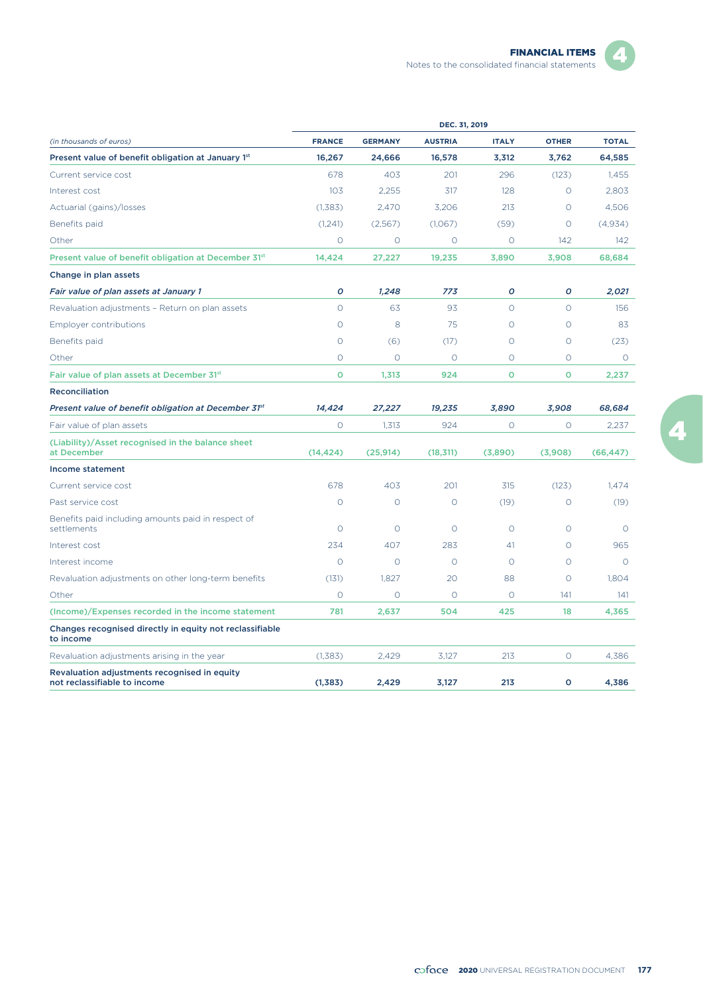|                                                                              | DEC. 31, 2019 |                |                |              |               |              |
|------------------------------------------------------------------------------|---------------|----------------|----------------|--------------|---------------|--------------|
| (in thousands of euros)                                                      | <b>FRANCE</b> | <b>GERMANY</b> | <b>AUSTRIA</b> | <b>ITALY</b> | <b>OTHER</b>  | <b>TOTAL</b> |
| Present value of benefit obligation at January 1st                           | 16.267        | 24,666         | 16,578         | 3,312        | 3,762         | 64,585       |
| Current service cost                                                         | 678           | 403            | 201            | 296          | (123)         | 1,455        |
| Interest cost                                                                | 103           | 2,255          | 317            | 128          | $\Omega$      | 2.803        |
| Actuarial (gains)/losses                                                     | (1,383)       | 2,470          | 3,206          | 213          | $\circ$       | 4,506        |
| Benefits paid                                                                | (1,241)       | (2,567)        | (1,067)        | (59)         | $\Omega$      | (4.934)      |
| Other                                                                        | $\circ$       | $\circ$        | $\circ$        | $\circ$      | 142           | 142          |
| Present value of benefit obligation at December 31st                         | 14,424        | 27,227         | 19,235         | 3,890        | 3,908         | 68,684       |
| Change in plan assets                                                        |               |                |                |              |               |              |
| Fair value of plan assets at January 1                                       | $\mathcal{O}$ | 1,248          | 773            | O            | $\mathcal{O}$ | 2.021        |
| Revaluation adjustments - Return on plan assets                              | $\circ$       | 63             | 93             | $\Omega$     | $\Omega$      | 156          |
| <b>Employer contributions</b>                                                | $\circ$       | 8              | 75             | $\circ$      | $\circ$       | 83           |
| Benefits paid                                                                | $\Omega$      | (6)            | (17)           | $\circ$      | $\Omega$      | (23)         |
| Other                                                                        | $\Omega$      | $\circ$        | $\circ$        | $\Omega$     | $\Omega$      | $\circ$      |
| Fair value of plan assets at December 31st                                   | o             | 1,313          | 924            | o            | O             | 2,237        |
| <b>Reconciliation</b>                                                        |               |                |                |              |               |              |
| Present value of benefit obligation at December 31st                         | 14,424        | 27,227         | 19,235         | 3,890        | 3,908         | 68,684       |
| Fair value of plan assets                                                    | $\circ$       | 1,313          | 924            | O            | $\circ$       | 2,237        |
| (Liability)/Asset recognised in the balance sheet<br>at December             | (14, 424)     | (25,914)       | (18, 311)      | (3,890)      | (3,908)       | (66, 447)    |
| Income statement                                                             |               |                |                |              |               |              |
| Current service cost                                                         | 678           | 403            | 201            | 315          | (123)         | 1.474        |
| Past service cost                                                            | $\circ$       | $\circ$        | $\circ$        | (19)         | $\circ$       | (19)         |
| Benefits paid including amounts paid in respect of<br>settlements            | $\Omega$      | $\Omega$       | $\circ$        | $\circ$      | $\Omega$      | $\circ$      |
| Interest cost                                                                | 234           | 407            | 283            | 41           | $\circ$       | 965          |
| Interest income                                                              | $\circ$       | $\circ$        | $\circ$        | $\circ$      | $\circ$       | O            |
| Revaluation adjustments on other long-term benefits                          | (131)         | 1.827          | 20             | 88           | $\circ$       | 1.804        |
| Other                                                                        | $\circ$       | $\circ$        | $\Omega$       | $\circ$      | 141           | 141          |
| (Income)/Expenses recorded in the income statement                           | 781           | 2,637          | 504            | 425          | 18            | 4,365        |
| Changes recognised directly in equity not reclassifiable<br>to income        |               |                |                |              |               |              |
| Revaluation adjustments arising in the year                                  | (1,383)       | 2,429          | 3,127          | 213          | $\circ$       | 4,386        |
| Revaluation adjustments recognised in equity<br>not reclassifiable to income | (1, 383)      | 2,429          | 3,127          | 213          | $\circ$       | 4,386        |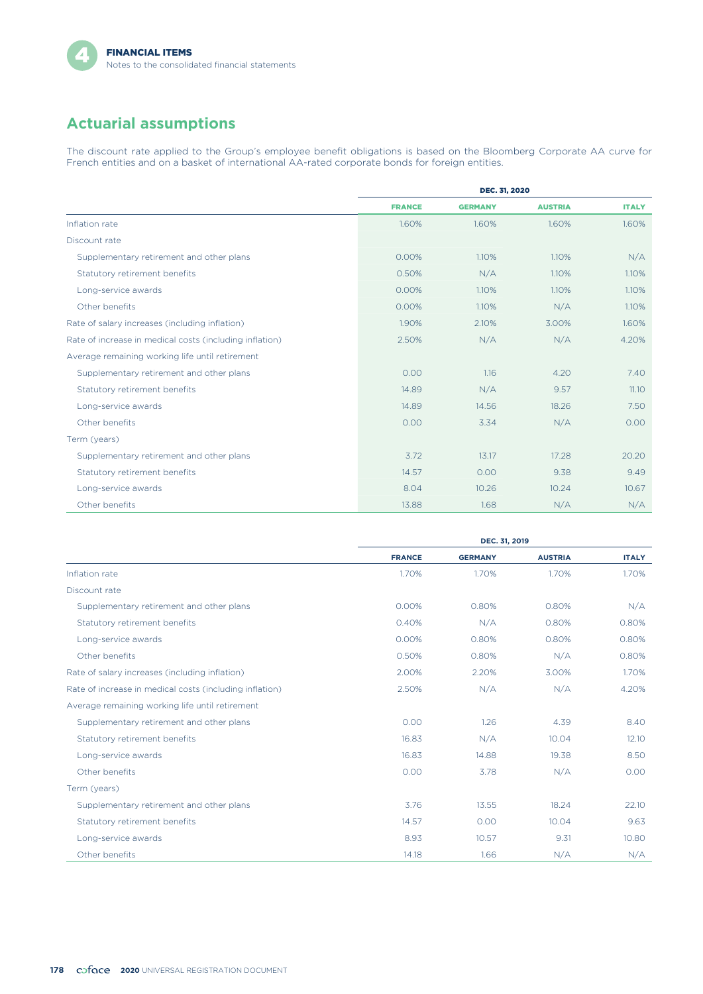# **Actuarial assumptions**

The discount rate applied to the Group's employee benefit obligations is based on the Bloomberg Corporate AA curve for French entities and on a basket of international AA-rated corporate bonds for foreign entities.

|                                                         | <b>DEC. 31, 2020</b> |                |                |              |
|---------------------------------------------------------|----------------------|----------------|----------------|--------------|
|                                                         | <b>FRANCE</b>        | <b>GERMANY</b> | <b>AUSTRIA</b> | <b>ITALY</b> |
| Inflation rate                                          | 1.60%                | 1.60%          | 1.60%          | 1.60%        |
| Discount rate                                           |                      |                |                |              |
| Supplementary retirement and other plans                | 0.00%                | 1.10%          | 1.10%          | N/A          |
| Statutory retirement benefits                           | 0.50%                | N/A            | 1.10%          | 1.10%        |
| Long-service awards                                     | 0.00%                | 1.10%          | 1.10%          | 1.10%        |
| Other benefits                                          | 0.00%                | 1.10%          | N/A            | 1.10%        |
| Rate of salary increases (including inflation)          | 1.90%                | 2.10%          | 3.00%          | 1.60%        |
| Rate of increase in medical costs (including inflation) | 2.50%                | N/A            | N/A            | 4.20%        |
| Average remaining working life until retirement         |                      |                |                |              |
| Supplementary retirement and other plans                | 0.00                 | 1.16           | 4.20           | 7.40         |
| Statutory retirement benefits                           | 14.89                | N/A            | 9.57           | 11.10        |
| Long-service awards                                     | 14.89                | 14.56          | 18.26          | 7.50         |
| Other benefits                                          | 0.00                 | 3.34           | N/A            | 0.00         |
| Term (years)                                            |                      |                |                |              |
| Supplementary retirement and other plans                | 3.72                 | 13.17          | 17.28          | 20.20        |
| Statutory retirement benefits                           | 14.57                | 0.00           | 9.38           | 9.49         |
| Long-service awards                                     | 8.04                 | 10.26          | 10.24          | 10.67        |
| Other benefits                                          | 13.88                | 1.68           | N/A            | N/A          |

|                                                         | DEC. 31, 2019 |                |                |              |
|---------------------------------------------------------|---------------|----------------|----------------|--------------|
|                                                         | <b>FRANCE</b> | <b>GERMANY</b> | <b>AUSTRIA</b> | <b>ITALY</b> |
| Inflation rate                                          | 1.70%         | 1.70%          | 1.70%          | 1.70%        |
| Discount rate                                           |               |                |                |              |
| Supplementary retirement and other plans                | 0.00%         | 0.80%          | 0.80%          | N/A          |
| Statutory retirement benefits                           | 0.40%         | N/A            | 0.80%          | 0.80%        |
| Long-service awards                                     | 0.00%         | 0.80%          | 0.80%          | 0.80%        |
| Other benefits                                          | 0.50%         | 0.80%          | N/A            | 0.80%        |
| Rate of salary increases (including inflation)          | 2.00%         | 2.20%          | 3.00%          | 1.70%        |
| Rate of increase in medical costs (including inflation) | 2.50%         | N/A            | N/A            | 4.20%        |
| Average remaining working life until retirement         |               |                |                |              |
| Supplementary retirement and other plans                | 0.00          | 1.26           | 4.39           | 8.40         |
| Statutory retirement benefits                           | 16.83         | N/A            | 10.04          | 12.10        |
| Long-service awards                                     | 16.83         | 14.88          | 19.38          | 8.50         |
| Other benefits                                          | 0.00          | 3.78           | N/A            | 0.00         |
| Term (years)                                            |               |                |                |              |
| Supplementary retirement and other plans                | 3.76          | 13.55          | 18.24          | 22.10        |
| Statutory retirement benefits                           | 14.57         | 0.00           | 10.04          | 9.63         |
| Long-service awards                                     | 8.93          | 10.57          | 9.31           | 10.80        |
| Other benefits                                          | 14.18         | 1.66           | N/A            | N/A          |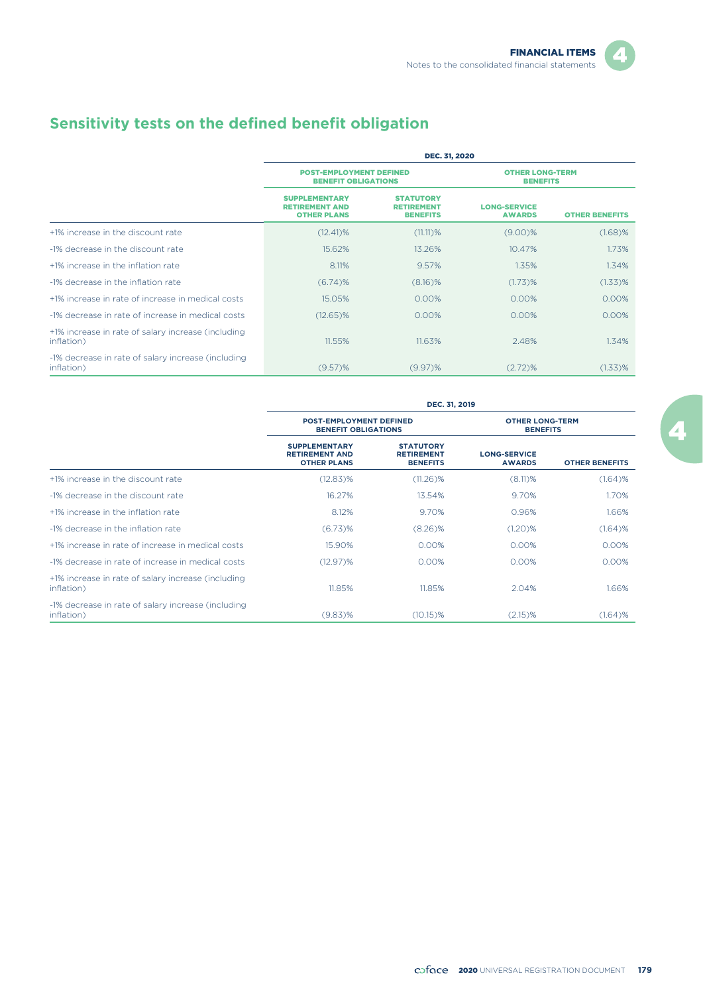# **Sensitivity tests on the defined benefit obligation**

|                                                                   | DEC. 31, 2020                                                       |                                                          |                                           |                       |  |  |
|-------------------------------------------------------------------|---------------------------------------------------------------------|----------------------------------------------------------|-------------------------------------------|-----------------------|--|--|
|                                                                   | <b>POST-EMPLOYMENT DEFINED</b><br><b>BENEFIT OBLIGATIONS</b>        |                                                          | <b>OTHER LONG-TERM</b><br><b>BENEFITS</b> |                       |  |  |
|                                                                   | <b>SUPPLEMENTARY</b><br><b>RETIREMENT AND</b><br><b>OTHER PLANS</b> | <b>STATUTORY</b><br><b>RETIREMENT</b><br><b>BENEFITS</b> | <b>LONG-SERVICE</b><br><b>AWARDS</b>      | <b>OTHER BENEFITS</b> |  |  |
| +1% increase in the discount rate                                 | $(12.41)\%$                                                         | $(11.11)$ %                                              | $(9.00)\%$                                | (1.68)%               |  |  |
| -1% decrease in the discount rate                                 | 15.62%                                                              | 13.26%                                                   | 10.47%                                    | 1.73%                 |  |  |
| +1% increase in the inflation rate                                | 8.11%                                                               | 9.57%                                                    | 1.35%                                     | 1.34%                 |  |  |
| -1% decrease in the inflation rate                                | $(6.74)$ %                                                          | (8.16)%                                                  | $(1.73)$ %                                | $(1.33)$ %            |  |  |
| +1% increase in rate of increase in medical costs                 | 15.05%                                                              | 0.00%                                                    | 0.00%                                     | 0.00%                 |  |  |
| -1% decrease in rate of increase in medical costs                 | $(12.65)\%$                                                         | 0.00%                                                    | $0.00\%$                                  | 0.00%                 |  |  |
| +1% increase in rate of salary increase (including<br>inflation)  | 11.55%                                                              | 11.63%                                                   | 2.48%                                     | 1.34%                 |  |  |
| -1% decrease in rate of salary increase (including)<br>inflation) | $(9.57)$ %                                                          | $(9.97)$ %                                               | $(2.72)$ %                                | $(1.33)$ %            |  |  |

|                                                                   | DEC. 31, 2019                                                       |                                                          |                                           |                       |  |  |
|-------------------------------------------------------------------|---------------------------------------------------------------------|----------------------------------------------------------|-------------------------------------------|-----------------------|--|--|
|                                                                   | <b>POST-EMPLOYMENT DEFINED</b><br><b>BENEFIT OBLIGATIONS</b>        |                                                          | <b>OTHER LONG-TERM</b><br><b>BENEFITS</b> |                       |  |  |
|                                                                   | <b>SUPPLEMENTARY</b><br><b>RETIREMENT AND</b><br><b>OTHER PLANS</b> | <b>STATUTORY</b><br><b>RETIREMENT</b><br><b>BENEFITS</b> | <b>LONG-SERVICE</b><br><b>AWARDS</b>      | <b>OTHER BENEFITS</b> |  |  |
| +1% increase in the discount rate                                 | (12.83)%                                                            | (11.26)%                                                 | $(8.11)$ %                                | $(1.64)$ %            |  |  |
| -1% decrease in the discount rate                                 | 16.27%                                                              | 13.54%                                                   | 9.70%                                     | 1.70%                 |  |  |
| +1% increase in the inflation rate                                | 8.12%                                                               | 9.70%                                                    | 0.96%                                     | 1.66%                 |  |  |
| -1% decrease in the inflation rate                                | $(6.73)$ %                                                          | (8.26)%                                                  | (1.20)%                                   | $(1.64)$ %            |  |  |
| +1% increase in rate of increase in medical costs                 | 15.90%                                                              | 0.00%                                                    | 0.00%                                     | 0.00%                 |  |  |
| -1% decrease in rate of increase in medical costs                 | (12.97)%                                                            | 0.00%                                                    | 0.00%                                     | 0.00%                 |  |  |
| +1% increase in rate of salary increase (including<br>inflation)  | 11.85%                                                              | 11.85%                                                   | 2.04%                                     | 1.66%                 |  |  |
| -1% decrease in rate of salary increase (including)<br>inflation) | $(9.83)\%$                                                          | (10.15)%                                                 | $(2.15)$ %                                | $(1.64)$ %            |  |  |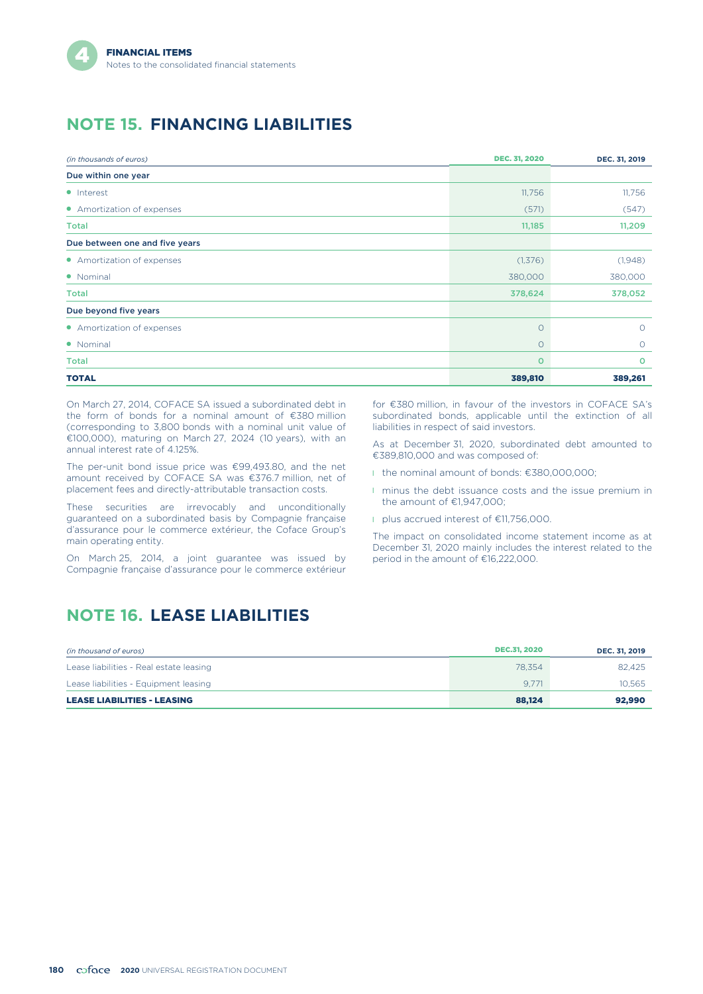# **NOTE 15. FINANCING LIABILITIES**

| (in thousands of euros)        | <b>DEC. 31, 2020</b> | DEC. 31, 2019 |
|--------------------------------|----------------------|---------------|
| Due within one year            |                      |               |
| • Interest                     | 11,756               | 11,756        |
| • Amortization of expenses     | (571)                | (547)         |
| <b>Total</b>                   | 11,185               | 11,209        |
| Due between one and five years |                      |               |
| • Amortization of expenses     | (1,376)              | (1,948)       |
| • Nominal                      | 380,000              | 380,000       |
| Total                          | 378,624              | 378,052       |
| Due beyond five years          |                      |               |
| • Amortization of expenses     | $\circ$              | $\circ$       |
| • Nominal                      | $\circ$              | $\circ$       |
| <b>Total</b>                   | $\Omega$             | $\circ$       |
| <b>TOTAL</b>                   | 389,810              | 389,261       |

On March 27, 2014, COFACE SA issued a subordinated debt in the form of bonds for a nominal amount of €380 million (corresponding to 3,800 bonds with a nominal unit value of €100,000), maturing on March 27, 2024 (10 years), with an annual interest rate of 4.125%.

The per-unit bond issue price was €99,493.80, and the net amount received by COFACE SA was €376.7 million, net of placement fees and directly-attributable transaction costs.

These securities are irrevocably and unconditionally guaranteed on a subordinated basis by Compagnie française d'assurance pour le commerce extérieur, the Coface Group's main operating entity.

On March 25, 2014, a joint guarantee was issued by Compagnie française d'assurance pour le commerce extérieur

**NOTE 16. LEASE LIABILITIES**

subordinated bonds, applicable until the extinction of all liabilities in respect of said investors.

for €380 million, in favour of the investors in COFACE SA's

As at December 31, 2020, subordinated debt amounted to €389,810,000 and was composed of:

- l the nominal amount of bonds: €380,000,000;
- **I** minus the debt issuance costs and the issue premium in the amount of €1,947,000;
- l plus accrued interest of €11,756,000.

The impact on consolidated income statement income as at December 31, 2020 mainly includes the interest related to the period in the amount of €16,222,000.

#### *(in thousand of euros)* DEC.31, 2020 **DEC. 31, 2019** Lease liabilities - Real estate leasing 78,354 82,425 Lease liabilities - Equipment leasing 9,771 10,565 LEASE LIABILITIES - LEASING 88,124 92,990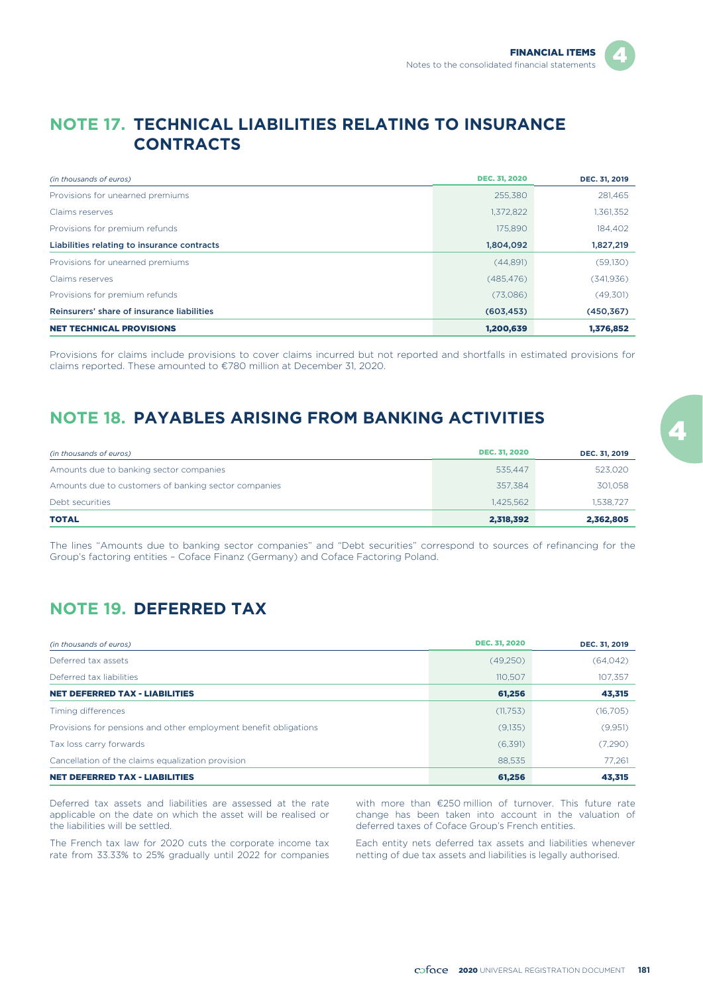## **NOTE 17. TECHNICAL LIABILITIES RELATING TO INSURANCE CONTRACTS**

| (in thousands of euros)                     | <b>DEC. 31, 2020</b> | DEC. 31, 2019 |
|---------------------------------------------|----------------------|---------------|
| Provisions for unearned premiums            | 255,380              | 281,465       |
| Claims reserves                             | 1,372,822            | 1,361,352     |
| Provisions for premium refunds              | 175,890              | 184,402       |
| Liabilities relating to insurance contracts | 1,804,092            | 1,827,219     |
| Provisions for unearned premiums            | (44,891)             | (59, 130)     |
| Claims reserves                             | (485, 476)           | (341, 936)    |
| Provisions for premium refunds              | (73,086)             | (49,301)      |
| Reinsurers' share of insurance liabilities  | (603, 453)           | (450, 367)    |
| <b>NET TECHNICAL PROVISIONS</b>             | 1,200,639            | 1,376,852     |

Provisions for claims include provisions to cover claims incurred but not reported and shortfalls in estimated provisions for claims reported. These amounted to €780 million at December 31, 2020.

# **NOTE 18. PAYABLES ARISING FROM BANKING ACTIVITIES**

| (in thousands of euros)                              | <b>DEC. 31, 2020</b> | DEC. 31, 2019 |
|------------------------------------------------------|----------------------|---------------|
| Amounts due to banking sector companies              | 535.447              | 523,020       |
| Amounts due to customers of banking sector companies | 357.384              | 301,058       |
| Debt securities                                      | 1.425.562            | 1,538,727     |
| <b>TOTAL</b>                                         | 2,318,392            | 2,362,805     |

The lines "Amounts due to banking sector companies" and "Debt securities" correspond to sources of refinancing for the Group's factoring entities – Coface Finanz (Germany) and Coface Factoring Poland.

# **NOTE 19. DEFERRED TAX**

| (in thousands of euros)                                          | <b>DEC. 31, 2020</b> | DEC. 31, 2019 |
|------------------------------------------------------------------|----------------------|---------------|
| Deferred tax assets                                              | (49,250)             | (64, 042)     |
| Deferred tax liabilities                                         | 110,507              | 107,357       |
| <b>NET DEFERRED TAX - LIABILITIES</b>                            | 61,256               | 43,315        |
| Timing differences                                               | (11,753)             | (16, 705)     |
| Provisions for pensions and other employment benefit obligations | (9,135)              | (9,951)       |
| Tax loss carry forwards                                          | (6,391)              | (7,290)       |
| Cancellation of the claims equalization provision                | 88.535               | 77.261        |
| <b>NET DEFERRED TAX - LIABILITIES</b>                            | 61.256               | 43,315        |

Deferred tax assets and liabilities are assessed at the rate applicable on the date on which the asset will be realised or the liabilities will be settled.

The French tax law for 2020 cuts the corporate income tax rate from 33.33% to 25% gradually until 2022 for companies

with more than €250 million of turnover. This future rate change has been taken into account in the valuation of deferred taxes of Coface Group's French entities.

Each entity nets deferred tax assets and liabilities whenever netting of due tax assets and liabilities is legally authorised.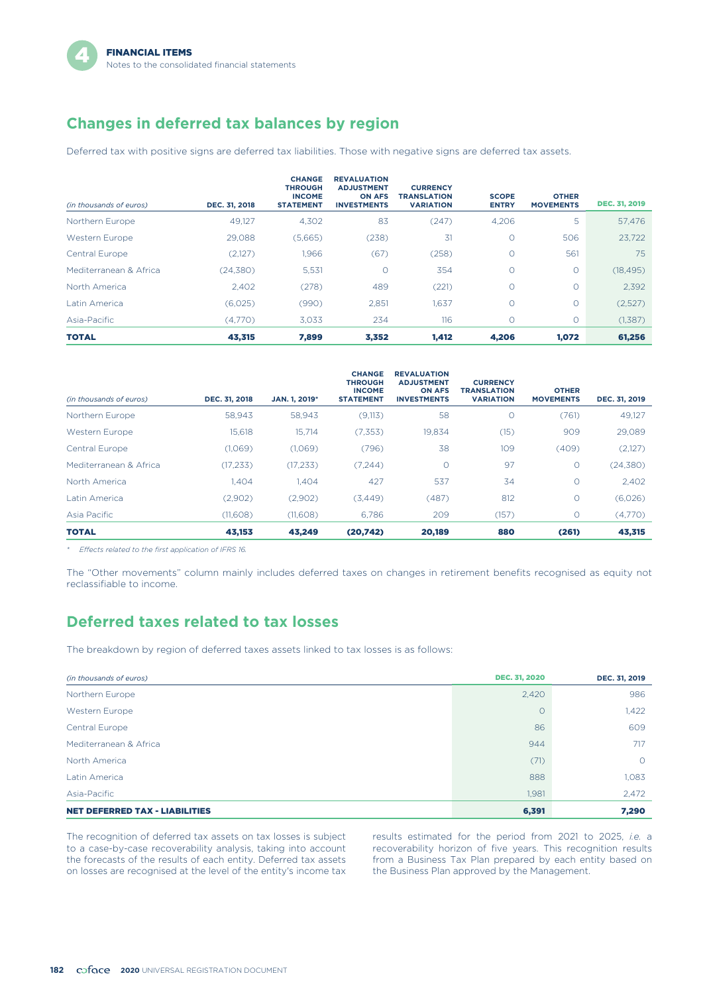# **Changes in deferred tax balances by region**

Deferred tax with positive signs are deferred tax liabilities. Those with negative signs are deferred tax assets.

|                         |               | <b>CHANGE</b><br><b>THROUGH</b>   | <b>REVALUATION</b><br><b>ADJUSTMENT</b> | <b>CURRENCY</b>                 |                              |                                  |                      |
|-------------------------|---------------|-----------------------------------|-----------------------------------------|---------------------------------|------------------------------|----------------------------------|----------------------|
| (in thousands of euros) | DEC. 31, 2018 | <b>INCOME</b><br><b>STATEMENT</b> | <b>ON AFS</b><br><b>INVESTMENTS</b>     | TRANSLATION<br><b>VARIATION</b> | <b>SCOPE</b><br><b>ENTRY</b> | <b>OTHER</b><br><b>MOVEMENTS</b> | <b>DEC. 31, 2019</b> |
| Northern Europe         | 49.127        | 4,302                             | 83                                      | (247)                           | 4.206                        | 5                                | 57,476               |
| Western Europe          | 29.088        | (5,665)                           | (238)                                   | 31                              | Ο                            | 506                              | 23.722               |
| Central Europe          | (2,127)       | 1,966                             | (67)                                    | (258)                           | Ο                            | 561                              | 75                   |
| Mediterranean & Africa  | (24, 380)     | 5,531                             | $\circ$                                 | 354                             | 0                            | $\circ$                          | (18, 495)            |
| North America           | 2.402         | (278)                             | 489                                     | (221)                           | 0                            | $\circ$                          | 2,392                |
| Latin America           | (6,025)       | (990)                             | 2,851                                   | 1,637                           | 0                            | $\circ$                          | (2,527)              |
| Asia-Pacific            | (4,770)       | 3,033                             | 234                                     | 116                             | $\circ$                      | $\circ$                          | (1,387)              |
| <b>TOTAL</b>            | 43,315        | 7,899                             | 3,352                                   | 1,412                           | 4,206                        | 1,072                            | 61,256               |

| (in thousands of euros) | DEC. 31, 2018 | JAN. 1, 2019* | <b>CHANGE</b><br><b>THROUGH</b><br><b>INCOME</b><br><b>STATEMENT</b> | <b>REVALUATION</b><br><b>ADJUSTMENT</b><br><b>ON AFS</b><br><b>INVESTMENTS</b> | <b>CURRENCY</b><br><b>TRANSLATION</b><br><b>VARIATION</b> | <b>OTHER</b><br><b>MOVEMENTS</b> | DEC. 31, 2019 |
|-------------------------|---------------|---------------|----------------------------------------------------------------------|--------------------------------------------------------------------------------|-----------------------------------------------------------|----------------------------------|---------------|
| Northern Europe         | 58,943        | 58,943        | (9,113)                                                              | 58                                                                             | $\circ$                                                   | (761)                            | 49,127        |
| Western Europe          | 15,618        | 15,714        | (7,353)                                                              | 19,834                                                                         | (15)                                                      | 909                              | 29,089        |
| Central Europe          | (1,069)       | (1,069)       | (796)                                                                | 38                                                                             | 109                                                       | (409)                            | (2,127)       |
| Mediterranean & Africa  | (17, 233)     | (17, 233)     | (7,244)                                                              | $\circ$                                                                        | 97                                                        | $\circ$                          | (24, 380)     |
| North America           | 1,404         | 1.404         | 427                                                                  | 537                                                                            | 34                                                        | $\circ$                          | 2,402         |
| Latin America           | (2,902)       | (2,902)       | (3,449)                                                              | (487)                                                                          | 812                                                       | $\circ$                          | (6,026)       |
| Asia Pacific            | (11,608)      | (11,608)      | 6.786                                                                | 209                                                                            | (157)                                                     | O                                | (4,770)       |
| <b>TOTAL</b>            | 43,153        | 43,249        | (20,742)                                                             | 20,189                                                                         | 880                                                       | (261)                            | 43,315        |

*\* Effects related to the first application of IFRS 16.*

The "Other movements" column mainly includes deferred taxes on changes in retirement benefits recognised as equity not reclassifiable to income.

### **Deferred taxes related to tax losses**

The breakdown by region of deferred taxes assets linked to tax losses is as follows:

| (in thousands of euros)               | <b>DEC. 31, 2020</b> | DEC. 31, 2019 |
|---------------------------------------|----------------------|---------------|
| Northern Europe                       | 2,420                | 986           |
| Western Europe                        | $\circ$              | 1,422         |
| Central Europe                        | 86                   | 609           |
| Mediterranean & Africa                | 944                  | 717           |
| North America                         | (71)                 | $\circ$       |
| Latin America                         | 888                  | 1,083         |
| Asia-Pacific                          | 1,981                | 2,472         |
| <b>NET DEFERRED TAX - LIABILITIES</b> | 6,391                | 7,290         |

The recognition of deferred tax assets on tax losses is subject results estimated for the period from 2021 to 2025, *i.e.* a<br>to a case-by-case recoverability analysis, taking into account recoverability horizon of five yea the forecasts of the results of each entity. Deferred tax assets from a Business Tax Plan prepared by each entity on losses are recognised at the level of the entity's income tax the Business Plan approved by the Managemen on losses are recognised at the level of the entity's income tax

to a case-by-case recoverability analysis, taking into account recoverability horizon of five years. This recognition results the forecasts of the results of each entity. Deferred tax assets from a Business Tax Plan prepar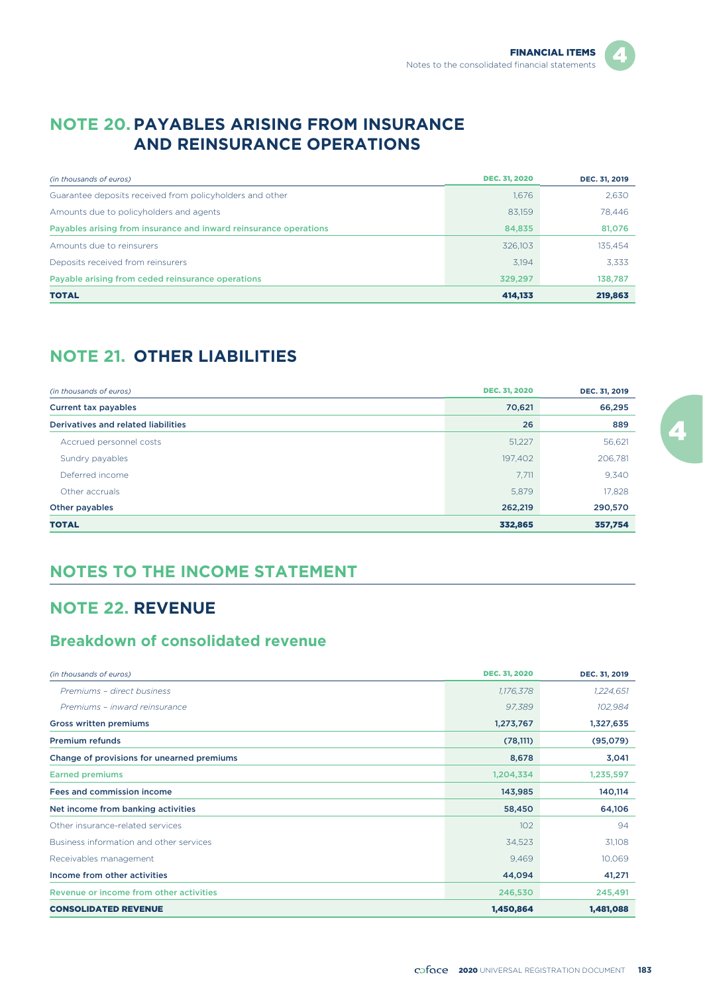## **NOTE 20. PAYABLES ARISING FROM INSURANCE AND REINSURANCE OPERATIONS**

| (in thousands of euros)                                           | <b>DEC. 31, 2020</b> | DEC. 31, 2019 |
|-------------------------------------------------------------------|----------------------|---------------|
| Guarantee deposits received from policyholders and other          | 1,676                | 2,630         |
| Amounts due to policyholders and agents                           | 83,159               | 78,446        |
| Payables arising from insurance and inward reinsurance operations | 84,835               | 81,076        |
| Amounts due to reinsurers                                         | 326.103              | 135,454       |
| Deposits received from reinsurers                                 | 3.194                | 3.333         |
| Payable arising from ceded reinsurance operations                 | 329.297              | 138,787       |
| <b>TOTAL</b>                                                      | 414.133              | 219,863       |

# **NOTE 21. OTHER LIABILITIES**

| (in thousands of euros)             | <b>DEC. 31, 2020</b> | DEC. 31, 2019 |
|-------------------------------------|----------------------|---------------|
| Current tax payables                | 70,621               | 66,295        |
| Derivatives and related liabilities | 26                   | 889           |
| Accrued personnel costs             | 51,227               | 56,621        |
| Sundry payables                     | 197,402              | 206,781       |
| Deferred income                     | 7,711                | 9,340         |
| Other accruals                      | 5,879                | 17,828        |
| Other payables                      | 262,219              | 290,570       |
| <b>TOTAL</b>                        | 332,865              | 357,754       |

# **NOTES TO THE INCOME STATEMENT**

# **NOTE 22. REVENUE**

## **Breakdown of consolidated revenue**

| (in thousands of euros)                    | <b>DEC. 31, 2020</b> | DEC. 31, 2019 |
|--------------------------------------------|----------------------|---------------|
| Premiums - direct business                 | 1,176,378            | 1,224,651     |
| Premiums - inward reinsurance              | 97,389               | 102,984       |
| <b>Gross written premiums</b>              | 1,273,767            | 1,327,635     |
| <b>Premium refunds</b>                     | (78, 111)            | (95,079)      |
| Change of provisions for unearned premiums | 8,678                | 3,041         |
| <b>Earned premiums</b>                     | 1,204,334            | 1,235,597     |
| Fees and commission income                 | 143,985              | 140,114       |
| Net income from banking activities         | 58,450               | 64,106        |
| Other insurance-related services           | 102                  | 94            |
| Business information and other services    | 34,523               | 31,108        |
| Receivables management                     | 9,469                | 10,069        |
| Income from other activities               | 44,094               | 41,271        |
| Revenue or income from other activities    | 246,530              | 245,491       |
| <b>CONSOLIDATED REVENUE</b>                | 1,450,864            | 1,481,088     |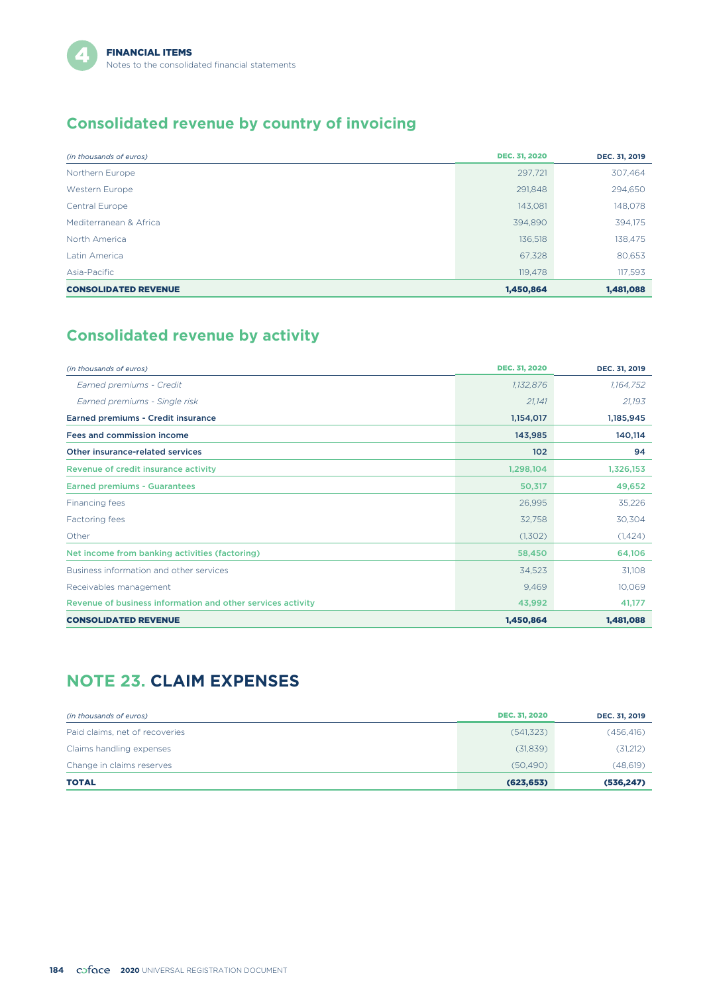# **Consolidated revenue by country of invoicing**

| (in thousands of euros)     | <b>DEC. 31, 2020</b> | DEC. 31, 2019 |
|-----------------------------|----------------------|---------------|
| Northern Europe             | 297,721              | 307,464       |
| Western Europe              | 291.848              | 294,650       |
| Central Europe              | 143,081              | 148,078       |
| Mediterranean & Africa      | 394,890              | 394,175       |
| North America               | 136,518              | 138,475       |
| Latin America               | 67,328               | 80,653        |
| Asia-Pacific                | 119,478              | 117,593       |
| <b>CONSOLIDATED REVENUE</b> | 1,450,864            | 1,481,088     |

# **Consolidated revenue by activity**

| (in thousands of euros)                                     | <b>DEC. 31, 2020</b> | DEC. 31, 2019 |
|-------------------------------------------------------------|----------------------|---------------|
| Earned premiums - Credit                                    | 1,132,876            | 1,164,752     |
| Earned premiums - Single risk                               | 21,141               | 21,193        |
| Earned premiums - Credit insurance                          | 1,154,017            | 1,185,945     |
| Fees and commission income                                  | 143,985              | 140,114       |
| Other insurance-related services                            | 102                  | 94            |
| Revenue of credit insurance activity                        | 1,298,104            | 1,326,153     |
| <b>Earned premiums - Guarantees</b>                         | 50,317               | 49,652        |
| Financing fees                                              | 26,995               | 35,226        |
| Factoring fees                                              | 32,758               | 30,304        |
| Other                                                       | (1,302)              | (1, 424)      |
| Net income from banking activities (factoring)              | 58,450               | 64,106        |
| Business information and other services                     | 34,523               | 31,108        |
| Receivables management                                      | 9,469                | 10,069        |
| Revenue of business information and other services activity | 43,992               | 41,177        |
| <b>CONSOLIDATED REVENUE</b>                                 | 1,450,864            | 1,481,088     |

# **NOTE 23. CLAIM EXPENSES**

| (in thousands of euros)        | <b>DEC. 31, 2020</b> | DEC. 31, 2019 |
|--------------------------------|----------------------|---------------|
| Paid claims, net of recoveries | (541, 323)           | (456, 416)    |
| Claims handling expenses       | (31,839)             | (31,212)      |
| Change in claims reserves      | (50.490)             | (48,619)      |
| <b>TOTAL</b>                   | (623, 653)           | (536, 247)    |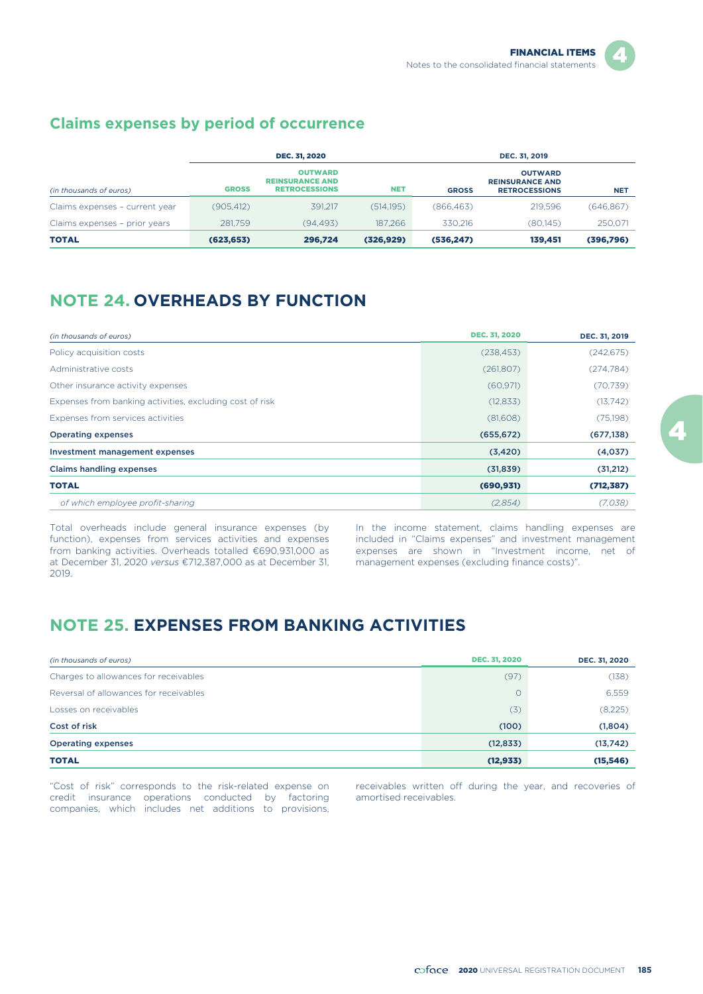## **Claims expenses by period of occurrence**

|                                |              | <b>DEC. 31, 2020</b>                                             |            |              | DEC. 31, 2019                                                    |            |  |
|--------------------------------|--------------|------------------------------------------------------------------|------------|--------------|------------------------------------------------------------------|------------|--|
| (in thousands of euros)        | <b>GROSS</b> | <b>OUTWARD</b><br><b>REINSURANCE AND</b><br><b>RETROCESSIONS</b> | <b>NET</b> | <b>GROSS</b> | <b>OUTWARD</b><br><b>REINSURANCE AND</b><br><b>RETROCESSIONS</b> | <b>NET</b> |  |
| Claims expenses - current year | (905.412)    | 391.217                                                          | (514.195)  | (866.463)    | 219.596                                                          | (646, 867) |  |
| Claims expenses - prior years  | 281,759      | (94.493)                                                         | 187.266    | 330.216      | (80.145)                                                         | 250,071    |  |
| <b>TOTAL</b>                   | (623, 653)   | 296,724                                                          | (326, 929) | (536, 247)   | 139,451                                                          | (396,796)  |  |

# **NOTE 24. OVERHEADS BY FUNCTION**

| (in thousands of euros)                                  | <b>DEC. 31, 2020</b> | DEC. 31, 2019 |
|----------------------------------------------------------|----------------------|---------------|
| Policy acquisition costs                                 | (238, 453)           | (242, 675)    |
| Administrative costs                                     | (261, 807)           | (274, 784)    |
| Other insurance activity expenses                        | (60, 971)            | (70, 739)     |
| Expenses from banking activities, excluding cost of risk | (12, 833)            | (13,742)      |
| Expenses from services activities                        | (81,608)             | (75,198)      |
| <b>Operating expenses</b>                                | (655, 672)           | (677, 138)    |
| Investment management expenses                           | (3,420)              | (4,037)       |
| <b>Claims handling expenses</b>                          | (31, 839)            | (31,212)      |
| <b>TOTAL</b>                                             | (690, 931)           | (712, 387)    |
| of which employee profit-sharing                         | (2,854)              | (7.038)       |

Total overheads include general insurance expenses (by function), expenses from services activities and expenses from banking activities. Overheads totalled €690,931,000 as at December 31, 2020 *versus* €712,387,000 as at December 31, 2019.

In the income statement, claims handling expenses are included in "Claims expenses" and investment management expenses are shown in "Investment income, net of management expenses (excluding finance costs)".

## **NOTE 25. EXPENSES FROM BANKING ACTIVITIES**

| (in thousands of euros)                | <b>DEC. 31, 2020</b> | <b>DEC. 31, 2020</b> |
|----------------------------------------|----------------------|----------------------|
| Charges to allowances for receivables  | (97)                 | (138)                |
| Reversal of allowances for receivables | $\circ$              | 6,559                |
| Losses on receivables                  | (3)                  | (8, 225)             |
| Cost of risk                           | (100)                | (1,804)              |
| <b>Operating expenses</b>              | (12, 833)            | (13, 742)            |
| <b>TOTAL</b>                           | (12, 933)            | (15, 546)            |

"Cost of risk" corresponds to the risk-related expense on receivables written off during the year, and recoveries of credit insurance operations conducted by factoring amortised receivables. companies, which includes net additions to provisions,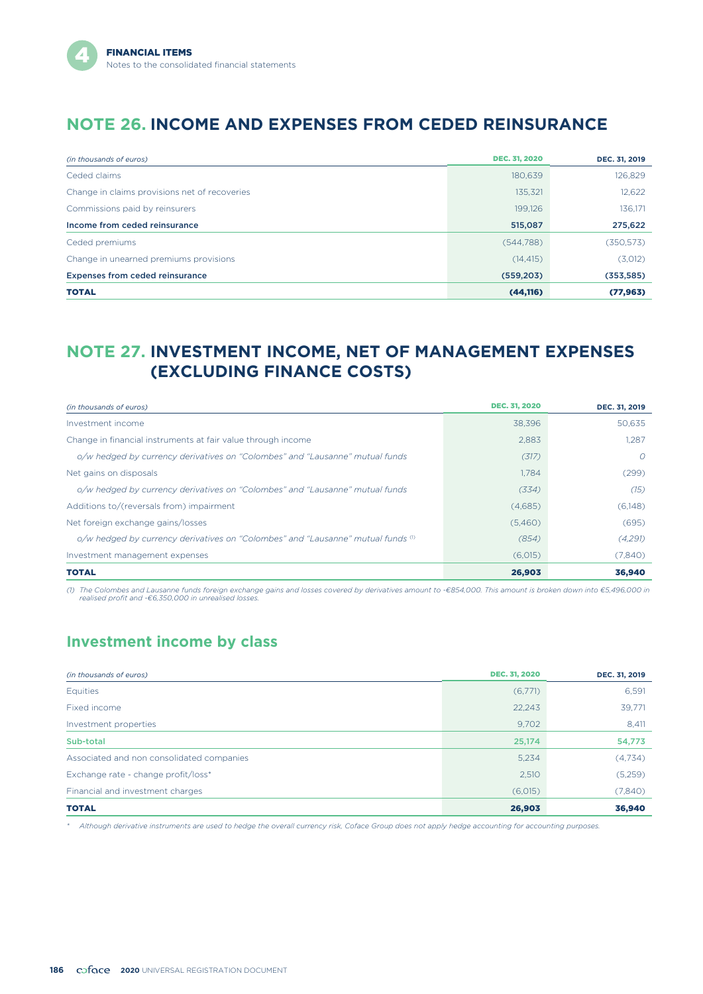# **NOTE 26. INCOME AND EXPENSES FROM CEDED REINSURANCE**

| (in thousands of euros)                       | <b>DEC. 31, 2020</b> | DEC. 31, 2019 |
|-----------------------------------------------|----------------------|---------------|
| Ceded claims                                  | 180,639              | 126,829       |
| Change in claims provisions net of recoveries | 135,321              | 12,622        |
| Commissions paid by reinsurers                | 199.126              | 136.171       |
| Income from ceded reinsurance                 | 515,087              | 275,622       |
| Ceded premiums                                | (544, 788)           | (350, 573)    |
| Change in unearned premiums provisions        | (14, 415)            | (3,012)       |
| <b>Expenses from ceded reinsurance</b>        | (559, 203)           | (353, 585)    |
| <b>TOTAL</b>                                  | (44, 116)            | (77, 963)     |

# **NOTE 27. INVESTMENT INCOME, NET OF MANAGEMENT EXPENSES (EXCLUDING FINANCE COSTS)**

| (in thousands of euros)                                                                | <b>DEC. 31, 2020</b> | DEC. 31, 2019 |
|----------------------------------------------------------------------------------------|----------------------|---------------|
| Investment income                                                                      | 38,396               | 50,635        |
| Change in financial instruments at fair value through income                           | 2.883                | 1.287         |
| o/w hedged by currency derivatives on "Colombes" and "Lausanne" mutual funds           | (317)                | O             |
| Net gains on disposals                                                                 | 1.784                | (299)         |
| o/w hedged by currency derivatives on "Colombes" and "Lausanne" mutual funds           | (334)                | (15)          |
| Additions to/(reversals from) impairment                                               | (4,685)              | (6,148)       |
| Net foreign exchange gains/losses                                                      | (5,460)              | (695)         |
| o/w hedged by currency derivatives on "Colombes" and "Lausanne" mutual funds $\degree$ | (854)                | (4,291)       |
| Investment management expenses                                                         | (6,015)              | (7,840)       |
| <b>TOTAL</b>                                                                           | 26,903               | 36,940        |

(1) The Colombes and Lausanne funds foreign exchange gains and losses covered by derivatives amount to -€854,000. This amount is broken down into €5,496,000 in<br>realised profit and -€6,350,000 in unrealised losses.

## **Investment income by class**

| (in thousands of euros)                   | <b>DEC. 31, 2020</b> | DEC. 31, 2019 |
|-------------------------------------------|----------------------|---------------|
| Equities                                  | (6,771)              | 6,591         |
| Fixed income                              | 22,243               | 39,771        |
| Investment properties                     | 9,702                | 8,411         |
| Sub-total                                 | 25,174               | 54,773        |
| Associated and non consolidated companies | 5,234                | (4,734)       |
| Exchange rate - change profit/loss*       | 2,510                | (5,259)       |
| Financial and investment charges          | (6,015)              | (7,840)       |
| <b>TOTAL</b>                              | 26,903               | 36,940        |

*\* Although derivative instruments are used to hedge the overall currency risk, Coface Group does not apply hedge accounting for accounting purposes.*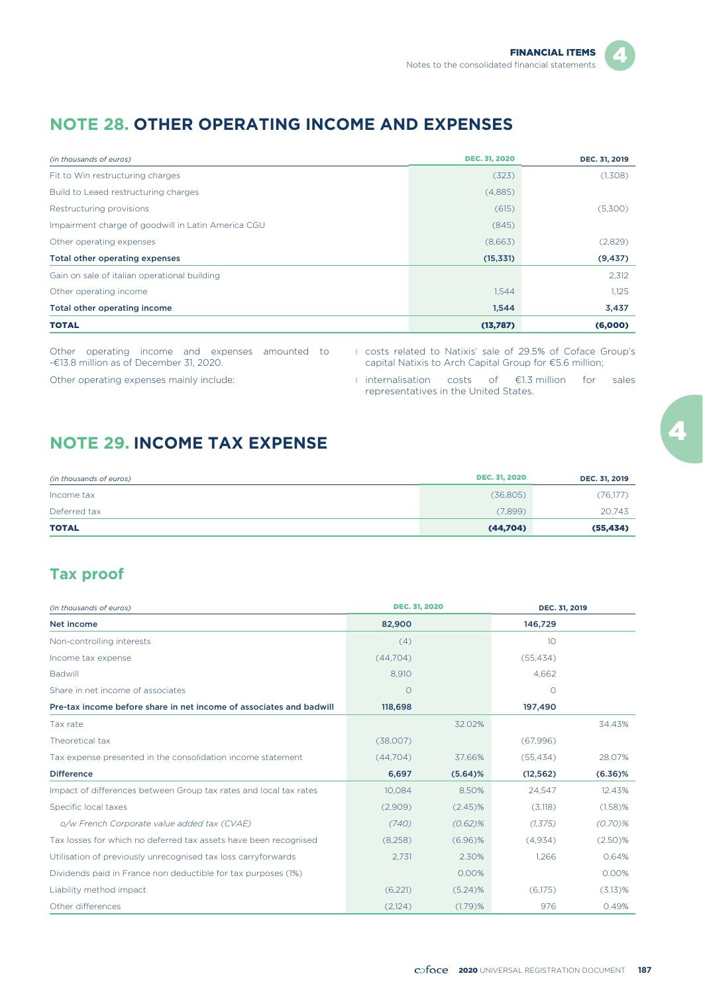## **NOTE 28. OTHER OPERATING INCOME AND EXPENSES**

| (in thousands of euros)                            | <b>DEC. 31, 2020</b> | DEC. 31, 2019 |
|----------------------------------------------------|----------------------|---------------|
| Fit to Win restructuring charges                   | (323)                | (1,308)       |
| Build to Leaed restructuring charges               | (4,885)              |               |
| Restructuring provisions                           | (615)                | (5,300)       |
| Impairment charge of goodwill in Latin America CGU | (845)                |               |
| Other operating expenses                           | (8,663)              | (2,829)       |
| Total other operating expenses                     | (15, 331)            | (9, 437)      |
| Gain on sale of italian operational building       |                      | 2,312         |
| Other operating income                             | 1,544                | 1,125         |
| Total other operating income                       | 1,544                | 3,437         |
| <b>TOTAL</b>                                       | (13,787)             | (6,000)       |

Other operating income and expenses amounted to -€13.8 million as of December 31, 2020.

l costs related to Natixis' sale of 29.5% of Coface Group's capital Natixis to Arch Capital Group for €5.6 million;

Other operating expenses mainly include:

l internalisation costs of €1.3 million for sales representatives in the United States.

## **NOTE 29. INCOME TAX EXPENSE**

| (in thousands of euros) | <b>DEC. 31, 2020</b> | DEC. 31, 2019 |
|-------------------------|----------------------|---------------|
| Income tax              | (36,805)             | (76,177)      |
| Deferred tax            | (7,899)              | 20,743        |
| <b>TOTAL</b>            | (44,704)             | (55, 434)     |

## **Tax proof**

| (in thousands of euros)                                             | <b>DEC. 31, 2020</b> |            | DEC. 31, 2019   |            |  |
|---------------------------------------------------------------------|----------------------|------------|-----------------|------------|--|
| Net income                                                          | 82,900               |            | 146,729         |            |  |
| Non-controlling interests                                           | (4)                  |            | 10 <sup>°</sup> |            |  |
| Income tax expense                                                  | (44,704)             |            | (55, 434)       |            |  |
| <b>Badwill</b>                                                      | 8,910                |            | 4,662           |            |  |
| Share in net income of associates                                   | $\circ$              |            | O               |            |  |
| Pre-tax income before share in net income of associates and badwill | 118,698              |            | 197,490         |            |  |
| Tax rate                                                            |                      | 32.02%     |                 | 34.43%     |  |
| Theoretical tax                                                     | (38,007)             |            | (67,996)        |            |  |
| Tax expense presented in the consolidation income statement         | (44,704)             | 37.66%     | (55, 434)       | 28.07%     |  |
| <b>Difference</b>                                                   | 6,697                | (5.64)%    | (12, 562)       | $(6.36)\%$ |  |
| Impact of differences between Group tax rates and local tax rates   | 10,084               | 8.50%      | 24,547          | 12.43%     |  |
| Specific local taxes                                                | (2,909)              | $(2.45)\%$ | (3,118)         | (1.58)%    |  |
| o/w French Corporate value added tax (CVAE)                         | (740)                | $(0.62)$ % | (1, 375)        | $(0.70)$ % |  |
| Tax losses for which no deferred tax assets have been recognised    | (8,258)              | $(6.96)\%$ | (4,934)         | (2.50)%    |  |
| Utilisation of previously unrecognised tax loss carryforwards       | 2,731                | 2.30%      | 1,266           | 0.64%      |  |
| Dividends paid in France non deductible for tax purposes (1%)       |                      | 0.00%      |                 | 0.00%      |  |
| Liability method impact                                             | (6,221)              | $(5.24)$ % | (6,175)         | $(3.13)$ % |  |
| Other differences                                                   | (2,124)              | $(1.79)$ % | 976             | 0.49%      |  |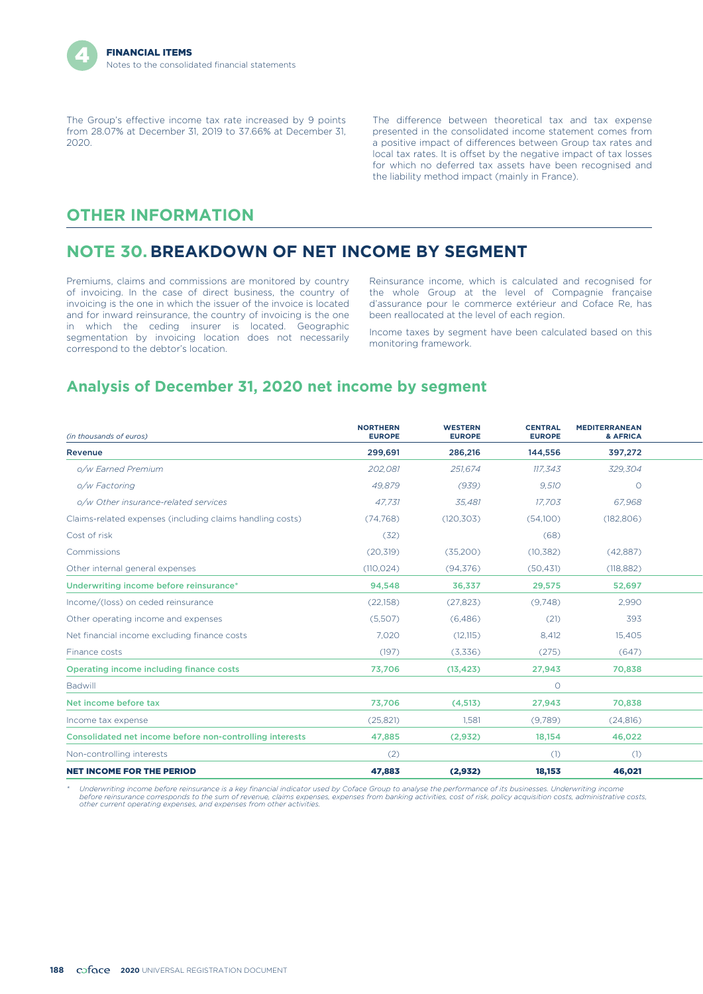The Group's effective income tax rate increased by 9 points from 28.07% at December 31, 2019 to 37.66% at December 31, 2020.

The difference between theoretical tax and tax expense presented in the consolidated income statement comes from a positive impact of differences between Group tax rates and local tax rates. It is offset by the negative impact of tax losses for which no deferred tax assets have been recognised and the liability method impact (mainly in France).

## **OTHER INFORMATION**

## **NOTE 30. BREAKDOWN OF NET INCOME BY SEGMENT**

Premiums, claims and commissions are monitored by country of invoicing. In the case of direct business, the country of invoicing is the one in which the issuer of the invoice is located and for inward reinsurance, the country of invoicing is the one in which the ceding insurer is located. Geographic segmentation by invoicing location does not necessarily correspond to the debtor's location.

Reinsurance income, which is calculated and recognised for the whole Group at the level of Compagnie française d'assurance pour le commerce extérieur and Coface Re, has been reallocated at the level of each region.

Income taxes by segment have been calculated based on this monitoring framework.

## **Analysis of December 31, 2020 net income by segment**

| (in thousands of euros)                                   | <b>NORTHERN</b><br><b>EUROPE</b> | <b>WESTERN</b><br><b>EUROPE</b> | <b>CENTRAL</b><br><b>EUROPE</b> | <b>MEDITERRANEAN</b><br>& AFRICA |  |
|-----------------------------------------------------------|----------------------------------|---------------------------------|---------------------------------|----------------------------------|--|
| Revenue                                                   | 299,691                          | 286,216                         | 144,556                         | 397,272                          |  |
| o/w Earned Premium                                        | 202,081                          | 251,674                         | 117,343                         | 329,304                          |  |
| o/w Factoring                                             | 49,879                           | (939)                           | 9,510                           | $\circ$                          |  |
| o/w Other insurance-related services                      | 47.731                           | 35.481                          | 17.703                          | 67.968                           |  |
| Claims-related expenses (including claims handling costs) | (74.768)                         | (120, 303)                      | (54,100)                        | (182, 806)                       |  |
| Cost of risk                                              | (32)                             |                                 | (68)                            |                                  |  |
| Commissions                                               | (20, 319)                        | (35,200)                        | (10, 382)                       | (42,887)                         |  |
| Other internal general expenses                           | (110, 024)                       | (94, 376)                       | (50, 431)                       | (118, 882)                       |  |
| Underwriting income before reinsurance*                   | 94,548                           | 36,337                          | 29,575                          | 52,697                           |  |
| Income/(loss) on ceded reinsurance                        | (22,158)                         | (27, 823)                       | (9,748)                         | 2.990                            |  |
| Other operating income and expenses                       | (5,507)                          | (6,486)                         | (21)                            | 393                              |  |
| Net financial income excluding finance costs              | 7,020                            | (12, 115)                       | 8.412                           | 15,405                           |  |
| Finance costs                                             | (197)                            | (3,336)                         | (275)                           | (647)                            |  |
| Operating income including finance costs                  | 73.706                           | (13, 423)                       | 27,943                          | 70,838                           |  |
| <b>Badwill</b>                                            |                                  |                                 | $\circ$                         |                                  |  |
| Net income before tax                                     | 73,706                           | (4,513)                         | 27,943                          | 70,838                           |  |
| Income tax expense                                        | (25, 821)                        | 1.581                           | (9,789)                         | (24, 816)                        |  |
| Consolidated net income before non-controlling interests  | 47,885                           | (2,932)                         | 18,154                          | 46,022                           |  |
| Non-controlling interests                                 | (2)                              |                                 | (1)                             | (1)                              |  |
| <b>NET INCOME FOR THE PERIOD</b>                          | 47,883                           | (2, 932)                        | 18,153                          | 46,021                           |  |

*\* Underwriting income before reinsurance is a key financial indicator used by Coface Group to analyse the performance of its businesses. Underwriting income before reinsurance corresponds to the sum of revenue, claims expenses, expenses from banking activities, cost of risk, policy acquisition costs, administrative costs, other current operating expenses, and expenses from other activities.*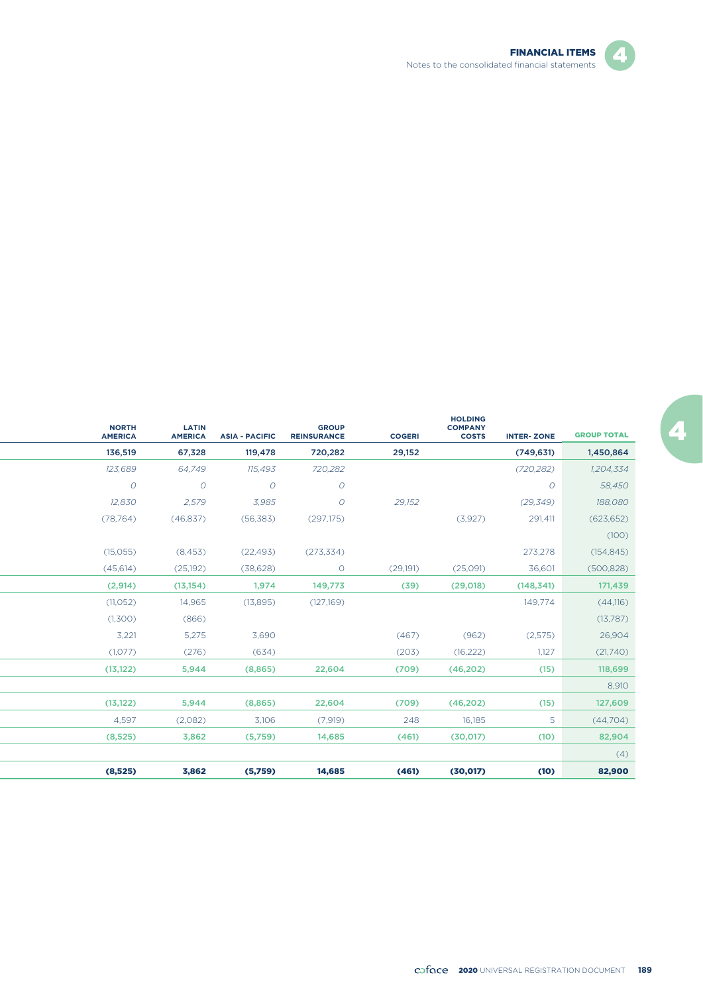

Z.

| <b>NORTH</b><br><b>AMERICA</b> | <b>LATIN</b><br><b>AMERICA</b> | <b>ASIA - PACIFIC</b> | <b>GROUP</b><br><b>REINSURANCE</b> | <b>COGERI</b> | <b>HOLDING</b><br><b>COMPANY</b><br><b>COSTS</b> | <b>INTER-ZONE</b> | <b>GROUP TOTAL</b> |
|--------------------------------|--------------------------------|-----------------------|------------------------------------|---------------|--------------------------------------------------|-------------------|--------------------|
| 136,519                        | 67,328                         | 119,478               | 720,282                            | 29,152        |                                                  | (749, 631)        | 1,450,864          |
| 123,689                        | 64,749                         | 115,493               | 720,282                            |               |                                                  | (720, 282)        | 1,204,334          |
| $\circ$                        | $\Omega$                       | $\overline{O}$        | $\overline{O}$                     |               |                                                  | $\overline{O}$    | 58,450             |
| 12,830                         | 2,579                          | 3,985                 | $\circ$                            | 29,152        |                                                  | (29, 349)         | 188,080            |
| (78, 764)                      | (46,837)                       | (56, 383)             | (297, 175)                         |               | (3,927)                                          | 291,411           | (623, 652)         |
|                                |                                |                       |                                    |               |                                                  |                   | (100)              |
| (15,055)                       | (8, 453)                       | (22, 493)             | (273, 334)                         |               |                                                  | 273,278           | (154, 845)         |
| (45, 614)                      | (25, 192)                      | (38, 628)             | $\circ$                            | (29,191)      | (25,091)                                         | 36,601            | (500, 828)         |
| (2,914)                        | (13, 154)                      | 1,974                 | 149,773                            | (39)          | (29,018)                                         | (148, 341)        | 171,439            |
| (11, 052)                      | 14,965                         | (13,895)              | (127,169)                          |               |                                                  | 149,774           | (44,116)           |
| (1,300)                        | (866)                          |                       |                                    |               |                                                  |                   | (13,787)           |
| 3,221                          | 5,275                          | 3,690                 |                                    | (467)         | (962)                                            | (2,575)           | 26,904             |
| (1,077)                        | (276)                          | (634)                 |                                    | (203)         | (16, 222)                                        | 1,127             | (21,740)           |
| (13, 122)                      | 5,944                          | (8,865)               | 22,604                             | (709)         | (46,202)                                         | (15)              | 118,699            |
|                                |                                |                       |                                    |               |                                                  |                   | 8,910              |
| (13, 122)                      | 5,944                          | (8,865)               | 22,604                             | (709)         | (46, 202)                                        | (15)              | 127,609            |
| 4.597                          | (2,082)                        | 3,106                 | (7,919)                            | 248           | 16.185                                           | 5                 | (44,704)           |
| (8,525)                        | 3,862                          | (5,759)               | 14,685                             | (461)         | (30, 017)                                        | (10)              | 82,904             |
|                                |                                |                       |                                    |               |                                                  |                   | (4)                |
| (8,525)                        | 3,862                          | (5,759)               | 14,685                             | (461)         | (30, 017)                                        | (10)              | 82,900             |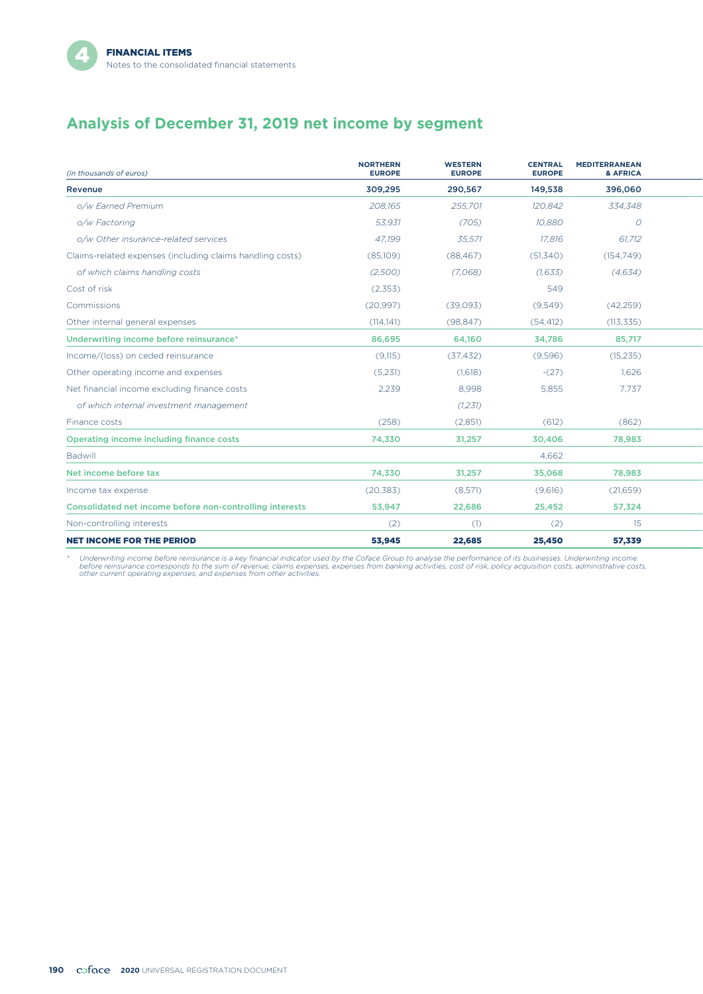# **Analysis of December 31, 2019 net income by segment**

| (in thousands of euros)                                   | <b>NORTHERN</b><br><b>EUROPE</b> | <b>WESTERN</b><br><b>EUROPE</b> | <b>CENTRAL</b><br><b>EUROPE</b> | <b>MEDITERRANEAN</b><br>& AFRICA |  |
|-----------------------------------------------------------|----------------------------------|---------------------------------|---------------------------------|----------------------------------|--|
| Revenue                                                   | 309,295                          | 290,567                         | 149,538                         | 396,060                          |  |
| o/w Earned Premium                                        | 208.165                          | 255.701                         | 120.842                         | 334.348                          |  |
| o/w Factoring                                             | 53.931                           | (705)                           | 10.880                          | O                                |  |
| o/w Other insurance-related services                      | 47,199                           | 35,571                          | 17,816                          | 61,712                           |  |
| Claims-related expenses (including claims handling costs) | (85,109)                         | (88, 467)                       | (51, 340)                       | (154, 749)                       |  |
| of which claims handling costs                            | (2,500)                          | (7.068)                         | (1,633)                         | (4,634)                          |  |
| Cost of risk                                              | (2,353)                          |                                 | 549                             |                                  |  |
| Commissions                                               | (20, 997)                        | (39,093)                        | (9,549)                         | (42, 259)                        |  |
| Other internal general expenses                           | (114.141)                        | (98, 847)                       | (54, 412)                       | (113, 335)                       |  |
| Underwriting income before reinsurance*                   | 86,695                           | 64,160                          | 34,786                          | 85,717                           |  |
| Income/(loss) on ceded reinsurance                        | (9,115)                          | (37, 432)                       | (9,596)                         | (15, 235)                        |  |
| Other operating income and expenses                       | (5,231)                          | (1,618)                         | $-(27)$                         | 1.626                            |  |
| Net financial income excluding finance costs              | 2,239                            | 8,998                           | 5,855                           | 7,737                            |  |
| of which internal investment management                   |                                  | (1,231)                         |                                 |                                  |  |
| Finance costs                                             | (258)                            | (2,851)                         | (612)                           | (862)                            |  |
| Operating income including finance costs                  | 74,330                           | 31,257                          | 30,406                          | 78,983                           |  |
| Badwill                                                   |                                  |                                 | 4.662                           |                                  |  |
| Net income before tax                                     | 74,330                           | 31,257                          | 35,068                          | 78,983                           |  |
| Income tax expense                                        | (20, 383)                        | (8,571)                         | (9,616)                         | (21,659)                         |  |
| Consolidated net income before non-controlling interests  | 53,947                           | 22,686                          | 25,452                          | 57,324                           |  |
| Non-controlling interests                                 | (2)                              | (1)                             | (2)                             | 15                               |  |
| <b>NET INCOME FOR THE PERIOD</b>                          | 53,945                           | 22,685                          | 25,450                          | 57,339                           |  |

\* Underwriting income before reinsurance is a key financial indicator used by the Coface Group to analyse the performance of its businesses. Underwriting income<br>before reinsurance corresponds to the sum of revenue, claims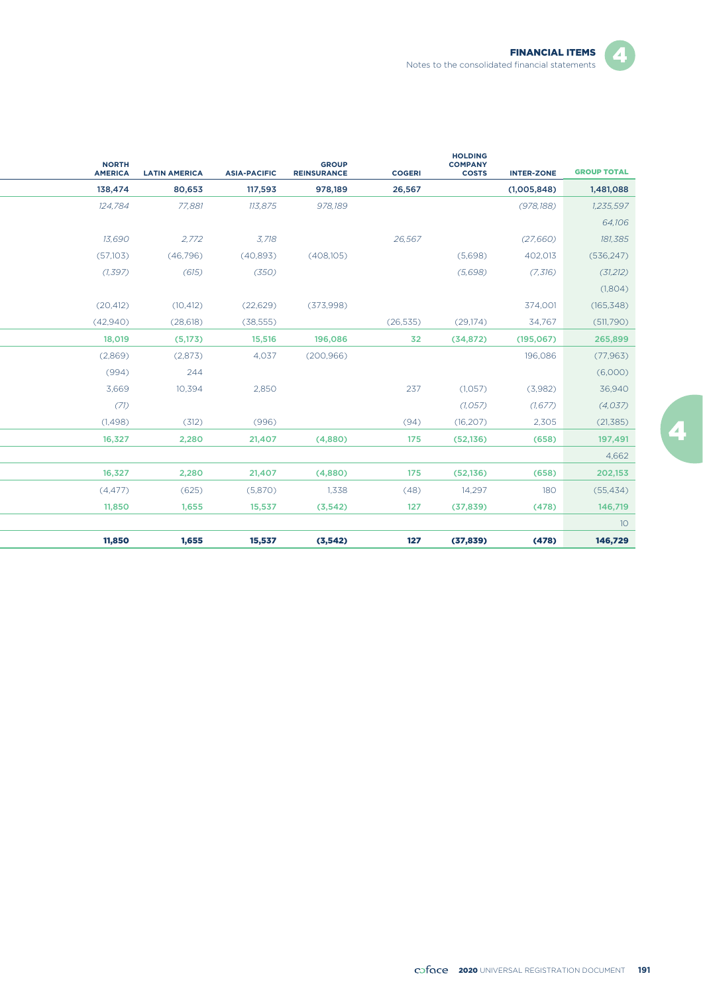◢

| <b>NORTH</b><br><b>AMERICA</b> | <b>LATIN AMERICA</b> | <b>ASIA-PACIFIC</b> | <b>GROUP</b><br><b>REINSURANCE</b> | <b>COGERI</b> | <b>HOLDING</b><br><b>COMPANY</b><br><b>COSTS</b> | <b>INTER-ZONE</b> | <b>GROUP TOTAL</b> |
|--------------------------------|----------------------|---------------------|------------------------------------|---------------|--------------------------------------------------|-------------------|--------------------|
| 138,474                        | 80,653               | 117,593             | 978,189                            | 26,567        |                                                  | (1,005,848)       | 1,481,088          |
| 124.784                        | 77,881               | 113,875             | 978.189                            |               |                                                  | (978, 188)        | 1,235,597          |
|                                |                      |                     |                                    |               |                                                  |                   | 64,106             |
| 13,690                         | 2,772                | 3,718               |                                    | 26,567        |                                                  | (27,660)          | 181,385            |
| (57,103)                       | (46,796)             | (40,893)            | (408,105)                          |               | (5,698)                                          | 402,013           | (536, 247)         |
| (1, 397)                       | (615)                | (350)               |                                    |               | (5,698)                                          | (7,316)           | (31,212)           |
|                                |                      |                     |                                    |               |                                                  |                   | (1,804)            |
| (20, 412)                      | (10, 412)            | (22, 629)           | (373,998)                          |               |                                                  | 374,001           | (165, 348)         |
| (42,940)                       | (28, 618)            | (38, 555)           |                                    | (26, 535)     | (29, 174)                                        | 34,767            | (511,790)          |
| 18,019                         | (5,173)              | 15,516              | 196,086                            | 32            | (34, 872)                                        | (195,067)         | 265,899            |
| (2,869)                        | (2,873)              | 4,037               | (200, 966)                         |               |                                                  | 196,086           | (77, 963)          |
| (994)                          | 244                  |                     |                                    |               |                                                  |                   | (6,000)            |
| 3.669                          | 10,394               | 2,850               |                                    | 237           | (1,057)                                          | (3,982)           | 36,940             |
| (71)                           |                      |                     |                                    |               | (1,057)                                          | (1, 677)          | (4,037)            |
| (1,498)                        | (312)                | (996)               |                                    | (94)          | (16, 207)                                        | 2,305             | (21, 385)          |
| 16,327                         | 2,280                | 21,407              | (4,880)                            | 175           | (52, 136)                                        | (658)             | 197,491            |
|                                |                      |                     |                                    |               |                                                  |                   | 4,662              |
| 16,327                         | 2,280                | 21,407              | (4,880)                            | 175           | (52, 136)                                        | (658)             | 202,153            |
| (4, 477)                       | (625)                | (5,870)             | 1,338                              | (48)          | 14,297                                           | 180               | (55, 434)          |
| 11,850                         | 1,655                | 15,537              | (3, 542)                           | 127           | (37, 839)                                        | (478)             | 146,719            |
|                                |                      |                     |                                    |               |                                                  |                   | 10                 |
| 11,850                         | 1,655                | 15,537              | (3,542)                            | 127           | (37, 839)                                        | (478)             | 146,729            |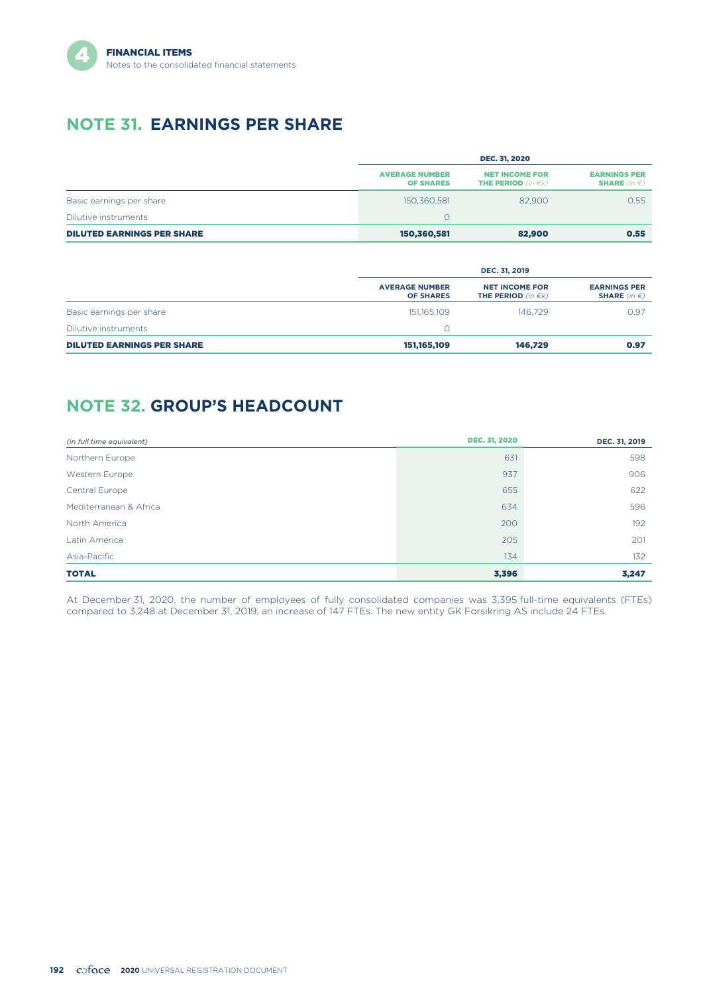

# **NOTE 31. EARNINGS PER SHARE**

|                                   | <b>DEC. 31, 2020</b>                      |                                                         |                                                      |  |  |
|-----------------------------------|-------------------------------------------|---------------------------------------------------------|------------------------------------------------------|--|--|
|                                   | <b>AVERAGE NUMBER</b><br><b>OF SHARES</b> | <b>NET INCOME FOR</b><br><b>THE PERIOD</b> (in $\in$ k) | <b>EARNINGS PER</b><br><b>SHARE</b> (in $\epsilon$ ) |  |  |
| Basic earnings per share          | 150.360.581                               | 82,900                                                  | 0.55                                                 |  |  |
| Dilutive instruments              |                                           |                                                         |                                                      |  |  |
| <b>DILUTED EARNINGS PER SHARE</b> | 150,360,581                               | 82,900                                                  | 0.55                                                 |  |  |

|                                   |                                           | DEC. 31, 2019                                           |                                                      |  |  |
|-----------------------------------|-------------------------------------------|---------------------------------------------------------|------------------------------------------------------|--|--|
|                                   | <b>AVERAGE NUMBER</b><br><b>OF SHARES</b> | <b>NET INCOME FOR</b><br><b>THE PERIOD</b> (in $\in$ k) | <b>EARNINGS PER</b><br><b>SHARE</b> (in $\epsilon$ ) |  |  |
| Basic earnings per share          | 151,165,109                               | 146.729                                                 | 0.97                                                 |  |  |
| Dilutive instruments              |                                           |                                                         |                                                      |  |  |
| <b>DILUTED EARNINGS PER SHARE</b> | 151, 165, 109                             | 146,729                                                 | 0.97                                                 |  |  |

# **NOTE 32. GROUP'S HEADCOUNT**

| (in full time equivalent) | <b>DEC. 31, 2020</b> | DEC. 31, 2019 |
|---------------------------|----------------------|---------------|
| Northern Europe           | 631                  | 598           |
| Western Europe            | 937                  | 906           |
| Central Europe            | 655                  | 622           |
| Mediterranean & Africa    | 634                  | 596           |
| North America             | 200                  | 192           |
| Latin America             | 205                  | 201           |
| Asia-Pacific              | 134                  | 132           |
| <b>TOTAL</b>              | 3,396                | 3,247         |

At December 31, 2020, the number of employees of fully consolidated companies was 3,395 full-time equivalents (FTEs) compared to 3,248 at December 31, 2019, an increase of 147 FTEs. The new entity GK Forsikring AS include 24 FTEs.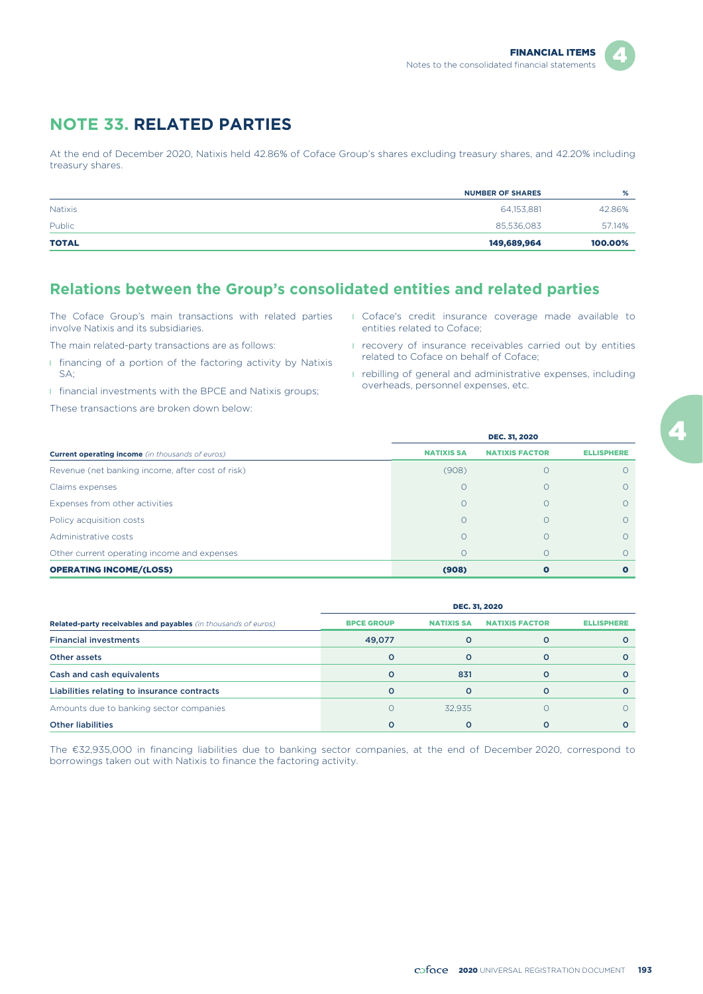

# **NOTE 33. RELATED PARTIES**

At the end of December 2020, Natixis held 42.86% of Coface Group's shares excluding treasury shares, and 42.20% including treasury shares.

|                | <b>NUMBER OF SHARES</b> | %       |
|----------------|-------------------------|---------|
| <b>Natixis</b> | 64,153,881              | 42.86%  |
| Public         | 85,536,083              | 57.14%  |
| <b>TOTAL</b>   | 149,689,964             | 100.00% |

## **Relations between the Group's consolidated entities and related parties**

The Coface Group's main transactions with related parties involve Natixis and its subsidiaries.

The main related-party transactions are as follows:

- **I** financing of a portion of the factoring activity by Natixis SA;
- **I** financial investments with the BPCE and Natixis groups;

These transactions are broken down below:

- l Coface's credit insurance coverage made available to entities related to Coface;
- **I** recovery of insurance receivables carried out by entities related to Coface on behalf of Coface;
- **I** rebilling of general and administrative expenses, including overheads, personnel expenses, etc.

|                                                         | <b>DEC. 31, 2020</b> |                       |                   |  |  |  |
|---------------------------------------------------------|----------------------|-----------------------|-------------------|--|--|--|
| <b>Current operating income</b> (in thousands of euros) | <b>NATIXIS SA</b>    | <b>NATIXIS FACTOR</b> | <b>ELLISPHERE</b> |  |  |  |
| Revenue (net banking income, after cost of risk)        | (908)                |                       |                   |  |  |  |
| Claims expenses                                         | $\Omega$             |                       |                   |  |  |  |
| Expenses from other activities                          |                      |                       | O                 |  |  |  |
| Policy acquisition costs                                |                      |                       |                   |  |  |  |
| Administrative costs                                    |                      |                       |                   |  |  |  |
| Other current operating income and expenses             | $\Omega$             |                       |                   |  |  |  |
| <b>OPERATING INCOME/(LOSS)</b>                          | (908)                |                       |                   |  |  |  |

|                                                                | <b>DEC. 31, 2020</b> |                   |                       |                   |  |  |  |
|----------------------------------------------------------------|----------------------|-------------------|-----------------------|-------------------|--|--|--|
| Related-party receivables and payables (in thousands of euros) | <b>BPCE GROUP</b>    | <b>NATIXIS SA</b> | <b>NATIXIS FACTOR</b> | <b>ELLISPHERE</b> |  |  |  |
| <b>Financial investments</b>                                   | 49,077               |                   |                       |                   |  |  |  |
| Other assets                                                   | O                    |                   | Ω                     |                   |  |  |  |
| Cash and cash equivalents                                      | O                    | 831               | Ω                     |                   |  |  |  |
| Liabilities relating to insurance contracts                    | $\Omega$             | Ω                 | $\Omega$              |                   |  |  |  |
| Amounts due to banking sector companies                        | Ω                    | 32.935            |                       |                   |  |  |  |
| <b>Other liabilities</b>                                       | o                    |                   |                       |                   |  |  |  |

The €32,935,000 in financing liabilities due to banking sector companies, at the end of December 2020, correspond to borrowings taken out with Natixis to finance the factoring activity.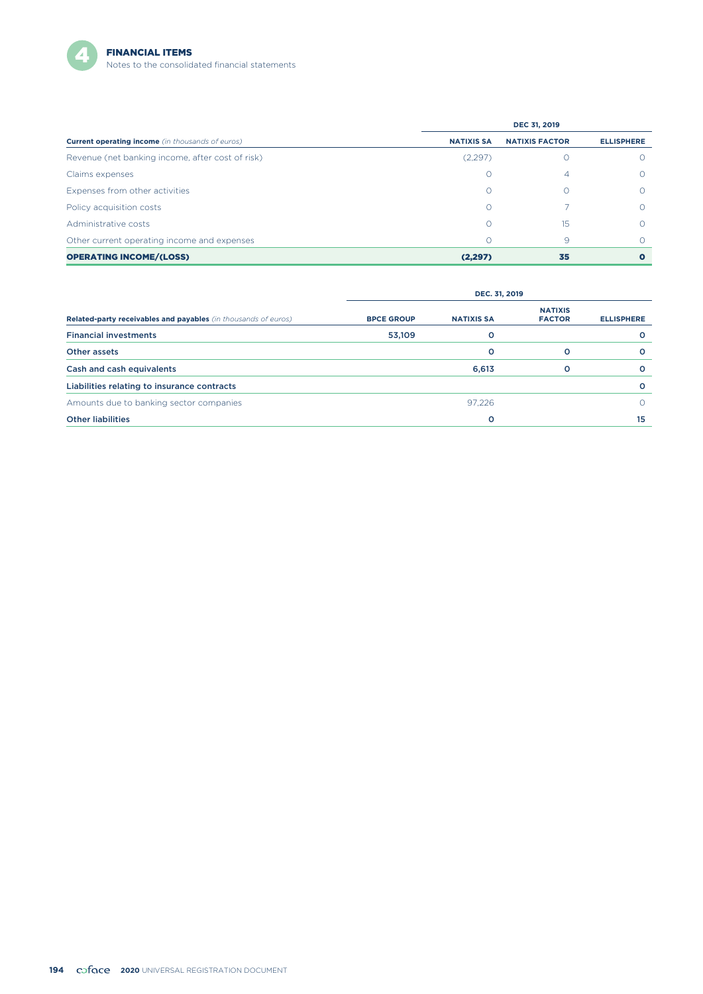

|                                                         | <b>DEC 31, 2019</b> |                       |                   |  |  |  |
|---------------------------------------------------------|---------------------|-----------------------|-------------------|--|--|--|
| <b>Current operating income</b> (in thousands of euros) | <b>NATIXIS SA</b>   | <b>NATIXIS FACTOR</b> | <b>ELLISPHERE</b> |  |  |  |
| Revenue (net banking income, after cost of risk)        | (2,297)             |                       |                   |  |  |  |
| Claims expenses                                         | O                   | 4                     | $\Omega$          |  |  |  |
| Expenses from other activities                          | 0                   |                       | $\bigcirc$        |  |  |  |
| Policy acquisition costs                                | Ω                   |                       | $\bigcap$         |  |  |  |
| Administrative costs                                    | Ω                   | 15                    | ∩                 |  |  |  |
| Other current operating income and expenses             | 0                   | 9                     | ∩                 |  |  |  |
| <b>OPERATING INCOME/(LOSS)</b>                          | (2, 297)            | 35                    |                   |  |  |  |

|                                                                       | DEC. 31, 2019     |                   |                                 |                   |  |  |
|-----------------------------------------------------------------------|-------------------|-------------------|---------------------------------|-------------------|--|--|
| <b>Related-party receivables and payables</b> (in thousands of euros) | <b>BPCE GROUP</b> | <b>NATIXIS SA</b> | <b>NATIXIS</b><br><b>FACTOR</b> | <b>ELLISPHERE</b> |  |  |
| <b>Financial investments</b>                                          | 53,109            | о                 |                                 | O                 |  |  |
| Other assets                                                          |                   | O                 | $\circ$                         | $\circ$           |  |  |
| Cash and cash equivalents                                             |                   | 6,613             | $\circ$                         | $\circ$           |  |  |
| Liabilities relating to insurance contracts                           |                   |                   |                                 | $\circ$           |  |  |
| Amounts due to banking sector companies                               |                   | 97,226            |                                 | Ω                 |  |  |
| <b>Other liabilities</b>                                              |                   | o                 |                                 | 15                |  |  |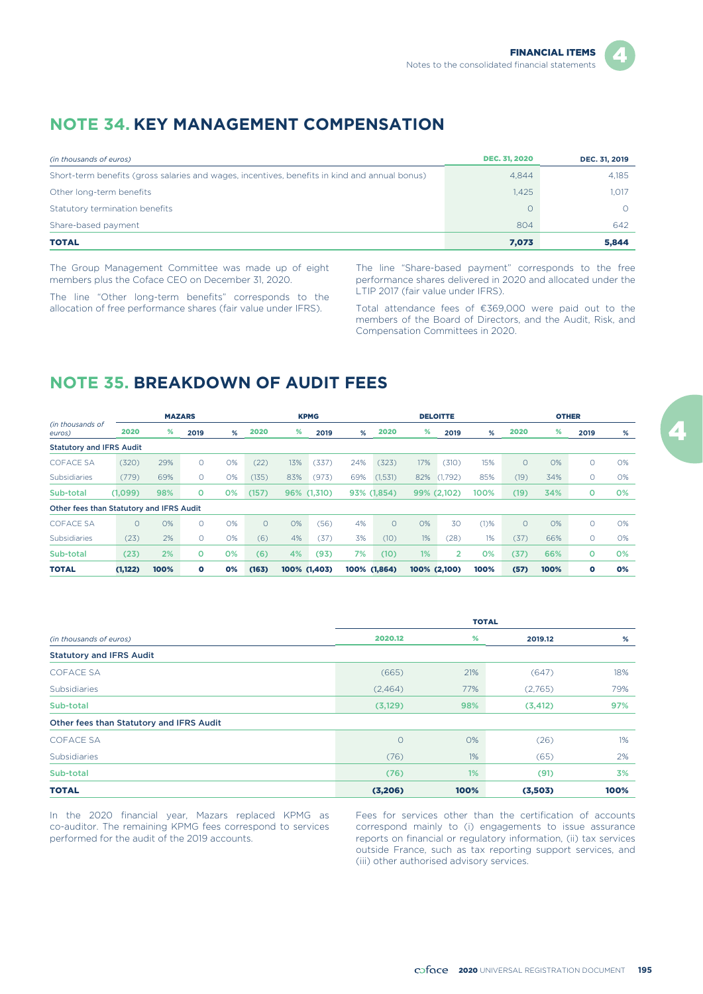## **NOTE 34. KEY MANAGEMENT COMPENSATION**

| (in thousands of euros)                                                                       | <b>DEC. 31, 2020</b> | DEC. 31, 2019 |
|-----------------------------------------------------------------------------------------------|----------------------|---------------|
| Short-term benefits (gross salaries and wages, incentives, benefits in kind and annual bonus) | 4,844                | 4.185         |
| Other long-term benefits                                                                      | 1.425                | 1.017         |
| Statutory termination benefits                                                                | $\Omega$             |               |
| Share-based payment                                                                           | 804                  | 642           |
| <b>TOTAL</b>                                                                                  | 7,073                | 5,844         |

The Group Management Committee was made up of eight members plus the Coface CEO on December 31, 2020.

The line "Other long-term benefits" corresponds to the allocation of free performance shares (fair value under IFRS).

The line "Share-based payment" corresponds to the free performance shares delivered in 2020 and allocated under the LTIP 2017 (fair value under IFRS).

Total attendance fees of €369,000 were paid out to the members of the Board of Directors, and the Audit, Risk, and Compensation Committees in 2020.

# **NOTE 35. BREAKDOWN OF AUDIT FEES**

|                                          |          |      | <b>MAZARS</b> |    |         |     | <b>KPMG</b>  |     |              |     | <b>DELOITTE</b> |         |         | <b>OTHER</b> |      |    |
|------------------------------------------|----------|------|---------------|----|---------|-----|--------------|-----|--------------|-----|-----------------|---------|---------|--------------|------|----|
| (in thousands of<br>euros)               | 2020     | %    | 2019          | %  | 2020    | %   | 2019         | %   | 2020         | %   | 2019            | %       | 2020    | %            | 2019 | %  |
| <b>Statutory and IFRS Audit</b>          |          |      |               |    |         |     |              |     |              |     |                 |         |         |              |      |    |
| <b>COFACE SA</b>                         | (320)    | 29%  | $\Omega$      | 0% | (22)    | 13% | (337)        | 24% | (323)        | 17% | (310)           | 15%     | $\circ$ | 0%           | 0    | O% |
| <b>Subsidiaries</b>                      | (779)    | 69%  | $\Omega$      | 0% | (135)   | 83% | (973)        | 69% | (1,531)      | 82% | (1,792)         | 85%     | (19)    | 34%          | 0    | 0% |
| Sub-total                                | (1,099)  | 98%  | $\circ$       | 0% | (157)   | 96% | (1,310)      |     | 93% (1,854)  |     | 99% (2,102)     | 100%    | (19)    | 34%          | o    | 0% |
| Other fees than Statutory and IFRS Audit |          |      |               |    |         |     |              |     |              |     |                 |         |         |              |      |    |
| <b>COFACE SA</b>                         | $\circ$  | 0%   | $\Omega$      | O% | $\circ$ | 0%  | (56)         | 4%  | $\Omega$     | 0%  | 30              | $(1)$ % | $\circ$ | 0%           | 0    | O% |
| <b>Subsidiaries</b>                      | (23)     | 2%   | $\circ$       | 0% | (6)     | 4%  | (37)         | 3%  | (10)         | 1%  | (28)            | $1\%$   | (37)    | 66%          | O    | 0% |
| Sub-total                                | (23)     | 2%   | $\circ$       | 0% | (6)     | 4%  | (93          | 7%  | (10)         | 1%  | $\overline{2}$  | 0%      | (37)    | 66%          | ٥    | 0% |
| <b>TOTAL</b>                             | (1, 122) | 100% | $\bullet$     | 0% | (163)   |     | 100% (1,403) |     | 100% (1,864) |     | 100% (2,100)    | 100%    | (57)    | 100%         | o    | 0% |

|                                          | <b>TOTAL</b> |      |          |      |  |  |
|------------------------------------------|--------------|------|----------|------|--|--|
| (in thousands of euros)                  | 2020.12      | %    | 2019.12  | %    |  |  |
| <b>Statutory and IFRS Audit</b>          |              |      |          |      |  |  |
| <b>COFACE SA</b>                         | (665)        | 21%  | (647)    | 18%  |  |  |
| <b>Subsidiaries</b>                      | (2,464)      | 77%  | (2,765)  | 79%  |  |  |
| Sub-total                                | (3, 129)     | 98%  | (3, 412) | 97%  |  |  |
| Other fees than Statutory and IFRS Audit |              |      |          |      |  |  |
| <b>COFACE SA</b>                         | $\circ$      | 0%   | (26)     | 1%   |  |  |
| Subsidiaries                             | (76)         | 1%   | (65)     | 2%   |  |  |
| Sub-total                                | (76)         | 1%   | (91)     | 3%   |  |  |
| <b>TOTAL</b>                             | (3,206)      | 100% | (3,503)  | 100% |  |  |

In the 2020 financial year, Mazars replaced KPMG as co-auditor. The remaining KPMG fees correspond to services performed for the audit of the 2019 accounts.

Fees for services other than the certification of accounts correspond mainly to (i) engagements to issue assurance reports on financial or regulatory information, (ii) tax services outside France, such as tax reporting support services, and (iii) other authorised advisory services.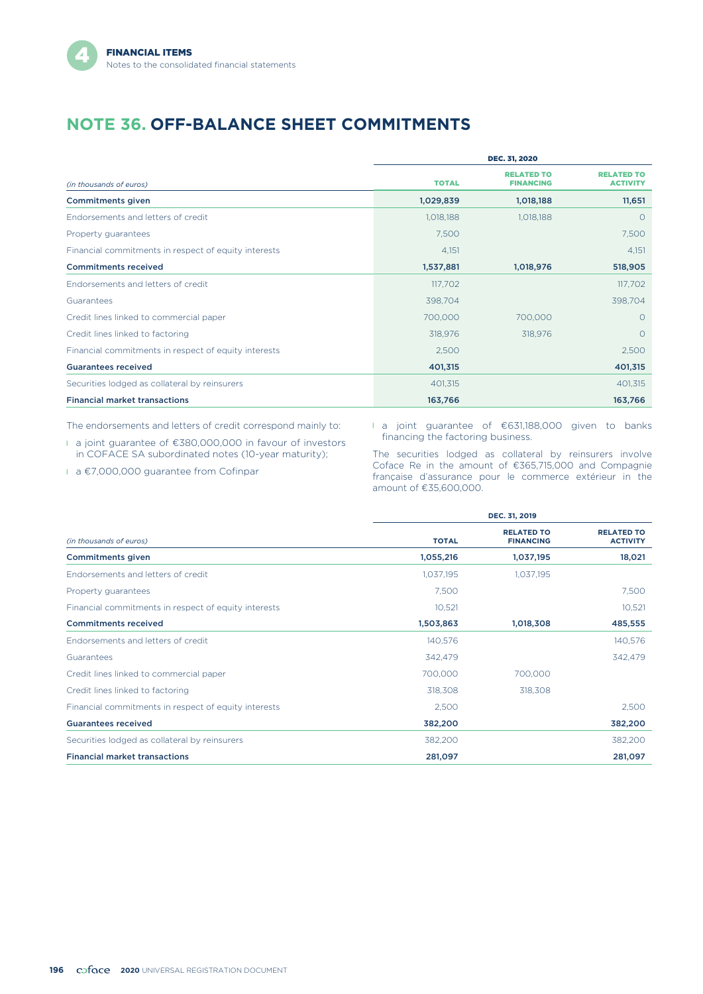# **NOTE 36. OFF-BALANCE SHEET COMMITMENTS**

|                                                      | <b>DEC. 31, 2020</b> |                                       |                                      |  |  |  |
|------------------------------------------------------|----------------------|---------------------------------------|--------------------------------------|--|--|--|
| (in thousands of euros)                              | <b>TOTAL</b>         | <b>RELATED TO</b><br><b>FINANCING</b> | <b>RELATED TO</b><br><b>ACTIVITY</b> |  |  |  |
| <b>Commitments given</b>                             | 1,029,839            | 1,018,188                             | 11,651                               |  |  |  |
| Endorsements and letters of credit                   | 1,018,188            | 1,018,188                             | $\circ$                              |  |  |  |
| Property guarantees                                  | 7,500                |                                       | 7,500                                |  |  |  |
| Financial commitments in respect of equity interests | 4,151                |                                       | 4,151                                |  |  |  |
| <b>Commitments received</b>                          | 1,537,881            | 1,018,976                             | 518,905                              |  |  |  |
| Endorsements and letters of credit                   | 117,702              |                                       | 117,702                              |  |  |  |
| Guarantees                                           | 398,704              |                                       | 398,704                              |  |  |  |
| Credit lines linked to commercial paper              | 700,000              | 700,000                               | $\circ$                              |  |  |  |
| Credit lines linked to factoring                     | 318,976              | 318,976                               | $\Omega$                             |  |  |  |
| Financial commitments in respect of equity interests | 2,500                |                                       | 2,500                                |  |  |  |
| <b>Guarantees received</b>                           | 401,315              |                                       | 401,315                              |  |  |  |
| Securities lodged as collateral by reinsurers        | 401,315              |                                       | 401,315                              |  |  |  |
| <b>Financial market transactions</b>                 | 163,766              |                                       | 163,766                              |  |  |  |

The endorsements and letters of credit correspond mainly to:

l a joint guarantee of €380,000,000 in favour of investors in COFACE SA subordinated notes (10-year maturity);

l a €7,000,000 guarantee from Cofinpar

l a joint guarantee of €631,188,000 given to banks financing the factoring business.

The securities lodged as collateral by reinsurers involve Coface Re in the amount of €365,715,000 and Compagnie française d'assurance pour le commerce extérieur in the amount of €35,600,000.

|                                                      | DEC. 31, 2019 |                                       |                                      |  |  |  |  |
|------------------------------------------------------|---------------|---------------------------------------|--------------------------------------|--|--|--|--|
| (in thousands of euros)                              | <b>TOTAL</b>  | <b>RELATED TO</b><br><b>FINANCING</b> | <b>RELATED TO</b><br><b>ACTIVITY</b> |  |  |  |  |
| <b>Commitments given</b>                             | 1,055,216     | 1,037,195                             | 18,021                               |  |  |  |  |
| Endorsements and letters of credit                   | 1,037,195     | 1,037,195                             |                                      |  |  |  |  |
| Property guarantees                                  | 7,500         |                                       | 7,500                                |  |  |  |  |
| Financial commitments in respect of equity interests | 10,521        |                                       | 10,521                               |  |  |  |  |
| <b>Commitments received</b>                          | 1,503,863     | 1,018,308                             | 485,555                              |  |  |  |  |
| Endorsements and letters of credit                   | 140,576       |                                       | 140,576                              |  |  |  |  |
| Guarantees                                           | 342,479       |                                       | 342.479                              |  |  |  |  |
| Credit lines linked to commercial paper              | 700.000       | 700,000                               |                                      |  |  |  |  |
| Credit lines linked to factoring                     | 318,308       | 318,308                               |                                      |  |  |  |  |
| Financial commitments in respect of equity interests | 2,500         |                                       | 2,500                                |  |  |  |  |
| <b>Guarantees received</b>                           | 382,200       |                                       | 382,200                              |  |  |  |  |
| Securities lodged as collateral by reinsurers        | 382,200       |                                       | 382,200                              |  |  |  |  |
| <b>Financial market transactions</b>                 | 281,097       |                                       | 281,097                              |  |  |  |  |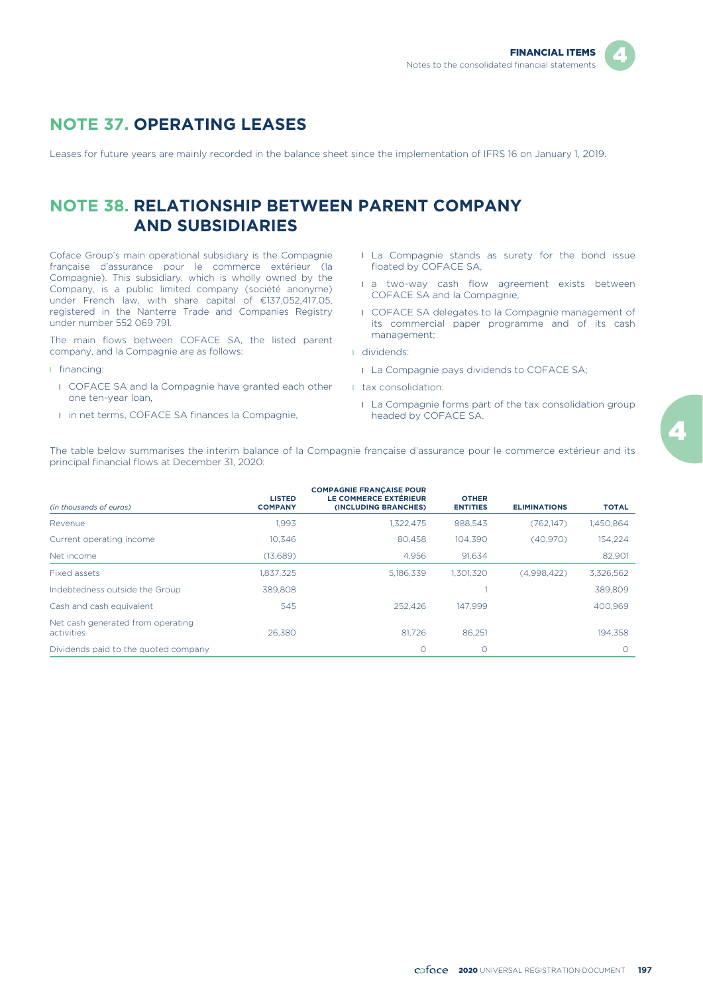

## **NOTE 37. OPERATING LEASES**

Leases for future years are mainly recorded in the balance sheet since the implementation of IFRS 16 on January 1, 2019.

## **NOTE 38. RELATIONSHIP BETWEEN PARENT COMPANY AND SUBSIDIARIES**

Coface Group's main operational subsidiary is the Compagnie française d'assurance pour le commerce extérieur (la Compagnie). This subsidiary, which is wholly owned by the Company, is a public limited company (société anonyme) under French law, with share capital of €137,052,417.05, registered in the Nanterre Trade and Companies Registry under number 552 069 791.

The main flows between COFACE SA, the listed parent company, and la Compagnie are as follows:

- l financing:
	- **I** COFACE SA and la Compagnie have granted each other one ten-year loan,
	- l in net terms, COFACE SA finances la Compagnie,
- **I** La Compagnie stands as surety for the bond issue floated by COFACE SA,
- $\blacksquare$  a two-way cash flow agreement exists between COFACE SA and la Compagnie,
- l COFACE SA delegates to la Compagnie management of its commercial paper programme and of its cash management;
- l dividends:
	- La Compagnie pays dividends to COFACE SA;
- l tax consolidation:
	- **I** La Compagnie forms part of the tax consolidation group headed by COFACE SA.

The table below summarises the interim balance of la Compagnie française d'assurance pour le commerce extérieur and its principal financial flows at December 31, 2020:

|                                                 | <b>LISTED</b>  | <b>COMPAGNIE FRANÇAISE POUR</b><br>LE COMMERCE EXTÉRIEUR | <b>OTHER</b>    |                     |              |
|-------------------------------------------------|----------------|----------------------------------------------------------|-----------------|---------------------|--------------|
| (in thousands of euros)                         | <b>COMPANY</b> | (INCLUDING BRANCHES)                                     | <b>ENTITIES</b> | <b>ELIMINATIONS</b> | <b>TOTAL</b> |
| Revenue                                         | 1,993          | 1,322,475                                                | 888,543         | (762,147)           | 1,450,864    |
| Current operating income                        | 10.346         | 80.458                                                   | 104.390         | (40,970)            | 154,224      |
| Net income                                      | (13,689)       | 4.956                                                    | 91.634          |                     | 82.901       |
| Fixed assets                                    | 1.837.325      | 5.186.339                                                | 1.301.320       | (4.998.422)         | 3,326,562    |
| Indebtedness outside the Group                  | 389,808        |                                                          |                 |                     | 389,809      |
| Cash and cash equivalent                        | 545            | 252.426                                                  | 147.999         |                     | 400.969      |
| Net cash generated from operating<br>activities | 26.380         | 81.726                                                   | 86.251          |                     | 194.358      |
| Dividends paid to the quoted company            |                | $\circ$                                                  | $\circ$         |                     | $\bigcap$    |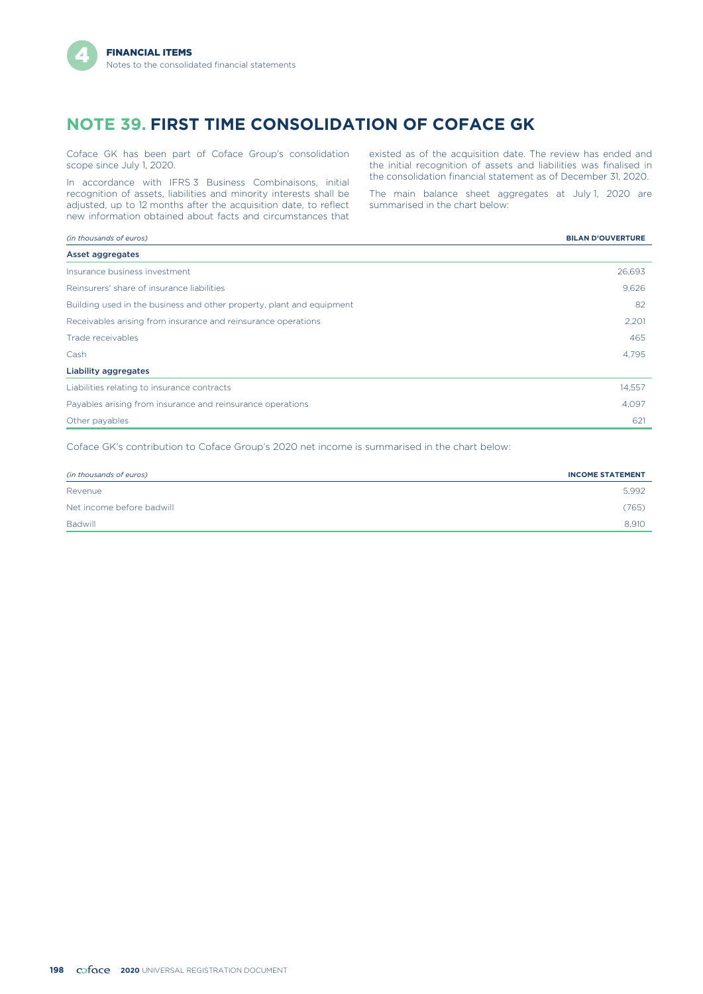## **NOTE 39. FIRST TIME CONSOLIDATION OF COFACE GK**

Coface GK has been part of Coface Group's consolidation scope since July 1, 2020.

In accordance with IFRS 3 Business Combinaisons, initial recognition of assets, liabilities and minority interests shall be adjusted, up to 12 months after the acquisition date, to reflect new information obtained about facts and circumstances that

existed as of the acquisition date. The review has ended and the initial recognition of assets and liabilities was finalised in the consolidation financial statement as of December 31, 2020.

The main balance sheet aggregates at July 1, 2020 are summarised in the chart below:

| (in thousands of euros)                                               | <b>BILAN D'OUVERTURE</b> |
|-----------------------------------------------------------------------|--------------------------|
| Asset aggregates                                                      |                          |
| Insurance business investment                                         | 26,693                   |
| Reinsurers' share of insurance liabilities                            | 9,626                    |
| Building used in the business and other property, plant and equipment | 82                       |
| Receivables arising from insurance and reinsurance operations         | 2,201                    |
| Trade receivables                                                     | 465                      |
| Cash                                                                  | 4,795                    |
| Liability aggregates                                                  |                          |
| Liabilities relating to insurance contracts                           | 14,557                   |
| Payables arising from insurance and reinsurance operations            | 4,097                    |
| Other payables                                                        | 621                      |

Coface GK's contribution to Coface Group's 2020 net income is summarised in the chart below:

| (in thousands of euros)   | <b>INCOME STATEMENT</b> |
|---------------------------|-------------------------|
| Revenue                   | 5.992                   |
| Net income before badwill | (765)                   |
| <b>Badwill</b>            | 8.910                   |